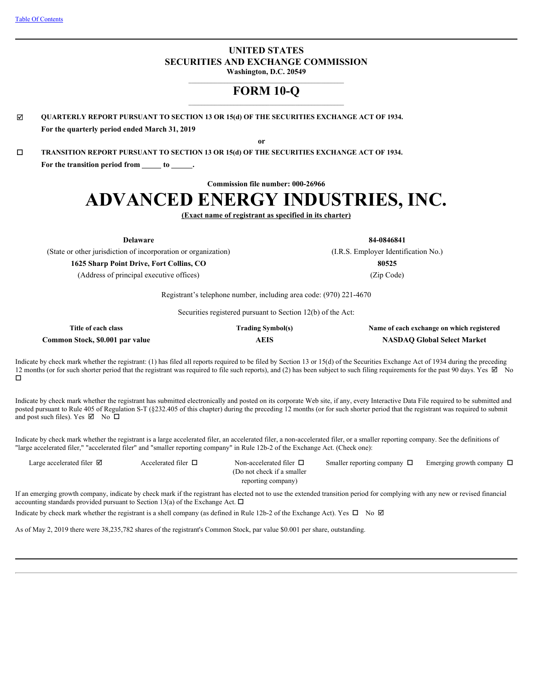### **UNITED STATES SECURITIES AND EXCHANGE COMMISSION Washington, D.C. 20549**

### $\mathcal{L}_\text{max}$ **FORM 10-Q**

 $\overline{\phantom{a}}$  ,  $\overline{\phantom{a}}$  ,  $\overline{\phantom{a}}$  ,  $\overline{\phantom{a}}$  ,  $\overline{\phantom{a}}$  ,  $\overline{\phantom{a}}$  ,  $\overline{\phantom{a}}$  ,  $\overline{\phantom{a}}$  ,  $\overline{\phantom{a}}$  ,  $\overline{\phantom{a}}$  ,  $\overline{\phantom{a}}$  ,  $\overline{\phantom{a}}$  ,  $\overline{\phantom{a}}$  ,  $\overline{\phantom{a}}$  ,  $\overline{\phantom{a}}$  ,  $\overline{\phantom{a}}$ 

 $\boxtimes$  **QUARTERLY REPORT PURSUANT TO SECTION 13 OR 15(d) OF THE SECURITIES EXCHANGE ACT OF 1934. For the quarterly period ended March 31, 2019**

**or**

o **TRANSITION REPORT PURSUANT TO SECTION 13 OR 15(d) OF THE SECURITIES EXCHANGE ACT OF 1934.**

**For the transition period from \_\_\_\_\_\_\_ to \_\_\_ <sup><sup></sup>**</sup> **<sup><sup></sup>**</sup> **<sup><sup></sup>**</sup> **<sup><sup></sup>**</sup> **<sup><sup></sup>**</sup>  **.**

**Commission file number: 000-26966**

# **ADVANCED ENERGY INDUSTRIES, INC.**

**(Exact name of registrant as specified in its charter)**

**Delaware 84-0846841** (State or other jurisdiction of incorporation or organization) (I.R.S. Employer Identification No.)

**1625 Sharp Point Drive, Fort Collins,** 

(Address of principal executive offices) (Zip Code)

**CO 80525**

Emerging growth company  $\Box$ 

Registrant's telephone number, including area code: (970) 221-4670

Securities registered pursuant to Section 12(b) of the Act:

| Title of each class                              | <b>Trading Symbol(s)</b> | e of each exchange on which registered<br>Name   |
|--------------------------------------------------|--------------------------|--------------------------------------------------|
| -<br>\$0.001<br>l par value<br>ommon'<br>-Stock. | EI6<br>7 L L             | $\sim$<br>SDAC<br>Market<br>  Select  <br>⊶loba' |

Indicate by check mark whether the registrant: (1) has filed all reports required to be filed by Section 13 or 15(d) of the Securities Exchange Act of 1934 during the preceding 12 months (or for such shorter period that the registrant was required to file such reports), and (2) has been subject to such filing requirements for the past 90 days. Yes  $\boxtimes$  No No o and the contract of the contract of the contract of the contract of the contract of the contract of the contract of the contract of the contract of the contract of the contract of the contract of the contract of the cont

Indicate by check mark whether the registrant has submitted electronically and posted on its corporate Web site, if any, every Interactive Data File required to be submitted and posted pursuant to Rule 405 of Regulation S-T (§232.405 of this chapter) during the preceding 12 months (or for such shorter period that the registrant was required to submit and post such files). Yes  $\boxtimes$  No  $\square$ No  $\Box$ 

Indicate by check mark whether the registrant is a large accelerated filer, an accelerated filer, a non-accelerated filer, or a smaller reporting company. See the definitions of "large accelerated filer," "accelerated filer" and "smaller reporting company" in Rule 12b-2 of the Exchange Act. (Check one):

Large accelerated filer  $\Box$  Accelerated filer  $\Box$  Non-accelerated filer  $\Box$  Smaller reporting company  $\Box$ 

(Do not check if a smaller reporting company)

If an emerging growth company, indicate by check mark if the registrant has elected not to use the extended transition period for complying with any new or revised financial accounting standards provided pursuant to Section 13(a) of the Exchange Act.  $\Box$ 

Indicate by check mark whether the registrant is a shell company (as defined in Rule 12b-2 of the Exchange Act). Yes  $\Box$  No  $\Box$  $\overline{N}$ o  $\overline{Q}$ 

As of May 2, 2019 there were 38,235,782 shares of the registrant's Common Stock, par value \$0.001 per share, outstanding.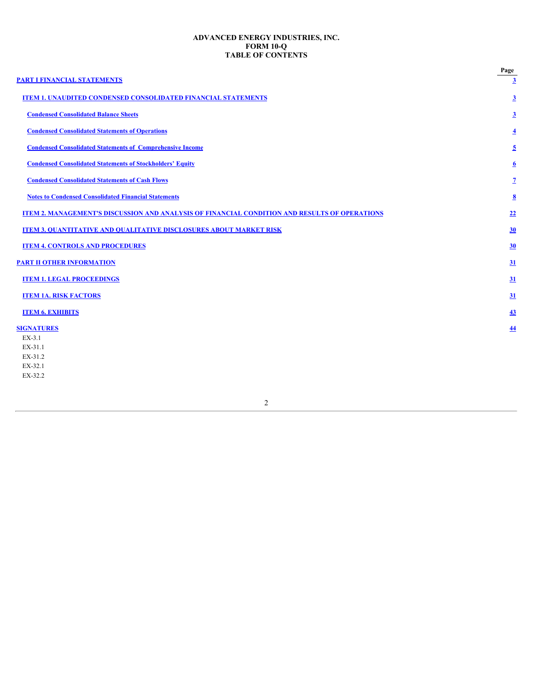# **ADVANCED ENERGY INDUSTRIES, INC. FORM 10-Q TABLE OF CONTENTS**

<span id="page-1-0"></span>

|                                                                                               | Page                    |
|-----------------------------------------------------------------------------------------------|-------------------------|
| <b>PART I FINANCIAL STATEMENTS</b>                                                            | $\overline{\mathbf{3}}$ |
| <b>ITEM 1. UNAUDITED CONDENSED CONSOLIDATED FINANCIAL STATEMENTS</b>                          | $\overline{3}$          |
| <b>Condensed Consolidated Balance Sheets</b>                                                  | $\overline{3}$          |
| <b>Condensed Consolidated Statements of Operations</b>                                        | $\overline{4}$          |
| <b>Condensed Consolidated Statements of Comprehensive Income</b>                              | $\overline{5}$          |
| <b>Condensed Consolidated Statements of Stockholders' Equity</b>                              | 6                       |
| <b>Condensed Consolidated Statements of Cash Flows</b>                                        | $\overline{z}$          |
| <b>Notes to Condensed Consolidated Financial Statements</b>                                   | $\underline{8}$         |
| ITEM 2. MANAGEMENT'S DISCUSSION AND ANALYSIS OF FINANCIAL CONDITION AND RESULTS OF OPERATIONS | 22                      |
| <b>ITEM 3. QUANTITATIVE AND QUALITATIVE DISCLOSURES ABOUT MARKET RISK</b>                     | 30                      |
| <b>ITEM 4. CONTROLS AND PROCEDURES</b>                                                        | 30                      |
| <b>PART II OTHER INFORMATION</b>                                                              | 31                      |
| <b>ITEM 1. LEGAL PROCEEDINGS</b>                                                              | 31                      |
| <b>ITEM 1A. RISK FACTORS</b>                                                                  | 31                      |
| <b>ITEM 6. EXHIBITS</b>                                                                       | 43                      |
| <b>SIGNATURES</b><br>EX-3.1                                                                   | 44                      |
| EX-31.1                                                                                       |                         |
| EX-31.2<br>EX-32.1                                                                            |                         |
| EX-32.2                                                                                       |                         |
|                                                                                               |                         |

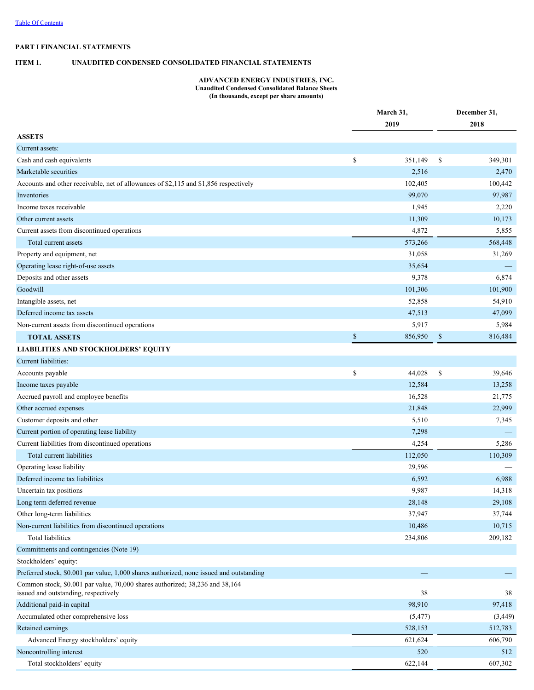### <span id="page-2-0"></span>**PART I FINANCIAL STATEMENTS**

### <span id="page-2-2"></span><span id="page-2-1"></span>**ITEM 1. 1. UNAUDITED CONDENSED CONSOLIDATED FINANCIAL STATEMENTS**

### **ADVANCED ENERGY INDUSTRIES, INC. Unaudited Condensed Consolidated Balance Sheets (In thousands, except per share amounts)**

|                                                                                                                      |               | March 31,  | December 31,                    |  |
|----------------------------------------------------------------------------------------------------------------------|---------------|------------|---------------------------------|--|
|                                                                                                                      |               | 2019       | 2018                            |  |
| <b>ASSETS</b>                                                                                                        |               |            |                                 |  |
| Current assets:                                                                                                      |               |            |                                 |  |
| Cash and cash equivalents                                                                                            | $\mathcal{S}$ | 351,149 \$ | 349,301                         |  |
| Marketable securities                                                                                                |               | 2,516      | 2,470                           |  |
| Accounts and other receivable, net of allowances of \$2,115 and \$1,856 respectively                                 |               | 102,405    | 100,442                         |  |
| Inventories                                                                                                          |               | 99,070     | 97,987                          |  |
| Income taxes receivable                                                                                              |               | 1,945      | 2,220                           |  |
| Other current assets                                                                                                 |               | 11,309     | 10,173                          |  |
| Current assets from discontinued operations                                                                          |               | 4,872      | 5,855                           |  |
| Total current assets                                                                                                 |               | 573,266    | 568,448                         |  |
| Property and equipment, net                                                                                          |               | 31,058     | 31,269                          |  |
| Operating lease right-of-use assets                                                                                  |               | 35,654     | $\hspace{0.1mm}-\hspace{0.1mm}$ |  |
| Deposits and other assets                                                                                            |               | 9,378      | 6,874                           |  |
| Goodwill                                                                                                             |               | 101,306    |                                 |  |
|                                                                                                                      |               |            | 101,900                         |  |
| Intangible assets, net                                                                                               |               | 52,858     | 54,910                          |  |
| Deferred income tax assets                                                                                           |               | 47,513     | 47,099                          |  |
| Non-current assets from discontinued operations                                                                      |               | 5,917      | 5,984                           |  |
| <b>TOTAL ASSETS</b>                                                                                                  | <sup>S</sup>  | 856,950 \$ | 816,484                         |  |
| <b>LIABILITIES AND STOCKHOLDERS' EQUITY</b>                                                                          |               |            |                                 |  |
| Current liabilities:                                                                                                 |               |            |                                 |  |
| Accounts payable                                                                                                     | $\mathbb{S}$  | 44,028 \$  | 39,646                          |  |
| Income taxes payable                                                                                                 |               | 12,584     | 13,258                          |  |
| Accrued payroll and employee benefits                                                                                |               | 16,528     | 21,775                          |  |
| Other accrued expenses                                                                                               |               | 21,848     | 22,999                          |  |
| Customer deposits and other                                                                                          |               | 5,510      | 7,345                           |  |
| Current portion of operating lease liability                                                                         |               | 7,298      | $\hspace{0.1mm}-\hspace{0.1mm}$ |  |
| Current liabilities from discontinued operations                                                                     |               | 4,254      | 5,286                           |  |
| Total current liabilities                                                                                            |               | 112,050    | 110,309                         |  |
| Operating lease liability                                                                                            |               | 29,596     |                                 |  |
| Deferred income tax liabilities                                                                                      |               | 6,592      |                                 |  |
|                                                                                                                      |               |            | 6,988                           |  |
| Uncertain tax positions                                                                                              |               | 9,987      | 14,318                          |  |
| Long term deferred revenue                                                                                           |               | 28,148     | 29,108                          |  |
| Other long-term liabilities                                                                                          |               | 37,947     | 37,744                          |  |
| Non-current liabilities from discontinued operations                                                                 |               | 10,486     | 10,715                          |  |
| Total liabilities                                                                                                    |               | 234,806    | 209,182                         |  |
| Commitments and contingencies (Note 19)                                                                              |               |            |                                 |  |
| Stockholders' equity:                                                                                                |               |            |                                 |  |
| Preferred stock, \$0.001 par value, 1,000 shares authorized, none issued and outstanding                             |               |            |                                 |  |
| Common stock, \$0.001 par value, 70,000 shares authorized; 38,236 and 38,164<br>issued and outstanding, respectively |               | 38         | 38                              |  |
| Additional paid-in capital                                                                                           |               | 98,910     | 97,418                          |  |
| Accumulated other comprehensive loss                                                                                 |               | (5, 477)   | (3, 449)                        |  |
| Retained earnings                                                                                                    |               | 528,153    | 512,783                         |  |
| Advanced Energy stockholders' equity                                                                                 |               | 621,624    | 606,790                         |  |
| Noncontrolling interest                                                                                              |               | 520        | 512                             |  |
| Total stockholders' equity                                                                                           |               | 622,144    | 607,302                         |  |
|                                                                                                                      |               |            |                                 |  |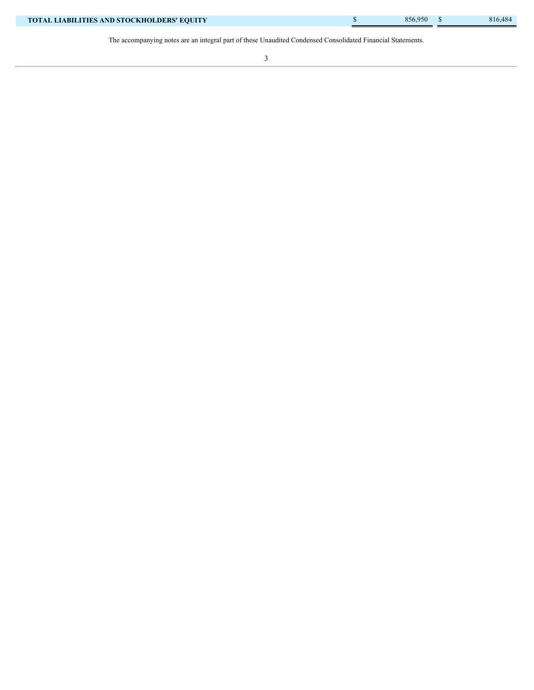| <b>TOTAL</b><br>AND STOCKHOLDERS' EOUITY<br><b>LIABILI</b><br>TIES | 856.950 | 816.48 |
|--------------------------------------------------------------------|---------|--------|
|                                                                    |         |        |

The accompanying notes are an integral part of these Unaudited Condensed Consolidated Financial Statements.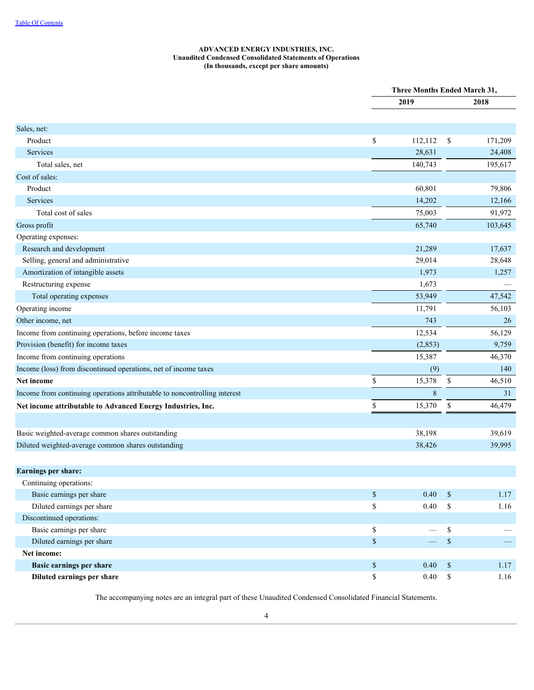### **ADVANCED ENERGY INDUSTRIES, INC. Unaudited Condensed Consolidated Statements of Operations (In thousands, except per share amounts)**

<span id="page-4-0"></span>

|                                                                           |              | Three Months Ended March 31, |          |
|---------------------------------------------------------------------------|--------------|------------------------------|----------|
|                                                                           |              | 2019                         | 2018     |
|                                                                           |              |                              |          |
| Sales, net:                                                               |              |                              |          |
| Product                                                                   | $\mathbb{S}$ | $112,112$ \$                 | 171,209  |
| Services                                                                  |              | 28,631                       | 24,408   |
| Total sales, net                                                          |              | 140,743                      | 195,617  |
| Cost of sales:                                                            |              |                              |          |
| Product                                                                   |              | 60,801                       | 79,806   |
| Services                                                                  |              | 14,202                       | 12,166   |
| Total cost of sales                                                       |              | 75,003                       | 91,972   |
| Gross profit                                                              |              | 65,740                       | 103,645  |
| Operating expenses:                                                       |              |                              |          |
| Research and development                                                  |              | 21,289                       | 17,637   |
| Selling, general and administrative                                       |              | 29,014                       | 28,648   |
| Amortization of intangible assets                                         |              | 1,973                        | 1,257    |
| Restructuring expense                                                     |              | 1,673                        |          |
| Total operating expenses                                                  |              | 53,949                       | 47,542   |
| Operating income                                                          |              | 11,791                       | 56,103   |
| Other income, net                                                         |              | 743                          | 26       |
| Income from continuing operations, before income taxes                    |              | 12,534                       | 56,129   |
| Provision (benefit) for income taxes                                      |              | (2, 853)                     | 9,759    |
| Income from continuing operations                                         |              | 15,387                       | 46,370   |
| Income (loss) from discontinued operations, net of income taxes           |              | (9)                          | 140      |
| Net income                                                                | $\mathbb{S}$ | 15,378 \$                    | 46,510   |
| Income from continuing operations attributable to noncontrolling interest |              | 8                            | 31       |
| Net income attributable to Advanced Energy Industries, Inc.               | \$.          | 15,370<br>- \$               | 46,479   |
|                                                                           |              |                              |          |
|                                                                           |              |                              |          |
| Basic weighted-average common shares outstanding                          |              | 38,198                       | 39,619   |
| Diluted weighted-average common shares outstanding                        |              | 38,426                       | 39,995   |
|                                                                           |              |                              |          |
| Earnings per share:                                                       |              |                              |          |
| Continuing operations:                                                    |              |                              |          |
| Basic earnings per share                                                  | $\mathbb S$  | 0.40 S                       | 1.17     |
| Diluted earnings per share                                                | $\mathbb S$  | 0.40 S                       | 1.16     |
| Discontinued operations:                                                  |              |                              |          |
| Basic earnings per share                                                  | $\mathbb S$  | $-$ \$                       |          |
| Diluted earnings per share                                                | $\mathbb S$  | $-$ \$                       | $\equiv$ |
| Net income:                                                               |              |                              |          |
| <b>Basic earnings per share</b>                                           | $\mathbb S$  | 0.40 S                       | 1.17     |
| Diluted earnings per share                                                | $\mathbb{S}$ | 0.40 S                       | 1.16     |

The accompanying notes are an integral part of these Unaudited Condensed Consolidated Financial Statements.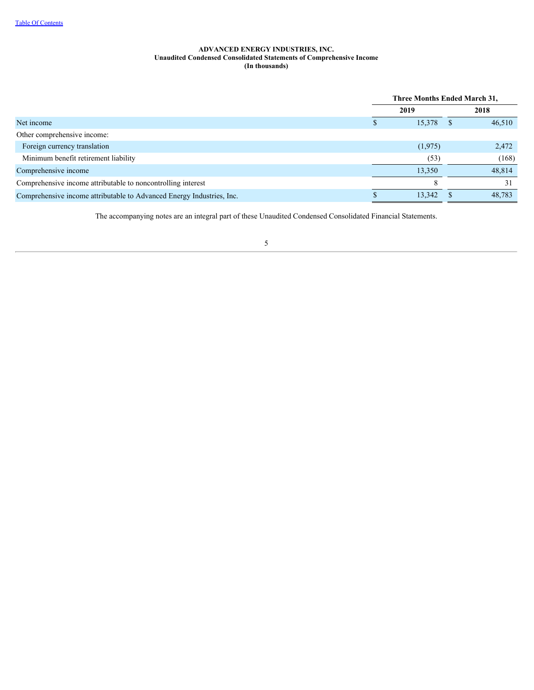### **ADVANCED ENERGY INDUSTRIES, INC. Unaudited Condensed Consolidated Statements of Comprehensive Income (In thousands)**

<span id="page-5-0"></span>

|                                                                       | Three Months Ended March 31, |         |      |        |  |  |  |
|-----------------------------------------------------------------------|------------------------------|---------|------|--------|--|--|--|
|                                                                       |                              | 2019    | 2018 |        |  |  |  |
| Net income                                                            |                              | 15,378  |      | 46,510 |  |  |  |
| Other comprehensive income:                                           |                              |         |      |        |  |  |  |
| Foreign currency translation                                          |                              | (1,975) |      | 2,472  |  |  |  |
| Minimum benefit retirement liability                                  |                              | (53)    |      | (168)  |  |  |  |
| Comprehensive income                                                  |                              | 13,350  |      | 48,814 |  |  |  |
| Comprehensive income attributable to noncontrolling interest          |                              |         |      | 31     |  |  |  |
| Comprehensive income attributable to Advanced Energy Industries, Inc. |                              | 13,342  |      | 48,783 |  |  |  |

The accompanying notes are an integral part of these Unaudited Condensed Consolidated Financial Statements.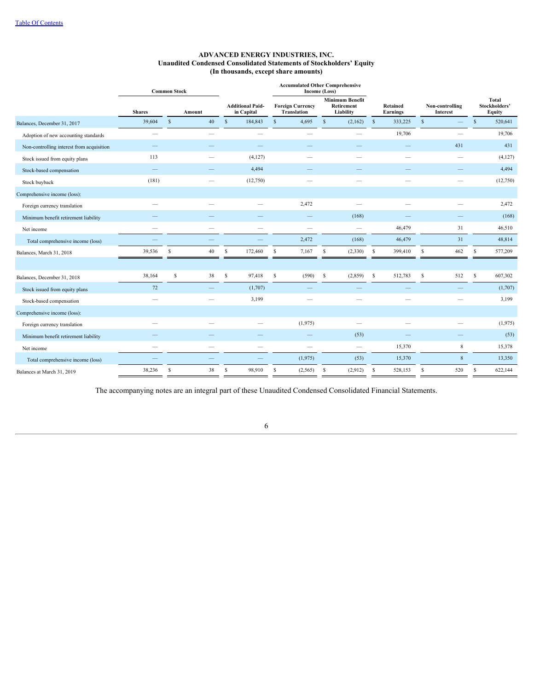### **ADVANCED ENERGY INDUSTRIES, INC. Unaudited Condensed Consolidated Statements of Stockholders' Equity (In thousands, except share amounts)**

<span id="page-6-0"></span>

|                                           |                                 | <b>Common Stock</b> |                                 |              |                                       |              | <b>Accumulated Other Comprehensive</b><br>Income (Loss) |              |                                                   |              |                                 |                             |                               |                                  |          |
|-------------------------------------------|---------------------------------|---------------------|---------------------------------|--------------|---------------------------------------|--------------|---------------------------------------------------------|--------------|---------------------------------------------------|--------------|---------------------------------|-----------------------------|-------------------------------|----------------------------------|----------|
|                                           | <b>Shares</b>                   |                     | Amount                          |              | <b>Additional Paid-</b><br>in Capital |              | <b>Foreign Currency</b><br>Translation                  |              | <b>Minimum Benefit</b><br>Retirement<br>Liability |              | Retained<br>Earnings            | Non-controlling<br>Interest |                               | Total<br>Stockholders'<br>Equity |          |
| Balances, December 31, 2017               | 39,604                          | $\mathbf{s}$        | 40                              | $\mathbf{s}$ | 184,843                               | <sup>S</sup> | 4,695                                                   | $\mathbf{s}$ | $(2,162)$ \$                                      |              | 333,225                         | $\mathbf{s}$                | $-$                           | <sup>S</sup>                     | 520,641  |
| Adoption of new accounting standards      |                                 |                     | $\hspace{0.1mm}-\hspace{0.1mm}$ |              | $\overline{\phantom{a}}$              |              |                                                         |              |                                                   |              | 19,706                          |                             |                               |                                  | 19,706   |
| Non-controlling interest from acquisition |                                 |                     | $\hspace{0.1mm}-\hspace{0.1mm}$ |              | $\hspace{0.1mm}-\hspace{0.1mm}$       |              |                                                         |              |                                                   |              | $\hspace{0.1mm}-\hspace{0.1mm}$ |                             | 431                           |                                  | 431      |
| Stock issued from equity plans            | 113                             |                     | $\hspace{0.05cm}$               |              | (4,127)                               |              |                                                         |              |                                                   |              |                                 |                             | $\overbrace{\phantom{12333}}$ |                                  | (4,127)  |
| Stock-based compensation                  | $\hspace{0.1mm}-\hspace{0.1mm}$ |                     | $\hspace{0.1mm}-\hspace{0.1mm}$ |              | 4,494                                 |              |                                                         |              |                                                   |              |                                 |                             | $\qquad \qquad -$             |                                  | 4,494    |
| Stock buyback                             | (181)                           |                     | $\hspace{0.1mm}-\hspace{0.1mm}$ |              | (12,750)                              |              |                                                         |              |                                                   |              |                                 |                             |                               |                                  | (12,750) |
| Comprehensive income (loss):              |                                 |                     |                                 |              |                                       |              |                                                         |              |                                                   |              |                                 |                             |                               |                                  |          |
| Foreign currency translation              |                                 |                     |                                 |              | -                                     |              | 2,472                                                   |              |                                                   |              |                                 |                             |                               |                                  | 2,472    |
| Minimum benefit retirement liability      |                                 |                     |                                 |              | --                                    |              | $\hspace{0.1mm}-\hspace{0.1mm}$                         |              | (168)                                             |              |                                 |                             | $\qquad \qquad -$             |                                  | (168)    |
| Net income                                | $\overline{\phantom{a}}$        |                     | -                               |              |                                       |              |                                                         |              |                                                   |              | 46,479                          |                             | 31                            |                                  | 46,510   |
| Total comprehensive income (loss)         |                                 |                     |                                 |              | —                                     |              | 2,472                                                   |              | (168)                                             |              | 46,479                          |                             | 31                            |                                  | 48,814   |
| Balances, March 31, 2018                  | 39,536                          | -S                  | 40                              | - \$         | 172,460                               | <sup>S</sup> | 7,167                                                   | -S           | (2,330)                                           | $\mathbf{s}$ | 399,410                         | <sup>S</sup>                | 462                           | - S                              | 577,209  |
|                                           |                                 |                     |                                 |              |                                       |              |                                                         |              |                                                   |              |                                 |                             |                               |                                  |          |
| Balances, December 31, 2018               | 38,164                          | -S                  | 38 \$                           |              | 97,418 \$                             |              | $(590)$ \$                                              |              | $(2,859)$ \$                                      |              | 512,783                         | $\mathbf{s}$                | 512 \$                        |                                  | 607,302  |
| Stock issued from equity plans            | 72                              |                     | $\hspace{0.1mm}-\hspace{0.1mm}$ |              | (1,707)                               |              | $\hspace{1.0cm} \rule{1.5cm}{0.15cm}$                   |              | $\qquad \qquad$                                   |              | $\qquad \qquad$                 |                             |                               |                                  | (1,707)  |
| Stock-based compensation                  |                                 |                     |                                 |              | 3,199                                 |              |                                                         |              |                                                   |              |                                 |                             | $\qquad \qquad$               |                                  | 3,199    |
| Comprehensive income (loss):              |                                 |                     |                                 |              |                                       |              |                                                         |              |                                                   |              |                                 |                             |                               |                                  |          |
| Foreign currency translation              |                                 |                     |                                 |              |                                       |              | (1,975)                                                 |              | $\overline{\phantom{a}}$                          |              | $\overline{\phantom{a}}$        |                             | -                             |                                  | (1,975)  |
| Minimum benefit retirement liability      |                                 |                     |                                 |              | $\overline{\phantom{m}}$              |              | $\hspace{0.1mm}-\hspace{0.1mm}$                         |              | (53)                                              |              | $\hspace{0.1mm}-\hspace{0.1mm}$ |                             | $\qquad \qquad -$             |                                  | (53)     |
| Net income                                |                                 |                     |                                 |              |                                       |              | -                                                       |              | $\overline{\phantom{0}}$                          |              | 15,370                          |                             | $\,$ 8 $\,$                   |                                  | 15,378   |
| Total comprehensive income (loss)         |                                 |                     |                                 |              | $\hspace{0.1mm}-\hspace{0.1mm}$       |              | (1,975)                                                 |              | (53)                                              |              | 15,370                          |                             | 8                             |                                  | 13,350   |
| Balances at March 31, 2019                | 38,236                          | -S                  | 38                              | -S           | 98,910                                | -S           | (2, 565)                                                | $\mathbf{s}$ | $(2,912)$ \$                                      |              | 528,153                         | - \$                        | 520                           | -S                               | 622,144  |

The accompanying notes are an integral part of these Unaudited Condensed Consolidated Financial Statements.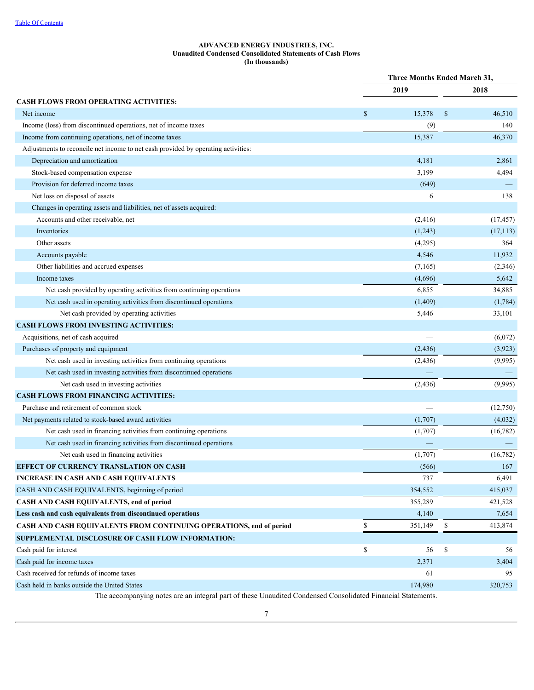# **ADVANCED ENERGY INDUSTRIES, INC. Unaudited Condensed Consolidated Statements of Cash Flows (In thousands)**

<span id="page-7-0"></span>

|                                                                                   |               | Three Months Ended March 31, |           |
|-----------------------------------------------------------------------------------|---------------|------------------------------|-----------|
|                                                                                   |               | 2019                         | 2018      |
| <b>CASH FLOWS FROM OPERATING ACTIVITIES:</b>                                      |               |                              |           |
| Net income                                                                        | <sup>\$</sup> | 15,378 \$                    | 46,510    |
| Income (loss) from discontinued operations, net of income taxes                   |               | (9)                          | 140       |
| Income from continuing operations, net of income taxes                            |               | 15,387                       | 46,370    |
| Adjustments to reconcile net income to net cash provided by operating activities: |               |                              |           |
| Depreciation and amortization                                                     |               | 4,181                        | 2,861     |
| Stock-based compensation expense                                                  |               | 3,199                        | 4,494     |
| Provision for deferred income taxes                                               |               | (649)                        |           |
| Net loss on disposal of assets                                                    |               | -6                           | 138       |
| Changes in operating assets and liabilities, net of assets acquired:              |               |                              |           |
| Accounts and other receivable, net                                                |               | (2, 416)                     | (17, 457) |
| Inventories                                                                       |               | (1,243)                      | (17, 113) |
| Other assets                                                                      |               | (4,295)                      | 364       |
| Accounts payable                                                                  |               | 4,546                        | 11,932    |
| Other liabilities and accrued expenses                                            |               | (7,165)                      | (2, 346)  |
| Income taxes                                                                      |               | (4,696)                      | 5,642     |
| Net cash provided by operating activities from continuing operations              |               | 6,855                        | 34,885    |
| Net cash used in operating activities from discontinued operations                |               | (1, 409)                     | (1,784)   |
| Net cash provided by operating activities                                         |               | 5,446                        | 33,101    |
| CASH FLOWS FROM INVESTING ACTIVITIES:                                             |               |                              |           |
| Acquisitions, net of cash acquired                                                |               | $\overline{\phantom{a}}$     | (6,072)   |
| Purchases of property and equipment                                               |               | (2, 436)                     | (3,923)   |
| Net cash used in investing activities from continuing operations                  |               | (2, 436)                     | (9,995)   |
| Net cash used in investing activities from discontinued operations                |               | $\overline{\phantom{a}}$     |           |
| Net cash used in investing activities                                             |               | (2, 436)                     | (9,995)   |
| <b>CASH FLOWS FROM FINANCING ACTIVITIES:</b>                                      |               |                              |           |
| Purchase and retirement of common stock                                           |               | $\overline{\phantom{a}}$     | (12,750)  |
| Net payments related to stock-based award activities                              |               | (1,707)                      | (4,032)   |
| Net cash used in financing activities from continuing operations                  |               | (1,707)                      | (16, 782) |
| Net cash used in financing activities from discontinued operations                |               | $\sim$                       |           |
| Net cash used in financing activities                                             |               | (1,707)                      | (16,782)  |
| EFFECT OF CURRENCY TRANSLATION ON CASH                                            |               | (566)                        | 167       |
| <b>INCREASE IN CASH AND CASH EQUIVALENTS</b>                                      |               | 737                          | 6,491     |
| CASH AND CASH EQUIVALENTS, beginning of period                                    |               |                              | 415,037   |
| CASH AND CASH EQUIVALENTS, end of period                                          |               | 354,552                      |           |
|                                                                                   |               | 355,289                      | 421,528   |
| Less cash and cash equivalents from discontinued operations                       |               | 4,140                        | 7,654     |
| CASH AND CASH EQUIVALENTS FROM CONTINUING OPERATIONS, end of period               |               | $351,149$ \$                 | 413,874   |
| SUPPLEMENTAL DISCLOSURE OF CASH FLOW INFORMATION:                                 |               |                              |           |
| Cash paid for interest                                                            | <sup>\$</sup> | 56 \$                        | 56        |
| Cash paid for income taxes                                                        |               | 2,371                        | 3,404     |
| Cash received for refunds of income taxes                                         |               | 61                           | 95        |
| Cash held in banks outside the United States                                      |               | 174,980                      | 320,753   |

The accompanying notes are an integral part of these Unaudited Condensed Consolidated Financial Statements.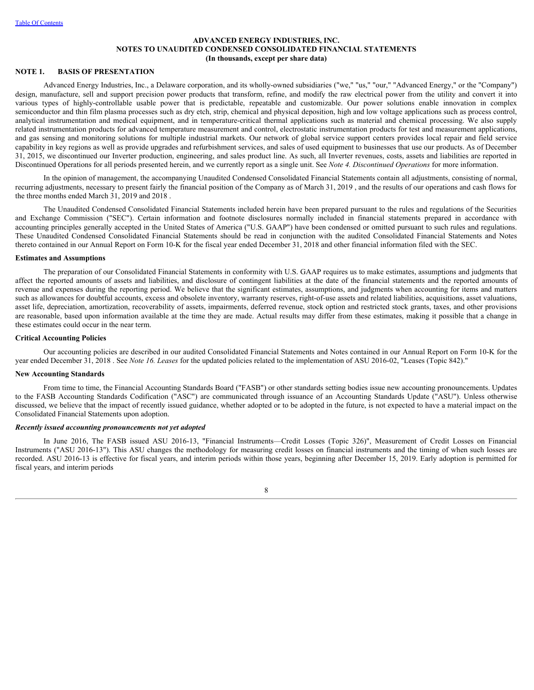# **ADVANCED ENERGY INDUSTRIES, INC. NOTES TO UNAUDITED CONDENSED CONSOLIDATED FINANCIAL STATEMENTS (In thousands, except per share data)**

### <span id="page-8-0"></span>**NOTE 1. BASIS OF PRESENTATION**

Advanced Energy Industries, Inc., a Delaware corporation, and its wholly-owned subsidiaries ("we," "us," "our," "Advanced Energy," or the "Company") Table Of Contents<br> **EXECT TO UNAUDITED CONDENSED CONSOLIDATED FINE.**<br> **NOTE 1. BASIS OF PRESENTATION**<br>
(In thousands, except per share data)<br>
Moreon Execution (Into thousands, except per share data)<br>
Advanced Energy," or Table Of Contents<br> **NOTES TO UNAUDITED CONDENSED CONSOLLDATED FINANCIAL STATEMENTS**<br> **NOTE 1. BASIS OF PRESENTATION**<br> **CAUSE TO UNAUDITED CONDENSED CONSOLLDATED FINANCIAL STATEMENTS**<br> **CAUSE TO ACCUTE ANTIFELATION**<br> **CA** semiconductor and thin film plasma processes such as dry etch, strip, chemical and physical deposition, high and low voltage applications such as process control, analytical instrumentation and medical equipment, and in te Table Of Contents<br> **ADVANCED ENERCY INDUSTRIES, INC.**<br> **NOTE 1. BASIS OF PRESENTATION**<br> **ADVANCED ENERCY INDUSTRIES, INC.**<br> **ATHERENT ATTENT CONTREPRENT ANTISED CONSOLIDATED FINANCIAL STATEMENTS**<br> **ATHERENT ATTENT (In t** related instrumentation products for advanced temperature measurement and control, electrostatic instrumentation products for test and measurement applications, and gas sensing and monitoring solutions for multiple industrial markets. Our network of global service support centers provides local repair and field service capability in key regions as well as provide upgrades and refurbishment services, and sales of used equipment to businesses that use our products. As of December 31, 2015, we discontinued our Inverter production, engineering, and sales product line. As such, all Inverter revenues, costs, assets and liabilities are reported in Discontinued Operations for all periods presented herein, and we currently report as a single unit. See *Note 4. Discontinued Operations* for more information. Take Of Contors<br>
SOTTES TO UNAUDITED CONDENSED ENERGY INDUSTRIES INC.<br>
NOTE 1. BASIS OF PRESENTATION<br>
COMPOSITION (Information and two short-position and symble-worel and through the "New "Section"). And the comparing of t Take OCemens<br>
NOTES TO UNALDITED CONDENSIO CONSOLIDATED FINANCEAL STATEMENTS<br>
NOTE I. BASIS OF PRESENTATION<br>
ADVANCED EXPRESENTATION<br>
ADVANCED EXPRESENTATION<br>
CONDENSEDNE, INCORPORATION (In thousands, except per also tole Take Of Communism<br>NOTE ASSIS OF PRESENTATION CONDENSION CONDENSION CONDENSION CONDENSION CONDENSION CONDENSION CONDENSION CONDENSION CONDENSION CONDENSION CONDENSION CONDENSION CONDENSION CONDENSION CONDENSION CONDENSION C tentions and the fit photospaces and the FASB Accounting the FASB Accounting Standards Considered the FASB Accounting Standards Considered through is the FASB Accounting Standards Considered through in the system of an Acc

In the opinion of management, the accompanying Unaudited Condensed Consolidated Financial Statements contain all adjustments, consisting of normal, recurring adjustments, necessary to present fairly the financial position of the Company as of March 31, 2019 , and the results of our operations and cash flows for the three months ended March 31, 2019 and 2018 .

The Unaudited Condensed Consolidated Financial Statements included herein have been prepared pursuant to the rules and regulations of the Securities accounting principles generally accepted in the United States of America ("U.S. GAAP") have been condensed or omitted pursuant to such rules and regulations. thereto contained in our Annual Report on Form 10-K for the fiscal year ended December 31, 2018 and other financial information filed with the SEC.

### **Estimates and Assumptions**

The preparation of our Consolidated Financial Statements in conformity with U.S. GAAP requires us to make estimates, assumptions and judgments that revenue and expenses during the reporting period. We believe that the significant estimates, assumptions, and judgments when accounting for items and matters such as allowances for doubtful accounts, excess and obsolete inventory, warranty reserves, right-of-use assets and related liabilities, acquisitions, asset valuations, asset life, depreciation, amortization, recoverability of assets, impairments, deferred revenue, stock option and restricted stock grants, taxes, and other provisions are reasonable, based upon information available at the time they are made. Actual results may differ from these estimates, making it possible that a change in these estimates could occur in the near term. , we discome through the Faster production, respectively, and select product into As a subject to reach of the function contents of the function of the function of the step of the step of the contents (Topic 2016). The Fin

### **Critical Accounting Policies**

Our accounting policies are described in our audited Consolidated Financial Statements and Notes contained in our Annual Report on Form 10-K for the year ended December 31, 2018 . See *Note 16. Leases* for the updated policies related to the implementation of ASU 2016-02, "Leases (Topic 842)."

### **New Accounting Standards**

From time to time, the Financial Accounting Standards Board ("FASB") or other standards setting bodies issue new accounting pronouncements. Updates discussed, we believe that the impact of recently issued guidance, whether adopted or to be adopted in the future, is not expected to have a material impact on the Consolidated Financial Statements upon adoption.

### *Recently issued accounting pronouncements not yet adopted*

Instruments ("ASU 2016-13"). This ASU changes the methodology for measuring credit losses on financial instruments and the timing of when such losses are recorded. ASU 2016-13 is effective for fiscal years, and interim periods within those years, beginning after December 15, 2019. Early adoption is permitted for fiscal years, and interim periods

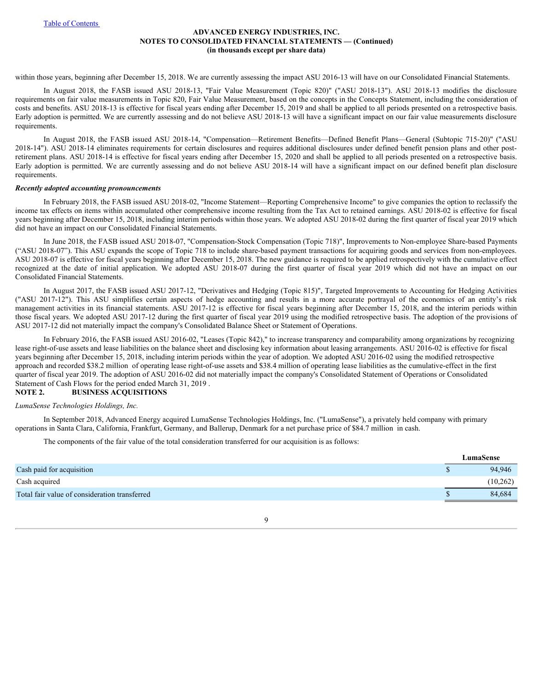within those years, beginning after December 15, 2018. We are currently assessing the impact ASU 2016-13 will have on our Consolidated Financial Statements.

**ITALEOF CONTERN AUGLIFY AND CONSOLIDATED FINANCIAL STATEMENTS — (Continued)**<br>
(in thousands except per share data)<br>
(in thousands except per share data)<br>
(in thousands except per share data)<br>
In August 2018, the FASB iss requirements on fair value measurements in Topic 820, Fair Value Measurement, based on the concepts in the Concepts Statement, including the consideration of costs and benefits. ASU 2018-13 is effective for fiscal years ending after December 15, 2019 and shall be applied to all periods presented on a retrospective basis. Early adoption is permitted. We are currently assessing and do not believe ASU 2018-13 will have a significant impact on our fair value measurements disclosure requirements.

In August 2018, the FASB issued ASU 2018-14, "Compensation—Retirement Benefits—ASU 2018-14, We are currently assessing the impact ASU 2016-13 will have on our Consolidated Financial Statements.<br>In August 2018, the FASB iss 2018-14"). ASU 2018-14 eliminates requirements for certain disclosures and requires additional disclosures under defined benefit pension plans and other postretirement plans. ASU 2018-14 is effective for fiscal years ending after December 15, 2020 and shall be applied to all periods presented on a retrospective basis. Early adoption is permitted. We are currently assessing and do not believe ASU 2018-14 will have a significant impact on our defined benefit plan disclosure requirements. Table of Contours.<br>
NOTES TO CONSOLIDATED EVERY INDUSTRIES, INC.<br>
(in theorem of the date of initial application in the date of initial application. The date of initial application of initial application.<br>
The date of ini Laike all Contexts. **ADVANCED EVERCOVIMENTERS, INC.**<br>
Your Experiment and The Properties of the UNITED HANDED HANDED HANDED HANDED INCOLLENT INCOLLENT INCOLLENT INCOLLENT INCOLLENT INCOLLENT INCOLLENT INCOLLENT INCOLLENT

### *Recently adopted accounting pronouncements*

In February 2018, the FASB issued ASU 2018-02, "Income Statement—Reporting Comprehensive Income" to give companies the option to reclassify the income tax effects on items within accumulated other comprehensive income resulting from the Tax Act to retained earnings. ASU 2018-02 is effective for fiscal years beginning after December 15, 2018, including interim periods within those years. We adopted ASU 2018-02 during the first quarter of fiscal year 2019 which did not have an impact on our Consolidated Financial Statements.

In June 2018, the FASB issued ASU 2018-07, "Compensation-Stock Compensation (Topic 718)", Improvements to Non-employee Share-based Payments ("ASU 2018-07"). This ASU expands the scope of Topic 718 to include share-based payment transactions for acquiring goods and services from non-employees. ASU 2018-07 is effective for fiscal years beginning after December 15, 2018. The new guidance is required to be applied retrospectively with the cumulative effect recognized at the date of initial application. We adopted A Consolidated Financial Statements.

In August 2017, the FASB issued ASU 2017-12, "Derivatives and Hedging (Topic 815)", Targeted Improvements to Accounting for Hedging Activities management activities in its financial statements. ASU 2017-12 is effective for fiscal years beginning after December 15, 2018, and the interim periods within those fiscal years. We adopted ASU 2017-12 during the first quarter of fiscal year 2019 using the modified retrospective basis. The adoption of the provisions of ASU 2017-12 did not materially impact the company's Consolidated Balance Sheet or Statement of Operations.

In February 2016, the FASB issued ASU 2016-02, "Leases (Topic 842)," to increase transparency and comparability among organizations by recognizing lease right-of-use assets and lease liabilities on the balance sheet and disclosing key information about leasing arrangements. ASU 2016-02 is effective for fiscal years beginning after December 15, 2018, including interim periods within the year of adoption. We adopted ASU 2016-02 using the modified retrospective approach and recorded \$38.2 million of operating lease right-of-use assets and \$38.4 million of operating lease liabilities as the cumulative-effect in the first quarter of fiscal year 2019. The adoption of ASU 2016-02 did not materially impact the company's Consolidated Statement of Operations or Consolidated Statement of Cash Flows for the period ended March 31, 2019 . **NOTE 2. 2. BUSINESS ACQUISITIONS**

### *LumaSense Technologies Holdings, Inc.*

In September 2018, Advanced Energy acquired LumaSense Technologies Holdings, Inc. ("LumaSense"), a privately held company with primary operations in Santa Clara, California, Frankfurt, Germany, and Ballerup, Denmark for a net purchase price of \$84.7 million in cash.

The components of the fair value of the total consideration transferred for our acquisition is as follows:

|                                               | LumaSense |           |  |
|-----------------------------------------------|-----------|-----------|--|
| Cash paid for acquisition                     |           | 94,946    |  |
| Cash acquired                                 |           | (10, 262) |  |
| Total fair value of consideration transferred |           | 84,684    |  |
|                                               |           |           |  |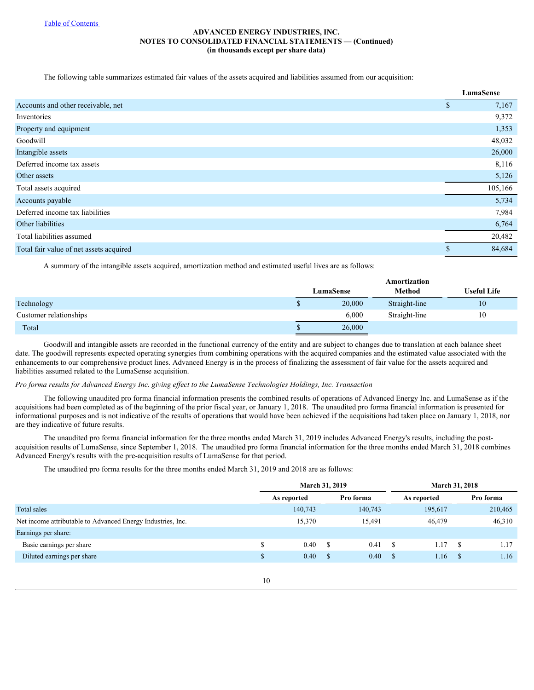The following table summarizes estimated fair values of the assets acquired and liabilities assumed from our acquisition:

| LumaSense |         |  |  |  |  |
|-----------|---------|--|--|--|--|
| ъ         | 7,167   |  |  |  |  |
|           | 9,372   |  |  |  |  |
|           | 1,353   |  |  |  |  |
|           | 48,032  |  |  |  |  |
|           | 26,000  |  |  |  |  |
|           | 8,116   |  |  |  |  |
|           | 5,126   |  |  |  |  |
|           | 105,166 |  |  |  |  |
|           | 5,734   |  |  |  |  |
|           | 7,984   |  |  |  |  |
|           | 6,764   |  |  |  |  |
|           | 20,482  |  |  |  |  |
|           | 84,684  |  |  |  |  |
|           |         |  |  |  |  |

A summary of the intangible assets acquired, amortization method and estimated useful lives are as follows:

|                        |           | Amortization  |                    |
|------------------------|-----------|---------------|--------------------|
|                        | LumaSense | Method        | <b>Useful Life</b> |
| Technology             | 20,000    | Straight-line | 10                 |
| Customer relationships | 6,000     | Straight-line | 10                 |
| Total                  | 26,000    |               |                    |

Goodwill and intangible assets are recorded in the functional currency of the entity and are subject to changes due to translation at each balance sheet date. The goodwill represents expected operating synergies from combining operations with the acquired companies and the estimated value associated with the enhancements to our comprehensive product lines. Advanced Energy is in the process of finalizing the assessment of fair value for the assets acquired and liabilities assumed related to the LumaSense acquisition.

### Pro forma results for Advanced Energy Inc. giving effect to the LumaSense Technologies Holdings, Inc. Transaction

The following unaudited pro forma financial information presents the combined results of operations of Advanced Energy Inc. and LumaSense as if the acquisitions had been completed as of the beginning of the prior fiscal year, or January 1, 2018. The unaudited pro forma financial information is presented for informational purposes and is not indicative of the results of operations that would have been achieved if the acquisitions had taken place on January 1, 2018, nor are they indicative of future results.

The unaudited pro forma financial information for the three months ended March 31, 2019 includes Advanced Energy's results, including the postacquisition results of LumaSense, since September 1, 2018. The unaudited pro forma financial information for the three months ended March 31, 2018 combines Advanced Energy's results with the pre-acquisition results of LumaSense for that period.

The unaudited pro forma results for the three months ended March 31, 2019 and 2018 are as follows:

|                                                             | <b>March 31, 2019</b> |  |           |  | <b>March 31, 2018</b> |  |           |  |  |
|-------------------------------------------------------------|-----------------------|--|-----------|--|-----------------------|--|-----------|--|--|
|                                                             | As reported           |  | Pro forma |  | As reported           |  | Pro forma |  |  |
| Total sales                                                 | 140,743               |  | 140,743   |  | 195,617               |  | 210,465   |  |  |
| Net income attributable to Advanced Energy Industries, Inc. | 15,370                |  | 15,491    |  | 46,479                |  | 46,310    |  |  |
| Earnings per share:                                         |                       |  |           |  |                       |  |           |  |  |
| Basic earnings per share                                    | 0.40                  |  | 0.41      |  | 1.17                  |  | 1.17      |  |  |
| Diluted earnings per share                                  | 0.40                  |  | 0.40      |  | 1.16                  |  | 1.16      |  |  |
|                                                             |                       |  |           |  |                       |  |           |  |  |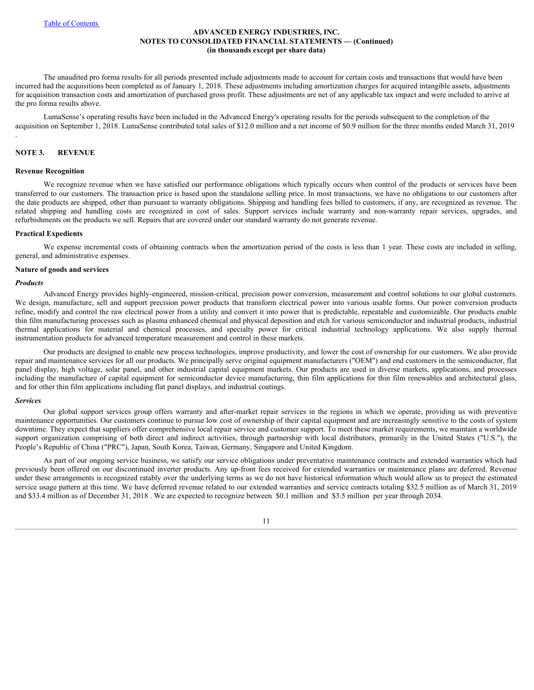The unaudited pro forma results for all periods presented include adjustments made to account for certain costs and transactions that would have been incurred had the acquisitions been completed as of January 1, 2018. These adjustments including amortization charges for acquired intangible assets, adjustments for acquisition transaction costs and amortization of purchased gross profit. These adjustments are net of any applicable tax impact and were included to arrive at the pro forma results above.

LumaSense's operating results have been included in the Advanced Energy's operating results for the periods subsequent to the completion of the acquisition on September 1, 2018. LumaSense contributed total sales of \$12.0 million and a net income of \$0.9 million for the three months ended March 31, 2019 .

### **NOTE 3. 3. REVENUE**

### **Revenue Recognition**

We recognize revenue when we have satisfied our performance obligations which typically occurs when control of the products or services have been transferred to our customers. The transaction price is based upon the standalone selling price. In most transactions, we have no obligations to our customers after the date products are shipped, other than pursuant to warranty obligations. Shipping and handling fees billed to customers, if any, are recognized as revenue. The Tableof Contents.<br> **Relation Show ANNOVID BONGA STATES INC.**<br>
The unuadited pro forma results for all periods presented include adjustments made to account for certain costs and transactions that would have been<br>
The unu refurbishments on the products we sell. Repairs that are covered under our standard warranty do not generate revenue.

### **Practical Expedients**

We expense incremental costs of obtaining contracts when the amortization period of the costs is less than 1 year. These costs are included in selling, general, and administrative expenses.

### **Nature of goods and services**

### *Products*

Advanced Energy provides highly-engineered, mission-critical, precision power conversion, measurement and control solutions to our global customers. Lating Contacts<br>
MOTES TO CONSOLIDATED EVINCOLATED EVINCOLATED (Confuned)<br>
No transform entropy that the particular precision precision power products the support products that we design<br>the control and support products th refine, modify and control the raw electrical power from a utility and convert it into power that is predictable, repeatable and customizable. Our products enable thin film manufacturing processes such as plasma enhanced chemical and physical deposition and etch for various semiconductor and industrial products, industrial The ancient of the material applications for material and chemical process controlled by the material and controlled by the material processes. And special in the material industrial technology applications for material p instrumentation products for advanced temperature measurement and control in these markets. mum bala sexuarion level capital in other panel, and the substitute material capital endomy. Givin the solar panel industrial capital equipment of the substitute of the particular equipment material capital exponent in the on on Septenber 1, 2018. LumaSence contributed total sales of \$1.2 0 million and net incomes f \$0.9 million for the theorem is a control of the products on strives lave beam<br>Receptible News and the velocity and provides wh NOTES. REVENUES IN EXTENT INTERNATION CONTROL COMPRESSIONS INTERNATION CONTROL CONTROL CONTROL CONTROL CONTROL CONTROL CONTROL CONTROL CONTROL CONTROL CONTROL CONTROL CONTROL CONTROL CONTROL CONTROL CONTROL CONTROL CONTROL

Our products are designed to enable new process technologies, improve productivity, and lower the cost of ownership for our customers. We also provide repair and maintenance services for all our products. We principally serve original equipment manufacturers ("OEM") and end customers in the semiconductor, flat including the manufacture of capital equipment for semiconductor device manufacturing, thin film applications for thin film renewables and architectural glass, and for other thin film applications including flat panel displays, and industrial coatings.

### *Services*

maintenance opportunities. Our customers continue to pursue low cost of ownership of their capital equipment and are increasingly sensitive to the costs of system downtime. They expect that suppliers offer comprehensive local repair service and customer support. To meet these market requirements, we maintain a worldwide support organization comprising of both direct and indirect act People's Republic of China ("PRC"), Japan, South Korea, Taiwan, Germany, Singapore and United Kingdom.

As part of our ongoing service business, we satisfy our service obligations under preventative maintenance contracts and extended warranties which had previously been offered on our discontinued inverter products. Any up-front fees received for extended warranties or maintenance plans are deferred. Revenue under these arrangements is recognized ratably over the underlying terms as we do not have historical information which would allow us to project the estimated service usage pattern at this time. We have deferred revenue related to our extended warranties and service contracts totaling \$32.5 million as of March 31, 2019 and \$33.4 million as of December 31, 2018 . We are expected to recognize between \$0.1 million and \$3.5 million per year through 2034.

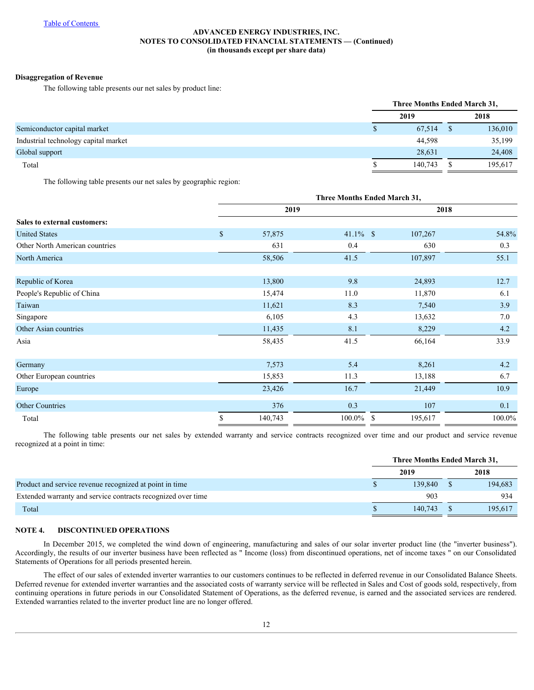# **Disaggregation of Revenue**

The following table presents our net sales by product line:

|                                      |         | Three Months Ended March 31, |         |  |  |
|--------------------------------------|---------|------------------------------|---------|--|--|
|                                      | 2019    |                              | 2018    |  |  |
| Semiconductor capital market         | 67,514  |                              | 136,010 |  |  |
| Industrial technology capital market | 44,598  |                              | 35,199  |  |  |
| Global support                       | 28,631  |                              | 24,408  |  |  |
| Total                                | 140,743 |                              | 195,617 |  |  |
|                                      |         |                              |         |  |  |

| Global support                                                                                                                                                                   |                         |                              | 28,631                       | 24,408  |
|----------------------------------------------------------------------------------------------------------------------------------------------------------------------------------|-------------------------|------------------------------|------------------------------|---------|
| Total                                                                                                                                                                            |                         |                              | $140,743$ \$                 | 195,617 |
| The following table presents our net sales by geographic region:                                                                                                                 |                         |                              |                              |         |
|                                                                                                                                                                                  |                         | Three Months Ended March 31, |                              |         |
|                                                                                                                                                                                  | 2019                    |                              | 2018                         |         |
| Sales to external customers:                                                                                                                                                     |                         |                              |                              |         |
| <b>United States</b>                                                                                                                                                             | 57,875<br>$\mathbb{S}$  | $41.1\%$ \$                  | 107,267                      | 54.8%   |
| Other North American countries                                                                                                                                                   | 631                     | $0.4\,$                      | 630                          | 0.3     |
| North America                                                                                                                                                                    | 58,506                  | 41.5                         | 107,897                      | 55.1    |
|                                                                                                                                                                                  |                         |                              |                              |         |
| Republic of Korea                                                                                                                                                                | 13,800                  | 9.8                          | 24,893                       | 12.7    |
| People's Republic of China                                                                                                                                                       | 15,474                  | $11.0$                       | 11,870                       | 6.1     |
| Taiwan                                                                                                                                                                           | 11,621                  | 8.3                          | 7,540                        | 3.9     |
| Singapore                                                                                                                                                                        | 6,105                   | 4.3                          | 13,632                       | 7.0     |
| Other Asian countries                                                                                                                                                            | 11,435                  | 8.1                          | 8,229                        | 4.2     |
| Asia                                                                                                                                                                             | 58,435                  | 41.5                         | 66,164                       | 33.9    |
|                                                                                                                                                                                  |                         |                              |                              |         |
| Germany                                                                                                                                                                          | 7,573                   | 5.4                          | 8,261                        | 4.2     |
| Other European countries                                                                                                                                                         | 15,853                  | 11.3                         | 13,188                       | 6.7     |
| Europe                                                                                                                                                                           | 23,426                  | 16.7                         | 21,449                       | 10.9    |
| Other Countries                                                                                                                                                                  | 376                     | 0.3                          | 107                          | 0.1     |
| Total                                                                                                                                                                            | 140,743<br><sup>S</sup> | $100.0\%$ \$                 | 195,617                      | 100.0%  |
|                                                                                                                                                                                  |                         |                              |                              |         |
| The following table presents our net sales by extended warranty and service contracts recognized over time and our product and service revenue<br>recognized at a point in time: |                         |                              |                              |         |
|                                                                                                                                                                                  |                         |                              | Three Months Ended March 31, |         |
|                                                                                                                                                                                  |                         |                              | 2019                         | 2018    |
| Product and service revenue recognized at point in time                                                                                                                          |                         | $\mathbb{S}$                 | 139,840 \$                   | 194,683 |
| Extended warranty and service contracts recognized over time                                                                                                                     |                         |                              | 903                          | 934     |
| <b>The Contract Contract Contract Contract Contract Contract Contract Contract Contract Contract Contract Contract</b>                                                           |                         | $\mathbb{C}$                 | $140.742$ $\degree$          | 105/17  |

|                                                              | Three Months Ended March 31, |         |
|--------------------------------------------------------------|------------------------------|---------|
|                                                              | 2019                         | 2018    |
| Product and service revenue recognized at point in time      | 139,840                      | 194,683 |
| Extended warranty and service contracts recognized over time | 903                          | 934     |
| Total                                                        | 140.743                      | 195,617 |

### **NOTE 4. DISCONTINUED OPERATIONS**

In December 2015, we completed the wind down of engineering, manufacturing and sales of our solar inverter product line (the "inverter business"). Accordingly, the results of our inverter business have been reflected as " Income (loss) from discontinued operations, net of income taxes " on our Consolidated Statements of Operations for all periods presented herein.

The effect of our sales of extended inverter warranties to our customers continues to be reflected in deferred revenue in our Consolidated Balance Sheets. Deferred revenue for extended inverter warranties and the associated costs of warranty service will be reflected in Sales and Cost of goods sold, respectively, from continuing operations in future periods in our Consolidated Statement of Operations, as the deferred revenue, is earned and the associated services are rendered. Extended warranties related to the inverter product line are no longer offered.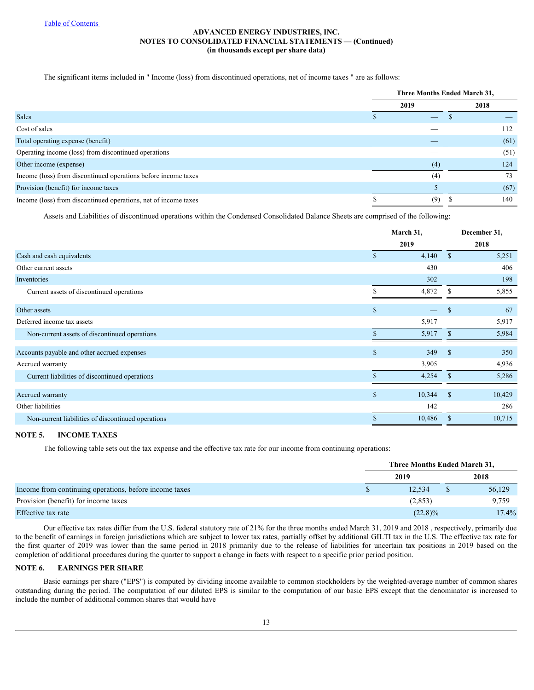The significant items included in " Income (loss) from discontinued operations, net of income taxes " are as follows:

|                                                                 | Three Months Ended March 31, |      |
|-----------------------------------------------------------------|------------------------------|------|
|                                                                 | 2019                         | 2018 |
| Sales                                                           |                              |      |
| Cost of sales                                                   | $\overline{\phantom{a}}$     | 112  |
| Total operating expense (benefit)                               |                              | (61) |
| Operating income (loss) from discontinued operations            |                              | (51) |
| Other income (expense)                                          | (4)                          | 124  |
| Income (loss) from discontinued operations before income taxes  | (4)                          |      |
| Provision (benefit) for income taxes                            |                              | (67) |
| Income (loss) from discontinued operations, net of income taxes | (9)                          | 140  |
|                                                                 |                              |      |

Assets and Liabilities of discontinued operations within the Condensed Consolidated Balance Sheets are comprised of the following:

|                                                                                                                                                                                  |                    | March 31,                    |              | December 31, |
|----------------------------------------------------------------------------------------------------------------------------------------------------------------------------------|--------------------|------------------------------|--------------|--------------|
|                                                                                                                                                                                  |                    | 2019                         |              | 2018         |
| Cash and cash equivalents                                                                                                                                                        | $\mathbf{\hat{S}}$ | $4,140$ \$                   |              | 5,251        |
| Other current assets                                                                                                                                                             |                    | 430                          |              | 406          |
| Inventories                                                                                                                                                                      |                    | 302                          |              | 198          |
| Current assets of discontinued operations                                                                                                                                        | $\mathbb{S}$       | $4,872$ \$                   |              | 5,855        |
| Other assets                                                                                                                                                                     | $\mathbf S$        | $-$ S                        |              | 67           |
| Deferred income tax assets                                                                                                                                                       |                    | 5,917                        |              | 5,917        |
| Non-current assets of discontinued operations                                                                                                                                    | $\mathbf{\$}$      | 5.917 S                      |              | 5,984        |
| Accounts payable and other accrued expenses                                                                                                                                      | $\mathbf S$        | 349                          | -S           | 350          |
| Accrued warranty                                                                                                                                                                 |                    | 3,905                        |              | 4,936        |
| Current liabilities of discontinued operations                                                                                                                                   | $\mathcal{S}$      | $4,254$ \$                   |              | 5,286        |
| Accrued warranty                                                                                                                                                                 | $\mathbf S$        | $10,344$ \$                  |              | 10,429       |
|                                                                                                                                                                                  |                    |                              |              |              |
| Other liabilities                                                                                                                                                                |                    | 142                          |              | 286          |
| Non-current liabilities of discontinued operations                                                                                                                               | $\mathbf{\hat{S}}$ | 10,486                       | <sup>S</sup> | 10,715       |
| <b>INCOME TAXES</b><br>NOTE 5.<br>The following table sets out the tax expense and the effective tax rate for our income from continuing operations:                             |                    | Three Months Ended March 31, |              |              |
|                                                                                                                                                                                  |                    | 2019                         |              | 2018         |
| Income from continuing operations, before income taxes                                                                                                                           |                    | 12,534                       | $\mathbb{S}$ | 56,129       |
| Provision (benefit) for income taxes                                                                                                                                             |                    | (2,853)                      |              | 9,759        |
| Effective tax rate<br>Our effective tax rates differ from the U.S. federal statutory rate of 21% for the three months ended March 31, 2019 and 2018, respectively, primarily due |                    | $(22.8)\%$                   |              | 17.4%        |

#### **NOTE 5. INCOME TAXES**

|                                                        | Three Months Ended March 31, |        |
|--------------------------------------------------------|------------------------------|--------|
|                                                        | 2019                         | 2018   |
| Income from continuing operations, before income taxes | 12,534                       | 56,129 |
| Provision (benefit) for income taxes                   | (2,853)                      | 9,759  |
| Effective tax rate                                     | $(22.8)\%$                   | 17.4%  |

#### **NOTE 6. 6. EARNINGS PER SHARE**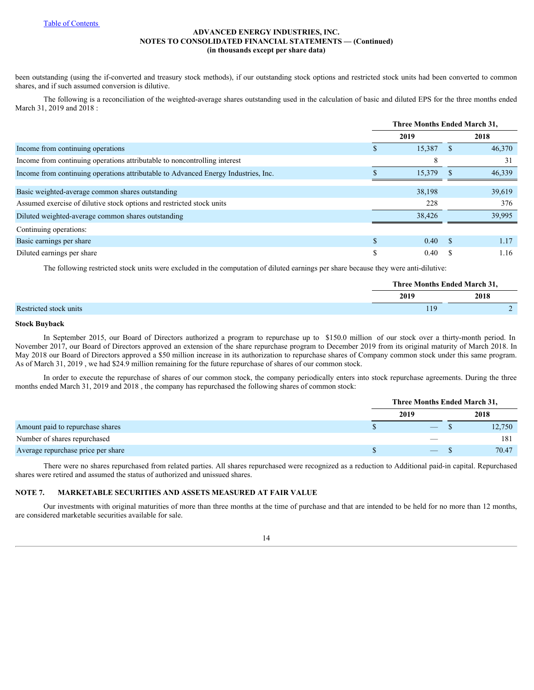| been outstanding (using the if-converted and treasury stock methods), if our outstanding stock options and restricted stock units had been converted to common<br>shares, and if such assumed conversion is dilutive.<br>The following is a reconciliation of the weighted-average shares outstanding used in the calculation of basic and diluted EPS for the three months ended<br>March 31, 2019 and 2018:<br><b>Three Months Ended March 31,</b><br>2019<br>2018<br>$15,387$ \$<br>46,370<br>Income from continuing operations<br>Income from continuing operations attributable to noncontrolling interest<br>31<br>15,379 \$<br>46.339<br>Income from continuing operations attributable to Advanced Energy Industries, Inc.<br>Basic weighted-average common shares outstanding<br>39,619<br>38,198<br>228<br>Assumed exercise of dilutive stock options and restricted stock units<br>376<br>38,426<br>39,995<br>Diluted weighted-average common shares outstanding<br>Continuing operations:<br>Basic earnings per share<br>0.40 S<br>1.17<br>-S<br>\$.<br>0.40 S<br>Diluted earnings per share<br>1.16<br>The following restricted stock units were excluded in the computation of diluted earnings per share because they were anti-dilutive:<br><b>Three Months Ended March 31,</b><br>2019<br>2018<br>119<br>$\overline{2}$<br>Restricted stock units<br><b>Stock Buyback</b><br>In September 2015, our Board of Directors authorized a program to repurchase up to \$150.0 million of our stock over a thirty-month period. In<br>November 2017, our Board of Directors approved an extension of the share repurchase program to December 2019 from its original maturity of March 2018. In<br>May 2018 our Board of Directors approved a \$50 million increase in its authorization to repurchase shares of Company common stock under this same program.<br>As of March 31, 2019, we had \$24.9 million remaining for the future repurchase of shares of our common stock.<br>In order to execute the repurchase of shares of our common stock, the company periodically enters into stock repurchase agreements. During the three<br>months ended March 31, 2019 and 2018, the company has repurchased the following shares of common stock:<br><b>Three Months Ended March 31,</b> | (in thousands except per share data) |  |  |
|------------------------------------------------------------------------------------------------------------------------------------------------------------------------------------------------------------------------------------------------------------------------------------------------------------------------------------------------------------------------------------------------------------------------------------------------------------------------------------------------------------------------------------------------------------------------------------------------------------------------------------------------------------------------------------------------------------------------------------------------------------------------------------------------------------------------------------------------------------------------------------------------------------------------------------------------------------------------------------------------------------------------------------------------------------------------------------------------------------------------------------------------------------------------------------------------------------------------------------------------------------------------------------------------------------------------------------------------------------------------------------------------------------------------------------------------------------------------------------------------------------------------------------------------------------------------------------------------------------------------------------------------------------------------------------------------------------------------------------------------------------------------------------------------------------------------------------------------------------------------------------------------------------------------------------------------------------------------------------------------------------------------------------------------------------------------------------------------------------------------------------------------------------------------------------------------------------------------------------------------------------------------------------------------------|--------------------------------------|--|--|
|                                                                                                                                                                                                                                                                                                                                                                                                                                                                                                                                                                                                                                                                                                                                                                                                                                                                                                                                                                                                                                                                                                                                                                                                                                                                                                                                                                                                                                                                                                                                                                                                                                                                                                                                                                                                                                                                                                                                                                                                                                                                                                                                                                                                                                                                                                      |                                      |  |  |
|                                                                                                                                                                                                                                                                                                                                                                                                                                                                                                                                                                                                                                                                                                                                                                                                                                                                                                                                                                                                                                                                                                                                                                                                                                                                                                                                                                                                                                                                                                                                                                                                                                                                                                                                                                                                                                                                                                                                                                                                                                                                                                                                                                                                                                                                                                      |                                      |  |  |
|                                                                                                                                                                                                                                                                                                                                                                                                                                                                                                                                                                                                                                                                                                                                                                                                                                                                                                                                                                                                                                                                                                                                                                                                                                                                                                                                                                                                                                                                                                                                                                                                                                                                                                                                                                                                                                                                                                                                                                                                                                                                                                                                                                                                                                                                                                      |                                      |  |  |
|                                                                                                                                                                                                                                                                                                                                                                                                                                                                                                                                                                                                                                                                                                                                                                                                                                                                                                                                                                                                                                                                                                                                                                                                                                                                                                                                                                                                                                                                                                                                                                                                                                                                                                                                                                                                                                                                                                                                                                                                                                                                                                                                                                                                                                                                                                      |                                      |  |  |
|                                                                                                                                                                                                                                                                                                                                                                                                                                                                                                                                                                                                                                                                                                                                                                                                                                                                                                                                                                                                                                                                                                                                                                                                                                                                                                                                                                                                                                                                                                                                                                                                                                                                                                                                                                                                                                                                                                                                                                                                                                                                                                                                                                                                                                                                                                      |                                      |  |  |
|                                                                                                                                                                                                                                                                                                                                                                                                                                                                                                                                                                                                                                                                                                                                                                                                                                                                                                                                                                                                                                                                                                                                                                                                                                                                                                                                                                                                                                                                                                                                                                                                                                                                                                                                                                                                                                                                                                                                                                                                                                                                                                                                                                                                                                                                                                      |                                      |  |  |
|                                                                                                                                                                                                                                                                                                                                                                                                                                                                                                                                                                                                                                                                                                                                                                                                                                                                                                                                                                                                                                                                                                                                                                                                                                                                                                                                                                                                                                                                                                                                                                                                                                                                                                                                                                                                                                                                                                                                                                                                                                                                                                                                                                                                                                                                                                      |                                      |  |  |
|                                                                                                                                                                                                                                                                                                                                                                                                                                                                                                                                                                                                                                                                                                                                                                                                                                                                                                                                                                                                                                                                                                                                                                                                                                                                                                                                                                                                                                                                                                                                                                                                                                                                                                                                                                                                                                                                                                                                                                                                                                                                                                                                                                                                                                                                                                      |                                      |  |  |
|                                                                                                                                                                                                                                                                                                                                                                                                                                                                                                                                                                                                                                                                                                                                                                                                                                                                                                                                                                                                                                                                                                                                                                                                                                                                                                                                                                                                                                                                                                                                                                                                                                                                                                                                                                                                                                                                                                                                                                                                                                                                                                                                                                                                                                                                                                      |                                      |  |  |
|                                                                                                                                                                                                                                                                                                                                                                                                                                                                                                                                                                                                                                                                                                                                                                                                                                                                                                                                                                                                                                                                                                                                                                                                                                                                                                                                                                                                                                                                                                                                                                                                                                                                                                                                                                                                                                                                                                                                                                                                                                                                                                                                                                                                                                                                                                      |                                      |  |  |
|                                                                                                                                                                                                                                                                                                                                                                                                                                                                                                                                                                                                                                                                                                                                                                                                                                                                                                                                                                                                                                                                                                                                                                                                                                                                                                                                                                                                                                                                                                                                                                                                                                                                                                                                                                                                                                                                                                                                                                                                                                                                                                                                                                                                                                                                                                      |                                      |  |  |
|                                                                                                                                                                                                                                                                                                                                                                                                                                                                                                                                                                                                                                                                                                                                                                                                                                                                                                                                                                                                                                                                                                                                                                                                                                                                                                                                                                                                                                                                                                                                                                                                                                                                                                                                                                                                                                                                                                                                                                                                                                                                                                                                                                                                                                                                                                      |                                      |  |  |
|                                                                                                                                                                                                                                                                                                                                                                                                                                                                                                                                                                                                                                                                                                                                                                                                                                                                                                                                                                                                                                                                                                                                                                                                                                                                                                                                                                                                                                                                                                                                                                                                                                                                                                                                                                                                                                                                                                                                                                                                                                                                                                                                                                                                                                                                                                      |                                      |  |  |
|                                                                                                                                                                                                                                                                                                                                                                                                                                                                                                                                                                                                                                                                                                                                                                                                                                                                                                                                                                                                                                                                                                                                                                                                                                                                                                                                                                                                                                                                                                                                                                                                                                                                                                                                                                                                                                                                                                                                                                                                                                                                                                                                                                                                                                                                                                      |                                      |  |  |
|                                                                                                                                                                                                                                                                                                                                                                                                                                                                                                                                                                                                                                                                                                                                                                                                                                                                                                                                                                                                                                                                                                                                                                                                                                                                                                                                                                                                                                                                                                                                                                                                                                                                                                                                                                                                                                                                                                                                                                                                                                                                                                                                                                                                                                                                                                      |                                      |  |  |
|                                                                                                                                                                                                                                                                                                                                                                                                                                                                                                                                                                                                                                                                                                                                                                                                                                                                                                                                                                                                                                                                                                                                                                                                                                                                                                                                                                                                                                                                                                                                                                                                                                                                                                                                                                                                                                                                                                                                                                                                                                                                                                                                                                                                                                                                                                      |                                      |  |  |
|                                                                                                                                                                                                                                                                                                                                                                                                                                                                                                                                                                                                                                                                                                                                                                                                                                                                                                                                                                                                                                                                                                                                                                                                                                                                                                                                                                                                                                                                                                                                                                                                                                                                                                                                                                                                                                                                                                                                                                                                                                                                                                                                                                                                                                                                                                      |                                      |  |  |
|                                                                                                                                                                                                                                                                                                                                                                                                                                                                                                                                                                                                                                                                                                                                                                                                                                                                                                                                                                                                                                                                                                                                                                                                                                                                                                                                                                                                                                                                                                                                                                                                                                                                                                                                                                                                                                                                                                                                                                                                                                                                                                                                                                                                                                                                                                      |                                      |  |  |
|                                                                                                                                                                                                                                                                                                                                                                                                                                                                                                                                                                                                                                                                                                                                                                                                                                                                                                                                                                                                                                                                                                                                                                                                                                                                                                                                                                                                                                                                                                                                                                                                                                                                                                                                                                                                                                                                                                                                                                                                                                                                                                                                                                                                                                                                                                      |                                      |  |  |
|                                                                                                                                                                                                                                                                                                                                                                                                                                                                                                                                                                                                                                                                                                                                                                                                                                                                                                                                                                                                                                                                                                                                                                                                                                                                                                                                                                                                                                                                                                                                                                                                                                                                                                                                                                                                                                                                                                                                                                                                                                                                                                                                                                                                                                                                                                      |                                      |  |  |
|                                                                                                                                                                                                                                                                                                                                                                                                                                                                                                                                                                                                                                                                                                                                                                                                                                                                                                                                                                                                                                                                                                                                                                                                                                                                                                                                                                                                                                                                                                                                                                                                                                                                                                                                                                                                                                                                                                                                                                                                                                                                                                                                                                                                                                                                                                      |                                      |  |  |

|                        | Three Months Ended March 31, |      |
|------------------------|------------------------------|------|
|                        | 2019                         | 2018 |
| Restricted stock units | 119                          |      |

### **Stock Buyback**

|                                    | Three Months Ended March 31, |        |
|------------------------------------|------------------------------|--------|
|                                    | 2019                         | 2018   |
| Amount paid to repurchase shares   |                              | 12,750 |
| Number of shares repurchased       |                              | 181    |
| Average repurchase price per share | $\overline{\phantom{a}}$     | 70.47  |

There were no shares repurchased from related parties. All shares repurchased were recognized as a reduction to Additional paid-in capital. Repurchased shares were retired and assumed the status of authorized and unissued shares.

#### **NOTE 7. MARKETABLE SECURITIES AND ASSETS MEASURED AT FAIR VALUE**

Our investments with original maturities of more than three months at the time of purchase and that are intended to be held for no more than 12 months, are considered marketable securities available for sale.

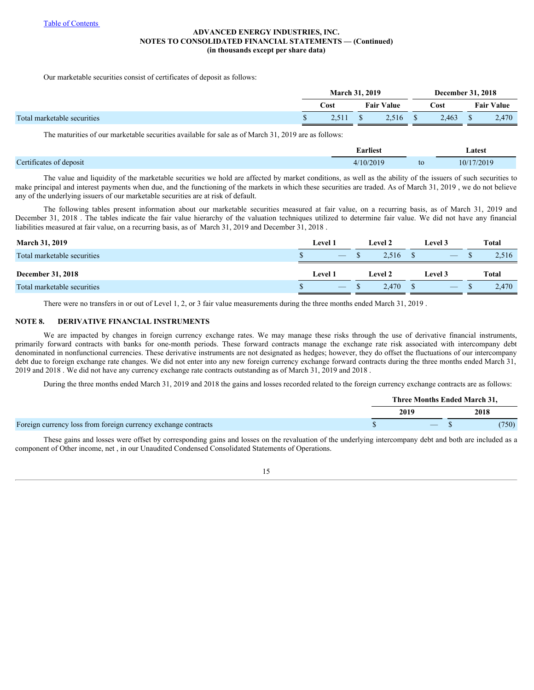|                             |       | <b>March 31, 2019</b> |  | <b>December 31, 2018</b> |                   |
|-----------------------------|-------|-----------------------|--|--------------------------|-------------------|
|                             | Cost  | <b>Fair Value</b>     |  | Cost                     | <b>Fair Value</b> |
| Total marketable securities | 2,511 | 2,516                 |  | 2,463                    | 2,470             |

|                                                                                                                       | <b>Earliest</b><br>$\sim$ $\sim$ $\sim$ $\sim$ $\sim$ |    | <b>Latest</b> |
|-----------------------------------------------------------------------------------------------------------------------|-------------------------------------------------------|----|---------------|
| Certificates of deposit                                                                                               | 4/10/2019                                             | to |               |
| <b>Contract Contract Contract Contract Contract Contract Contract Contract Contract Contract Contract Contract Co</b> | .                                                     |    | 10/17/2019    |

| <b>Table of Contents</b>                        | ADVANCED ENERGY INDUSTRIES, INC.                                                                                                                                                                                                                                                                                                                                                                                                                                                                                                                                                                                                                                                                                                                                                                                                                |                                 |       |                       |            |                              |                          |
|-------------------------------------------------|-------------------------------------------------------------------------------------------------------------------------------------------------------------------------------------------------------------------------------------------------------------------------------------------------------------------------------------------------------------------------------------------------------------------------------------------------------------------------------------------------------------------------------------------------------------------------------------------------------------------------------------------------------------------------------------------------------------------------------------------------------------------------------------------------------------------------------------------------|---------------------------------|-------|-----------------------|------------|------------------------------|--------------------------|
|                                                 | NOTES TO CONSOLIDATED FINANCIAL STATEMENTS — (Continued)<br>(in thousands except per share data)                                                                                                                                                                                                                                                                                                                                                                                                                                                                                                                                                                                                                                                                                                                                                |                                 |       |                       |            |                              |                          |
|                                                 | Our marketable securities consist of certificates of deposit as follows:                                                                                                                                                                                                                                                                                                                                                                                                                                                                                                                                                                                                                                                                                                                                                                        |                                 |       |                       |            |                              |                          |
|                                                 |                                                                                                                                                                                                                                                                                                                                                                                                                                                                                                                                                                                                                                                                                                                                                                                                                                                 |                                 |       | <b>March 31, 2019</b> |            |                              | <b>December 31, 2018</b> |
|                                                 |                                                                                                                                                                                                                                                                                                                                                                                                                                                                                                                                                                                                                                                                                                                                                                                                                                                 |                                 | Cost  | <b>Fair Value</b>     |            | Cost                         | <b>Fair Value</b>        |
| Total marketable securities                     |                                                                                                                                                                                                                                                                                                                                                                                                                                                                                                                                                                                                                                                                                                                                                                                                                                                 |                                 | 2,511 | - \$                  | 2,516      | 2,463<br>- \$                | 2,470<br>-S              |
|                                                 | The maturities of our marketable securities available for sale as of March 31, 2019 are as follows:                                                                                                                                                                                                                                                                                                                                                                                                                                                                                                                                                                                                                                                                                                                                             |                                 |       |                       |            |                              |                          |
|                                                 |                                                                                                                                                                                                                                                                                                                                                                                                                                                                                                                                                                                                                                                                                                                                                                                                                                                 |                                 |       | <b>Earliest</b>       |            |                              | Latest                   |
|                                                 |                                                                                                                                                                                                                                                                                                                                                                                                                                                                                                                                                                                                                                                                                                                                                                                                                                                 |                                 |       |                       |            |                              |                          |
| Certificates of deposit                         |                                                                                                                                                                                                                                                                                                                                                                                                                                                                                                                                                                                                                                                                                                                                                                                                                                                 |                                 |       | 4/10/2019             |            | to                           | 10/17/2019               |
|                                                 | The value and liquidity of the marketable securities we hold are affected by market conditions, as well as the ability of the issuers of such securities to<br>make principal and interest payments when due, and the functioning of the markets in which these securities are traded. As of March 31, 2019, we do not believe<br>any of the underlying issuers of our marketable securities are at risk of default.<br>The following tables present information about our marketable securities measured at fair value, on a recurring basis, as of March 31, 2019 and<br>December 31, 2018. The tables indicate the fair value hierarchy of the valuation techniques utilized to determine fair value. We did not have any financial<br>liabilities measured at fair value, on a recurring basis, as of March 31, 2019 and December 31, 2018. |                                 |       |                       |            |                              |                          |
| <b>March 31, 2019</b>                           |                                                                                                                                                                                                                                                                                                                                                                                                                                                                                                                                                                                                                                                                                                                                                                                                                                                 | <b>Level 1</b>                  |       | <b>Level 2</b>        |            | Level 3                      | <b>Total</b>             |
| Total marketable securities                     |                                                                                                                                                                                                                                                                                                                                                                                                                                                                                                                                                                                                                                                                                                                                                                                                                                                 |                                 |       | <sup>S</sup>          | $2,516$ \$ |                              | $\mathbf{S}$<br>2,516    |
|                                                 |                                                                                                                                                                                                                                                                                                                                                                                                                                                                                                                                                                                                                                                                                                                                                                                                                                                 |                                 |       |                       |            |                              |                          |
| December 31, 2018                               |                                                                                                                                                                                                                                                                                                                                                                                                                                                                                                                                                                                                                                                                                                                                                                                                                                                 | <b>Level 1</b><br><sup>\$</sup> |       | Level 2               |            | Level 3                      | <b>Total</b>             |
| Total marketable securities                     |                                                                                                                                                                                                                                                                                                                                                                                                                                                                                                                                                                                                                                                                                                                                                                                                                                                 |                                 |       |                       | $2,470$ \$ |                              | 2,470                    |
|                                                 | There were no transfers in or out of Level 1, 2, or 3 fair value measurements during the three months ended March 31, 2019.                                                                                                                                                                                                                                                                                                                                                                                                                                                                                                                                                                                                                                                                                                                     |                                 |       |                       |            |                              |                          |
| <b>NOTE 8. DERIVATIVE FINANCIAL INSTRUMENTS</b> |                                                                                                                                                                                                                                                                                                                                                                                                                                                                                                                                                                                                                                                                                                                                                                                                                                                 |                                 |       |                       |            |                              |                          |
|                                                 | We are impacted by changes in foreign currency exchange rates. We may manage these risks through the use of derivative financial instruments,<br>primarily forward contracts with banks for one-month periods. These forward contracts manage the exchange rate risk associated with intercompany debt<br>denominated in nonfunctional currencies. These derivative instruments are not designated as hedges; however, they do offset the fluctuations of our intercompany<br>debt due to foreign exchange rate changes. We did not enter into any new foreign currency exchange forward contracts during the three months ended March 31,<br>2019 and 2018. We did not have any currency exchange rate contracts outstanding as of March 31, 2019 and 2018.                                                                                    |                                 |       |                       |            |                              |                          |
|                                                 | During the three months ended March 31, 2019 and 2018 the gains and losses recorded related to the foreign currency exchange contracts are as follows:                                                                                                                                                                                                                                                                                                                                                                                                                                                                                                                                                                                                                                                                                          |                                 |       |                       |            |                              |                          |
|                                                 |                                                                                                                                                                                                                                                                                                                                                                                                                                                                                                                                                                                                                                                                                                                                                                                                                                                 |                                 |       |                       |            | Three Months Ended March 31, |                          |

### **NOTE 8. DERIVATIVE FINANCIAL INSTRUMENTS**

|                                                                |      | Three Months Ended March 31, |
|----------------------------------------------------------------|------|------------------------------|
|                                                                | 2019 | 2018                         |
| Foreign currency loss from foreign currency exchange contracts |      | (750)                        |

These gains and losses were offset by corresponding gains and losses on the revaluation of the underlying intercompany debt and both are included as a component of Other income, net , in our Unaudited Condensed Consolidated Statements of Operations.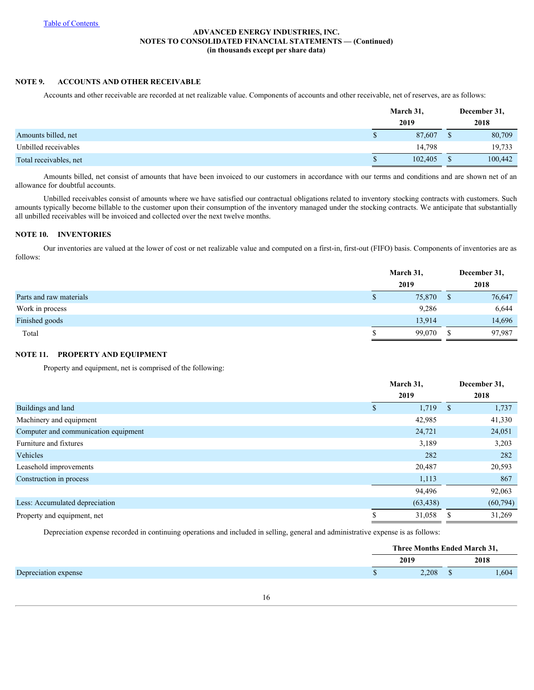### **NOTE 9. 9. ACCOUNTS AND OTHER RECEIVABLE**

Accounts and other receivable are recorded at net realizable value. Components of accounts and other receivable, net of reserves, are as follows:

|                        | March 31,<br>2019 | December 31,<br>2018 |
|------------------------|-------------------|----------------------|
| Amounts billed, net    | 87,607            | 80,709               |
| Unbilled receivables   | 14,798            | 19,733               |
| Total receivables, net | 102,405           | 100,442              |

Amounts billed, net consist of amounts that have been invoiced to our customers in accordance with our terms and conditions and are shown net of an allowance for doubtful accounts.

Unbilled receivables consist of amounts where we have satisfied our contractual obligations related to inventory stocking contracts with customers. Such amounts typically become billable to the customer upon their consumption of the inventory managed under the stocking contracts. We anticipate that substantially all unbilled receivables will be invoiced and collected over the next twelve months.

# **NOTE 10. INVENTORIES**

Our inventories are valued at the lower of cost or net realizable value and computed on a first-in, first-out (FIFO) basis. Components of inventories are as follows:

|                         | March 31, | December 31, |
|-------------------------|-----------|--------------|
|                         | 2019      | 2018         |
| Parts and raw materials | 75,870    | 76,647       |
| Work in process         | 9,286     | 6,644        |
| Finished goods          | 13,914    | 14,696       |
| Total                   | 99,070    | 97,987       |
|                         |           |              |

# **NOTE 11. PROPERTY AND EQUIPMENT**

Property and equipment, net is comprised of the following:

|                                      | March 31, | December 31, |
|--------------------------------------|-----------|--------------|
|                                      | 2019      | 2018         |
| Buildings and land                   | 1,719     | 1,737        |
| Machinery and equipment              | 42,985    | 41,330       |
| Computer and communication equipment | 24,721    | 24,051       |
| Furniture and fixtures               | 3,189     | 3,203        |
| Vehicles                             | 282       | 282          |
| Leasehold improvements               | 20,487    | 20,593       |
| Construction in process              | 1,113     | 867          |
|                                      | 94,496    | 92,063       |
| Less: Accumulated depreciation       | (63, 438) | (60, 794)    |
| Property and equipment, net          | 31,058    | 31,269       |
|                                      |           |              |

Depreciation expense recorded in continuing operations and included in selling, general and administrative expense is as follows:

|                      | Three Months Ended March 31, |       |
|----------------------|------------------------------|-------|
|                      | 2019                         | 2018  |
| Depreciation expense | 2,208                        | 1,604 |
|                      |                              |       |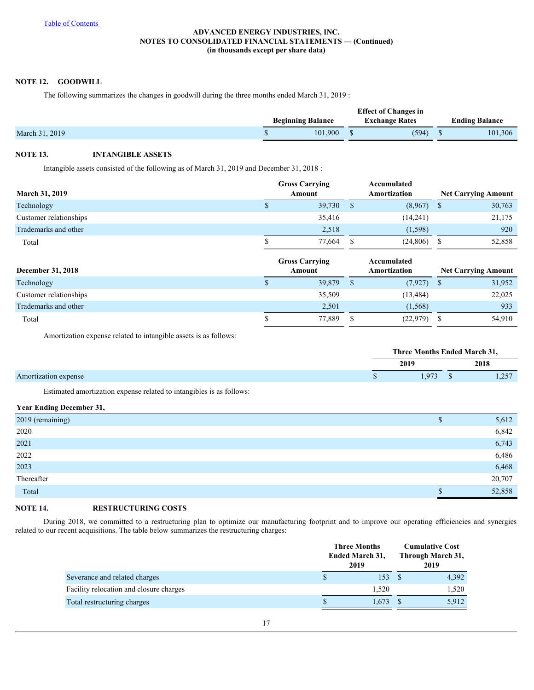# **NOTE 12. GOODWILL**

The following summarizes the changes in goodwill during the three months ended March 31, 2019 :

| <b>Ending Balance</b><br><b>Beginning Balance</b><br><b>Exchange Rates</b><br>101,306<br>(594)<br>101,900 |                |  | <b>Effect of Changes in</b> |  |
|-----------------------------------------------------------------------------------------------------------|----------------|--|-----------------------------|--|
|                                                                                                           |                |  |                             |  |
|                                                                                                           | March 31, 2019 |  |                             |  |

### **NOTE 13. INTANGIBLE ASSETS**

Intangible assets consisted of the following as of March 31, 2019 and December 31, 2018 :

| March 31, 2019         |                                                                                                                                                                                                                                                |               | <b>Gross Carrying</b><br>Amount |              | Accumulated<br>Amortization                                                           |              | <b>Net Carrying Amount</b> |
|------------------------|------------------------------------------------------------------------------------------------------------------------------------------------------------------------------------------------------------------------------------------------|---------------|---------------------------------|--------------|---------------------------------------------------------------------------------------|--------------|----------------------------|
| Technology             |                                                                                                                                                                                                                                                | $\mathbb{S}$  | $39,730$ \$                     |              | $(8,967)$ \$                                                                          |              | 30,763                     |
| Customer relationships |                                                                                                                                                                                                                                                |               | 35,416                          |              | (14,241)                                                                              |              | 21,175                     |
| Trademarks and other   |                                                                                                                                                                                                                                                |               | 2,518                           |              | (1, 598)                                                                              |              | 920                        |
| Total                  |                                                                                                                                                                                                                                                | <sup>\$</sup> | 77,664 \$                       |              | $(24,806)$ \$                                                                         |              | 52,858                     |
|                        |                                                                                                                                                                                                                                                |               | <b>Gross Carrying</b>           |              | Accumulated                                                                           |              |                            |
| December 31, 2018      |                                                                                                                                                                                                                                                |               | Amount                          |              | Amortization                                                                          |              | <b>Net Carrying Amount</b> |
| Technology             |                                                                                                                                                                                                                                                | $\mathbb{S}$  | 39,879 \$                       |              | $(7,927)$ \$                                                                          |              | 31,952                     |
| Customer relationships |                                                                                                                                                                                                                                                |               | 35,509                          |              | (13, 484)                                                                             |              | 22,025                     |
| Trademarks and other   |                                                                                                                                                                                                                                                |               | 2,501                           |              | (1, 568)                                                                              |              | 933                        |
| Total                  |                                                                                                                                                                                                                                                | <sup>\$</sup> | 77,889                          | $\mathbb{S}$ | $(22,979)$ \$                                                                         |              | 54,910                     |
|                        |                                                                                                                                                                                                                                                |               |                                 |              |                                                                                       |              |                            |
|                        | Amortization expense related to intangible assets is as follows:                                                                                                                                                                               |               |                                 |              |                                                                                       |              |                            |
|                        |                                                                                                                                                                                                                                                |               |                                 |              | Three Months Ended March 31,                                                          |              |                            |
|                        |                                                                                                                                                                                                                                                |               |                                 |              | 2019                                                                                  |              | 2018                       |
| Amortization expense   |                                                                                                                                                                                                                                                |               |                                 |              | $\mathbb{S}$                                                                          | $1,973$ \$   | 1,257                      |
|                        | Estimated amortization expense related to intangibles is as follows:                                                                                                                                                                           |               |                                 |              |                                                                                       |              |                            |
|                        | <b>Year Ending December 31,</b>                                                                                                                                                                                                                |               |                                 |              |                                                                                       |              |                            |
| 2019 (remaining)       |                                                                                                                                                                                                                                                |               |                                 |              |                                                                                       | $\mathbb{S}$ | 5,612                      |
| 2020                   |                                                                                                                                                                                                                                                |               |                                 |              |                                                                                       |              | 6,842                      |
| 2021                   |                                                                                                                                                                                                                                                |               |                                 |              |                                                                                       |              | 6,743                      |
| 2022                   |                                                                                                                                                                                                                                                |               |                                 |              |                                                                                       |              | 6,486                      |
| 2023                   |                                                                                                                                                                                                                                                |               |                                 |              |                                                                                       |              | 6,468                      |
| Thereafter             |                                                                                                                                                                                                                                                |               |                                 |              |                                                                                       |              | 20,707                     |
| Total                  |                                                                                                                                                                                                                                                |               |                                 |              |                                                                                       | <sup>S</sup> | 52,858                     |
| <b>NOTE 14.</b>        | <b>RESTRUCTURING COSTS</b>                                                                                                                                                                                                                     |               |                                 |              |                                                                                       |              |                            |
|                        |                                                                                                                                                                                                                                                |               |                                 |              |                                                                                       |              |                            |
|                        | During 2018, we committed to a restructuring plan to optimize our manufacturing footprint and to improve our operating efficiencies and synergies<br>related to our recent acquisitions. The table below summarizes the restructuring charges: |               |                                 |              |                                                                                       |              |                            |
|                        |                                                                                                                                                                                                                                                |               |                                 |              |                                                                                       |              |                            |
|                        |                                                                                                                                                                                                                                                |               |                                 |              | <b>Three Months</b><br><b>Cumulative Cost</b><br>Ended March 31,<br>Through March 31, |              |                            |
|                        |                                                                                                                                                                                                                                                |               |                                 | 2019         | 2019                                                                                  |              |                            |
|                        | Severance and related charges                                                                                                                                                                                                                  |               | $\mathbb{S}$                    |              | 153S                                                                                  | 4,392        |                            |
|                        | Facility relocation and closure charges                                                                                                                                                                                                        |               |                                 |              | 1,520                                                                                 | 1,520        |                            |

|                      | Three Months Ended March 31,<br>2019<br>072<br>1,9/3 |                          |
|----------------------|------------------------------------------------------|--------------------------|
|                      |                                                      | 2018                     |
| Amortization expense |                                                      | 257<br>$\perp$ , $\perp$ |

# **Year Ending December 31,**

| 2019 (remaining) | 5,612  |
|------------------|--------|
| 2020             | 6,842  |
| 2021             | 6,743  |
| 2022             | 6,486  |
| 2023             | 6,468  |
|                  | 20,707 |
| Total            | 52,858 |
|                  |        |

### **NOTE 14. RESTRUCTURING COSTS**

|                                         | <b>Three Months</b><br><b>Ended March 31,</b><br>2019 | <b>Cumulative Cost</b><br>Through March 31,<br>2019 |
|-----------------------------------------|-------------------------------------------------------|-----------------------------------------------------|
| Severance and related charges           | 153                                                   | 4,392                                               |
| Facility relocation and closure charges | .520                                                  | 1,520                                               |
| Total restructuring charges             | 1,673                                                 | 5,912                                               |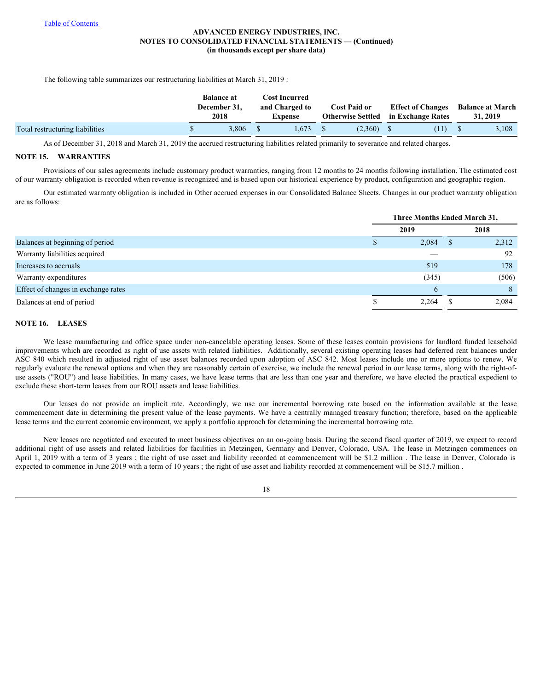|                                 | <b>Balance at</b><br>December 31, | <b>Cost Incurred</b><br>and Charged to | <b>Cost Paid or</b>      | <b>Effect of Changes</b> | <b>Balance at March</b> |
|---------------------------------|-----------------------------------|----------------------------------------|--------------------------|--------------------------|-------------------------|
|                                 | 2018                              | Expense                                | <b>Otherwise Settled</b> | in Exchange Rates        | 31, 2019                |
| Total restructuring liabilities | 3,806                             | 1,673                                  | 2,360                    | (11)                     | 3,108                   |

### **NOTE 15. WARRANTIES**

|                                                                                                                                                                                                                                                                                                                                                                                                                                                                                                                                                                                                                                                                                                                                                                                                                                                                                                                | <b>Balance at</b><br>December 31,<br>2018 |    | <b>Cost Incurred</b><br>and Charged to<br><b>Expense</b> | <b>Cost Paid or</b><br><b>Otherwise Settled</b> |               | <b>Effect of Changes</b><br>in Exchange Rates |            | <b>Balance at March</b><br>31, 2019 |       |
|----------------------------------------------------------------------------------------------------------------------------------------------------------------------------------------------------------------------------------------------------------------------------------------------------------------------------------------------------------------------------------------------------------------------------------------------------------------------------------------------------------------------------------------------------------------------------------------------------------------------------------------------------------------------------------------------------------------------------------------------------------------------------------------------------------------------------------------------------------------------------------------------------------------|-------------------------------------------|----|----------------------------------------------------------|-------------------------------------------------|---------------|-----------------------------------------------|------------|-------------------------------------|-------|
| Total restructuring liabilities                                                                                                                                                                                                                                                                                                                                                                                                                                                                                                                                                                                                                                                                                                                                                                                                                                                                                | 3,806                                     | -S | 1,673                                                    | -8                                              | (2,360)       |                                               | $(11)$ \$  |                                     | 3,108 |
| As of December 31, 2018 and March 31, 2019 the accrued restructuring liabilities related primarily to severance and related charges.                                                                                                                                                                                                                                                                                                                                                                                                                                                                                                                                                                                                                                                                                                                                                                           |                                           |    |                                                          |                                                 |               |                                               |            |                                     |       |
| <b>NOTE 15. WARRANTIES</b>                                                                                                                                                                                                                                                                                                                                                                                                                                                                                                                                                                                                                                                                                                                                                                                                                                                                                     |                                           |    |                                                          |                                                 |               |                                               |            |                                     |       |
| Provisions of our sales agreements include customary product warranties, ranging from 12 months to 24 months following installation. The estimated cost                                                                                                                                                                                                                                                                                                                                                                                                                                                                                                                                                                                                                                                                                                                                                        |                                           |    |                                                          |                                                 |               |                                               |            |                                     |       |
| of our warranty obligation is recorded when revenue is recognized and is based upon our historical experience by product, configuration and geographic region.                                                                                                                                                                                                                                                                                                                                                                                                                                                                                                                                                                                                                                                                                                                                                 |                                           |    |                                                          |                                                 |               |                                               |            |                                     |       |
| Our estimated warranty obligation is included in Other accrued expenses in our Consolidated Balance Sheets. Changes in our product warranty obligation<br>are as follows:                                                                                                                                                                                                                                                                                                                                                                                                                                                                                                                                                                                                                                                                                                                                      |                                           |    |                                                          |                                                 |               |                                               |            |                                     |       |
|                                                                                                                                                                                                                                                                                                                                                                                                                                                                                                                                                                                                                                                                                                                                                                                                                                                                                                                |                                           |    |                                                          |                                                 |               |                                               |            | <b>Three Months Ended March 31,</b> |       |
|                                                                                                                                                                                                                                                                                                                                                                                                                                                                                                                                                                                                                                                                                                                                                                                                                                                                                                                |                                           |    |                                                          |                                                 |               | 2019                                          |            | 2018                                |       |
| Balances at beginning of period                                                                                                                                                                                                                                                                                                                                                                                                                                                                                                                                                                                                                                                                                                                                                                                                                                                                                |                                           |    |                                                          |                                                 | $\mathcal{S}$ |                                               | $2,084$ \$ |                                     | 2,312 |
| Warranty liabilities acquired                                                                                                                                                                                                                                                                                                                                                                                                                                                                                                                                                                                                                                                                                                                                                                                                                                                                                  |                                           |    |                                                          |                                                 |               |                                               |            |                                     | 92    |
| Increases to accruals                                                                                                                                                                                                                                                                                                                                                                                                                                                                                                                                                                                                                                                                                                                                                                                                                                                                                          |                                           |    |                                                          |                                                 |               |                                               | 519        |                                     | 178   |
| Warranty expenditures                                                                                                                                                                                                                                                                                                                                                                                                                                                                                                                                                                                                                                                                                                                                                                                                                                                                                          |                                           |    |                                                          |                                                 |               |                                               | (345)      |                                     | (506) |
| Effect of changes in exchange rates                                                                                                                                                                                                                                                                                                                                                                                                                                                                                                                                                                                                                                                                                                                                                                                                                                                                            |                                           |    |                                                          |                                                 |               |                                               | 6          |                                     | 8     |
| Balances at end of period                                                                                                                                                                                                                                                                                                                                                                                                                                                                                                                                                                                                                                                                                                                                                                                                                                                                                      |                                           |    |                                                          |                                                 |               |                                               | $2,264$ \$ |                                     | 2,084 |
| <b>NOTE 16. LEASES</b>                                                                                                                                                                                                                                                                                                                                                                                                                                                                                                                                                                                                                                                                                                                                                                                                                                                                                         |                                           |    |                                                          |                                                 |               |                                               |            |                                     |       |
|                                                                                                                                                                                                                                                                                                                                                                                                                                                                                                                                                                                                                                                                                                                                                                                                                                                                                                                |                                           |    |                                                          |                                                 |               |                                               |            |                                     |       |
| We lease manufacturing and office space under non-cancelable operating leases. Some of these leases contain provisions for landlord funded leasehold<br>improvements which are recorded as right of use assets with related liabilities. Additionally, several existing operating leases had deferred rent balances under<br>ASC 840 which resulted in adjusted right of use asset balances recorded upon adoption of ASC 842. Most leases include one or more options to renew. We<br>regularly evaluate the renewal options and when they are reasonably certain of exercise, we include the renewal period in our lease terms, along with the right-of-<br>use assets ("ROU") and lease liabilities. In many cases, we have lease terms that are less than one year and therefore, we have elected the practical expedient to<br>exclude these short-term leases from our ROU assets and lease liabilities. |                                           |    |                                                          |                                                 |               |                                               |            |                                     |       |
| Our leases do not provide an implicit rate. Accordingly, we use our incremental borrowing rate based on the information available at the lease<br>commencement date in determining the present value of the lease payments. We have a centrally managed treasury function; therefore, based on the applicable<br>lease terms and the current economic environment, we apply a portfolio approach for determining the incremental borrowing rate.                                                                                                                                                                                                                                                                                                                                                                                                                                                               |                                           |    |                                                          |                                                 |               |                                               |            |                                     |       |
| New leases are negotiated and executed to meet business objectives on an on-going basis. During the second fiscal quarter of 2019, we expect to record<br>additional right of use assets and related liabilities for facilities in Metzingen, Germany and Denver, Colorado, USA. The lease in Metzingen commences on<br>April 1, 2019 with a term of 3 years; the right of use asset and liability recorded at commencement will be \$1.2 million. The lease in Denver, Colorado is<br>expected to commence in June 2019 with a term of 10 years; the right of use asset and liability recorded at commencement will be \$15.7 million.                                                                                                                                                                                                                                                                        |                                           |    |                                                          |                                                 |               |                                               |            |                                     |       |
|                                                                                                                                                                                                                                                                                                                                                                                                                                                                                                                                                                                                                                                                                                                                                                                                                                                                                                                |                                           | 18 |                                                          |                                                 |               |                                               |            |                                     |       |
|                                                                                                                                                                                                                                                                                                                                                                                                                                                                                                                                                                                                                                                                                                                                                                                                                                                                                                                |                                           |    |                                                          |                                                 |               |                                               |            |                                     |       |
|                                                                                                                                                                                                                                                                                                                                                                                                                                                                                                                                                                                                                                                                                                                                                                                                                                                                                                                |                                           |    |                                                          |                                                 |               |                                               |            |                                     |       |

### **NOTE 16. LEASES**

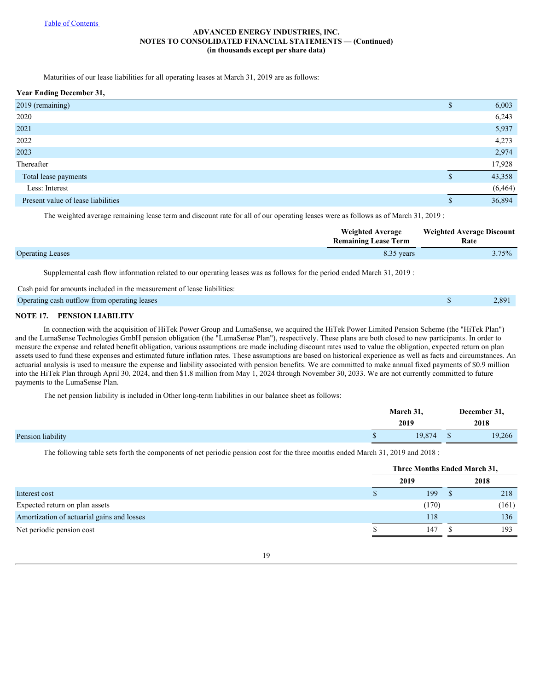Maturities of our lease liabilities for all operating leases at March 31, 2019 are as follows:

### **Year Ending December**

| <b>Year Ending December 31,</b>    |          |
|------------------------------------|----------|
| 2019 (remaining)                   | 6,003    |
| 2020                               | 6,243    |
| 2021                               | 5,937    |
| 2022                               | 4,273    |
| 2023                               | 2,974    |
| Thereafter                         | 17,928   |
| Total lease payments               | 43,358   |
| Less: Interest                     | (6, 464) |
| Present value of lease liabilities | 36,894   |
|                                    |          |

The weighted average remaining lease term and discount rate for all of our operating leases were as follows as of March 31, 2019 :

Supplemental cash flow information related to our operating leases was as follows for the period ended March 31, 2019 :

|  | Cash paid for amounts included in the measurement of lease liabilities: |
|--|-------------------------------------------------------------------------|
|--|-------------------------------------------------------------------------|

| Operating cash outflow from operating leases<br><b>Contract Contract Contract Contract Contract Contract Contract Contract Contract Contract Contract Contract Co</b> | $\sim$ $\sim$ $\sim$<br>-sa<br>$\sim$ |
|-----------------------------------------------------------------------------------------------------------------------------------------------------------------------|---------------------------------------|
|                                                                                                                                                                       |                                       |

# **NOTE 17. PENSION LIABILITY**

In connection with the acquisition of HiTek Power Group and LumaSense, we acquired the HiTek Power Limited Pension Scheme (the "HiTek Plan") and the LumaSense Technologies GmbH pension obligation (the "LumaSense Plan"), respectively. These plans are both closed to new participants. In order to measure the expense and related benefit obligation, various assumptions are made including discount rates used to value the obligation, expected return on plan assets used to fund these expenses and estimated future inflation rates. These assumptions are based on historical experience as well as facts and circumstances. An actuarial analysis is used to measure the expense and liability associated with pension benefits. We are committed to make annual fixed payments of \$0.9 million into the HiTek Plan through April 30, 2024, and then \$1.8 million from May 1, 2024 through November 30, 2033. We are not currently committed to future payments to the LumaSense Plan.

The net pension liability is included in Other long-term liabilities in our balance sheet as follows:

|                   | March 31, | December 31, |
|-------------------|-----------|--------------|
|                   | 2019      | 2018         |
| Pension liability | 19,874    | 19,266       |
|                   |           |              |

The following table sets forth the components of net periodic pension cost for the three months ended March 31, 2019 and 2018 :

|                                            | Three Months Ended March 31, |       |
|--------------------------------------------|------------------------------|-------|
|                                            | 2019                         | 2018  |
| Interest cost                              | 199                          | 218   |
| Expected return on plan assets             | (170)                        | (161) |
| Amortization of actuarial gains and losses | 118                          | 136   |
| Net periodic pension cost                  | 147                          | 193   |
|                                            |                              |       |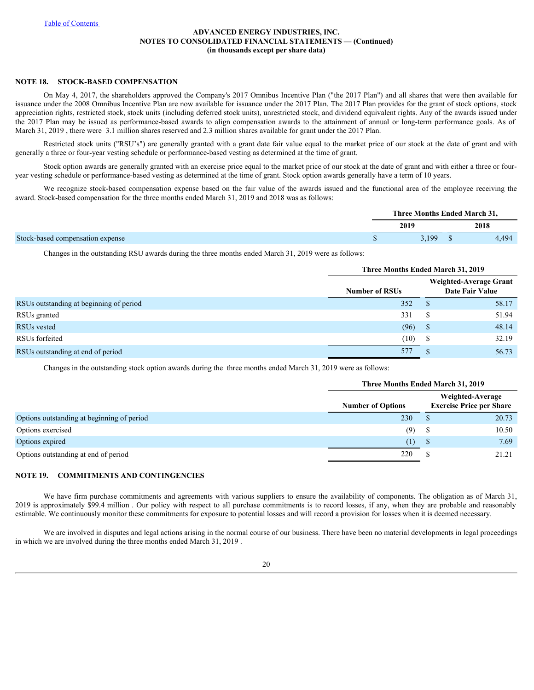### **NOTE 18. STOCK-BASED COMPENSATION**

On May 4, 2017, the shareholders approved the Company's 2017 Omnibus Incentive Plan ("the 2017 Plan") and all shares that were then available for issuance under the 2008 Omnibus Incentive Plan are now available for issuance under the 2017 Plan. The 2017 Plan provides for the grant of stock options, stock appreciation rights, restricted stock, stock units (including deferred stock units), unrestricted stock, and dividend equivalent rights. Any of the awards issued under Tableof Contents.<br> **EXECUTE TO CONSOLIDATED FINANCIAL STATEMENTS — (Continued)**<br>
(in thousands except per share data)<br>
(in thousands except per share data)<br>
(in thousands except per share data)<br>
(in thousands except per s March 31, 2019, there were 3.1 million shares reserved and 2.3 million shares available for grant under the 2017 Plan. Table of Contents.<br>
NOTES TO CONSOLIDATED FINANCIAL STATEMENTS — (Continued)<br>
(in thousands except per share data)<br>
8. STOCK-BASED COMPENSATION<br>
10. May 4, 2017, the shareholdes approved the Company's 2017 Omnibus Incenti

Restricted stock units ("RSU's") are generally granted with a grant date fair value equal to the market price of our stock at the date of grant and with generally a three or four-year vesting schedule or performance-based vesting as determined at the time of grant.

Stock option awards are generally granted with an exercise price equal to the market price of our stock at the date of grant and with either a three or fouryear vesting schedule or performance-based vesting as determined at the time of grant. Stock option awards generally have a term of 10 years.

award. Stock-based compensation for the three months ended March 31, 2019 and 2018 was as follows:

|                                  |       | Three Months Ended March 31, |  |
|----------------------------------|-------|------------------------------|--|
|                                  | 2019  | 2018                         |  |
| Stock-based compensation expense | 3,199 | 4,494                        |  |

Changes in the outstanding RSU awards during the three months ended March 31, 2019 were as follows:

|                                         | Three Months Ended March 31, 2019 |          |                                                  |
|-----------------------------------------|-----------------------------------|----------|--------------------------------------------------|
|                                         | <b>Number of RSUs</b>             |          | <b>Weighted-Average Grant</b><br>Date Fair Value |
| RSUs outstanding at beginning of period | 352                               |          | 58.17                                            |
| RSU <sub>s</sub> granted                | 331                               | - \$     | 51.94                                            |
| RSUs vested                             | $(96)$ \$                         |          | 48.14                                            |
| RSUs forfeited                          | (10)                              | <b>S</b> | 32.19                                            |
| RSUs outstanding at end of period       | 577                               |          | 56.73                                            |

Changes in the outstanding stock option awards during the three months ended March 31, 2019 were as follows:

|                                            | Three Months Ended March 31, 2019 |     |                                                     |
|--------------------------------------------|-----------------------------------|-----|-----------------------------------------------------|
|                                            | <b>Number of Options</b>          |     | Weighted-Average<br><b>Exercise Price per Share</b> |
| Options outstanding at beginning of period | 230                               |     | 20.73                                               |
| Options exercised                          | (9)                               | - 5 | 10.50                                               |
| Options expired                            | $(1)$ \$                          |     | 7.69                                                |
| Options outstanding at end of period       | 220                               |     | 21.21                                               |

### **NOTE 19. COMMITMENTS AND CONTINGENCIES**

We have firm purchase commitments and agreements with various suppliers to ensure the availability of components. The obligation as of March 31, 2019 is approximately \$99.4 million . Our policy with respect to all purchase commitments is to record losses, if any, when they are probable and reasonably estimable. We continuously monitor these commitments for exposure to potential losses and will record a provision for losses when it is deemed necessary.

We are involved in disputes and legal actions arising in the normal course of our business. There have been no material developments in legal proceedings in which we are involved during the three months ended March 31, 2019 .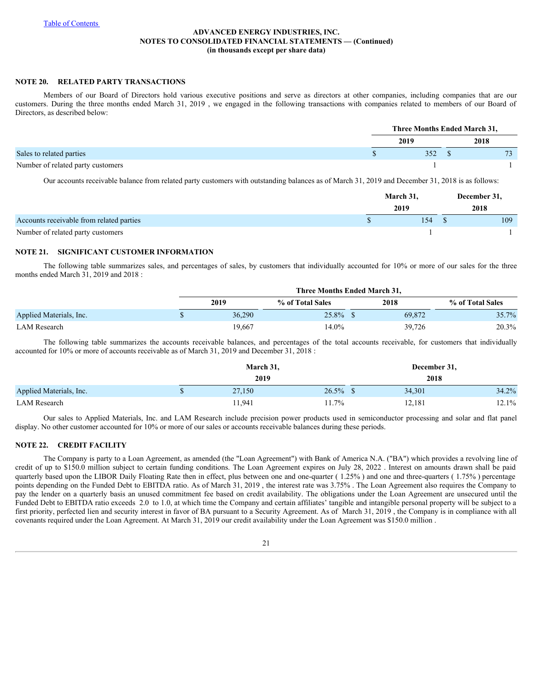### **NOTE 20. RELATED PARTY TRANSACTIONS**

| <b>Table of Contents</b>                                                                                                                                                                                                                                                                                                                |              |                                      |                                                          |              |                                     |                       |
|-----------------------------------------------------------------------------------------------------------------------------------------------------------------------------------------------------------------------------------------------------------------------------------------------------------------------------------------|--------------|--------------------------------------|----------------------------------------------------------|--------------|-------------------------------------|-----------------------|
|                                                                                                                                                                                                                                                                                                                                         |              |                                      | ADVANCED ENERGY INDUSTRIES, INC.                         |              |                                     |                       |
|                                                                                                                                                                                                                                                                                                                                         |              | (in thousands except per share data) | NOTES TO CONSOLIDATED FINANCIAL STATEMENTS - (Continued) |              |                                     |                       |
|                                                                                                                                                                                                                                                                                                                                         |              |                                      |                                                          |              |                                     |                       |
| <b>NOTE 20. RELATED PARTY TRANSACTIONS</b>                                                                                                                                                                                                                                                                                              |              |                                      |                                                          |              |                                     |                       |
| Members of our Board of Directors hold various executive positions and serve as directors at other companies, including companies that are our<br>customers. During the three months ended March 31, 2019, we engaged in the following transactions with companies related to members of our Board of<br>Directors, as described below: |              |                                      |                                                          |              |                                     |                       |
|                                                                                                                                                                                                                                                                                                                                         |              |                                      |                                                          |              | <b>Three Months Ended March 31,</b> |                       |
|                                                                                                                                                                                                                                                                                                                                         |              |                                      |                                                          |              | 2019                                | 2018                  |
| Sales to related parties<br>Number of related party customers                                                                                                                                                                                                                                                                           |              |                                      |                                                          | <sup>S</sup> | 352 S                               | 73                    |
| Our accounts receivable balance from related party customers with outstanding balances as of March 31, 2019 and December 31, 2018 is as follows:                                                                                                                                                                                        |              |                                      |                                                          |              |                                     |                       |
|                                                                                                                                                                                                                                                                                                                                         |              |                                      |                                                          |              | March 31,                           | December 31,          |
|                                                                                                                                                                                                                                                                                                                                         |              |                                      |                                                          |              | 2019                                | 2018                  |
| Accounts receivable from related parties<br>Number of related party customers                                                                                                                                                                                                                                                           |              |                                      |                                                          | $\mathbb{S}$ | 154 \$                              | 109<br>$\overline{1}$ |
|                                                                                                                                                                                                                                                                                                                                         |              |                                      |                                                          |              |                                     |                       |
| NOTE 21. SIGNIFICANT CUSTOMER INFORMATION                                                                                                                                                                                                                                                                                               |              |                                      |                                                          |              |                                     |                       |
| The following table summarizes sales, and percentages of sales, by customers that individually accounted for 10% or more of our sales for the three<br>months ended March 31, 2019 and 2018:                                                                                                                                            |              |                                      |                                                          |              |                                     |                       |
|                                                                                                                                                                                                                                                                                                                                         |              |                                      | Three Months Ended March 31,                             |              |                                     |                       |
|                                                                                                                                                                                                                                                                                                                                         |              | 2019                                 | % of Total Sales                                         |              | 2018                                | % of Total Sales      |
|                                                                                                                                                                                                                                                                                                                                         |              |                                      | 25.8% \$                                                 |              | 69,872                              | 35.7%                 |
| Applied Materials, Inc.                                                                                                                                                                                                                                                                                                                 | $\mathbb{S}$ | 36,290                               |                                                          |              |                                     | 20.3%                 |
| <b>LAM</b> Research                                                                                                                                                                                                                                                                                                                     |              | 19,667                               | 14.0%                                                    |              | 39,726                              |                       |
| The following table summarizes the accounts receivable balances, and percentages of the total accounts receivable, for customers that individually<br>accounted for 10% or more of accounts receivable as of March 31, 2019 and December 31, 2018:                                                                                      |              |                                      |                                                          |              |                                     |                       |
|                                                                                                                                                                                                                                                                                                                                         |              |                                      |                                                          |              |                                     |                       |
|                                                                                                                                                                                                                                                                                                                                         |              | March 31,<br>2019                    |                                                          |              | December 31,<br>2018                |                       |
| Applied Materials, Inc.                                                                                                                                                                                                                                                                                                                 | $\mathbb{S}$ | 27,150                               | $26.5\%$ \$                                              |              | 34,301                              | 34.2%                 |
| <b>LAM</b> Research                                                                                                                                                                                                                                                                                                                     |              | 11,941                               | 11.7%                                                    |              | 12,181                              | 12.1%                 |

|                                          | March 31, |     | December 31, |  |
|------------------------------------------|-----------|-----|--------------|--|
|                                          | 2019      |     | 2018         |  |
| Accounts receivable from related parties |           | 154 | 109          |  |
| Number of related party customers        |           |     |              |  |

### **NOTE 21. SIGNIFICANT CUSTOMER INFORMATION**

|                         | Three Months Ended March 31, |                  |        |                  |  |  |
|-------------------------|------------------------------|------------------|--------|------------------|--|--|
|                         | 2019                         | % of Total Sales | 2018   | % of Total Sales |  |  |
| Applied Materials, Inc. | 36,290                       | 25.8%            | 69,872 | 35.7%            |  |  |
| <b>LAM Research</b>     | 19,667                       | 14.0%            | 39,726 | 20.3%            |  |  |

|                                                                                                                                                                                                                                                                             |               |           |                              |              | 1 шес імонию ениси імаген эт, |                  |              |
|-----------------------------------------------------------------------------------------------------------------------------------------------------------------------------------------------------------------------------------------------------------------------------|---------------|-----------|------------------------------|--------------|-------------------------------|------------------|--------------|
|                                                                                                                                                                                                                                                                             |               |           |                              |              | 2019                          |                  | 2018         |
| Sales to related parties                                                                                                                                                                                                                                                    |               |           |                              |              | 352 S                         |                  | 73           |
| Number of related party customers                                                                                                                                                                                                                                           |               |           |                              |              |                               |                  |              |
| Our accounts receivable balance from related party customers with outstanding balances as of March 31, 2019 and December 31, 2018 is as follows:                                                                                                                            |               |           |                              |              |                               |                  |              |
|                                                                                                                                                                                                                                                                             |               |           |                              |              | March 31,                     |                  | December 31, |
|                                                                                                                                                                                                                                                                             |               |           |                              |              | 2019                          |                  | 2018         |
| Accounts receivable from related parties                                                                                                                                                                                                                                    |               |           |                              | $\mathbb{S}$ | 154S                          |                  | 109          |
| Number of related party customers                                                                                                                                                                                                                                           |               |           |                              |              |                               |                  |              |
|                                                                                                                                                                                                                                                                             |               |           |                              |              |                               |                  |              |
| NOTE 21. SIGNIFICANT CUSTOMER INFORMATION                                                                                                                                                                                                                                   |               |           |                              |              |                               |                  |              |
| The following table summarizes sales, and percentages of sales, by customers that individually accounted for 10% or more of our sales for the three                                                                                                                         |               |           |                              |              |                               |                  |              |
| months ended March 31, 2019 and 2018:                                                                                                                                                                                                                                       |               |           |                              |              |                               |                  |              |
|                                                                                                                                                                                                                                                                             |               |           |                              |              |                               |                  |              |
|                                                                                                                                                                                                                                                                             |               |           | Three Months Ended March 31, |              |                               |                  |              |
|                                                                                                                                                                                                                                                                             |               | 2019      | % of Total Sales             | 2018         |                               | % of Total Sales |              |
| Applied Materials, Inc.                                                                                                                                                                                                                                                     | $\mathcal{S}$ | 36,290    | $25.8\%$ \$                  |              | 69,872                        |                  | 35.7%        |
| <b>LAM</b> Research                                                                                                                                                                                                                                                         |               | 19,667    | 14.0%                        |              | 39,726                        |                  | 20.3%        |
| The following table summarizes the accounts receivable balances, and percentages of the total accounts receivable, for customers that individually                                                                                                                          |               |           |                              |              |                               |                  |              |
| accounted for 10% or more of accounts receivable as of March 31, 2019 and December 31, 2018 :                                                                                                                                                                               |               |           |                              |              |                               |                  |              |
|                                                                                                                                                                                                                                                                             |               | March 31, |                              |              | December 31,                  |                  |              |
|                                                                                                                                                                                                                                                                             |               | 2019      |                              |              | 2018                          |                  |              |
| Applied Materials, Inc.                                                                                                                                                                                                                                                     | $\mathcal{S}$ | 27,150    | $26.5\%$ \$                  |              | 34,301                        |                  | 34.2%        |
| <b>LAM</b> Research                                                                                                                                                                                                                                                         |               | 11,941    | 11.7%                        |              | 12,181                        |                  | 12.1%        |
|                                                                                                                                                                                                                                                                             |               |           |                              |              |                               |                  |              |
| Our sales to Applied Materials, Inc. and LAM Research include precision power products used in semiconductor processing and solar and flat panel<br>display. No other customer accounted for 10% or more of our sales or accounts receivable balances during these periods. |               |           |                              |              |                               |                  |              |
|                                                                                                                                                                                                                                                                             |               |           |                              |              |                               |                  |              |
| <b>NOTE 22. CREDIT FACILITY</b>                                                                                                                                                                                                                                             |               |           |                              |              |                               |                  |              |
| The Company is party to a Loan Agreement, as amended (the "Loan Agreement") with Bank of America N.A. ("BA") which provides a revolving line of                                                                                                                             |               |           |                              |              |                               |                  |              |
| credit of up to \$150.0 million subject to certain funding conditions. The Loan Agreement expires on July 28, 2022. Interest on amounts drawn shall be paid                                                                                                                 |               |           |                              |              |                               |                  |              |
| quarterly based upon the LIBOR Daily Floating Rate then in effect, plus between one and one-quarter (1.25%) and one and three-quarters (1.75%) percentage                                                                                                                   |               |           |                              |              |                               |                  |              |
| points depending on the Funded Debt to EBITDA ratio. As of March 31, 2019, the interest rate was 3.75%. The Loan Agreement also requires the Company to                                                                                                                     |               |           |                              |              |                               |                  |              |

### **NOTE 22. CREDIT FACILITY**

The Company is party to a Loan Agreement, as amended (the "Loan Agreement") with Bank of America N.A. ("BA") which provides a revolving line of credit of up to \$150.0 million subject to certain funding conditions. The Loan Agreement expires on July 28, 2022 . Interest on amounts drawn shall be paid quarterly based upon the LIBOR Daily Floating Rate then in effect, plus between one and one-quarter ( 1.25% ) and one and three-quarters ( 1.75% ) percentage points depending on the Funded Debt to EBITDA ratio. As of March 31, 2019 , the interest rate was 3.75% . The Loan Agreement also requires the Company to pay the lender on a quarterly basis an unused commitment fee based on credit availability. The obligations under the Loan Agreement are unsecured until the Funded Debt to EBITDA ratio exceeds 2.0 to 1.0, at which time the Company and certain affiliates' tangible and intangible personal property will be subject to a first priority, perfected lien and security interest in favor of BA pursuant to a Security Agreement. As of March 31, 2019 , the Company is in compliance with all covenants required under the Loan Agreement. At March 31, 2019 our credit availability under the Loan Agreement was \$150.0 million .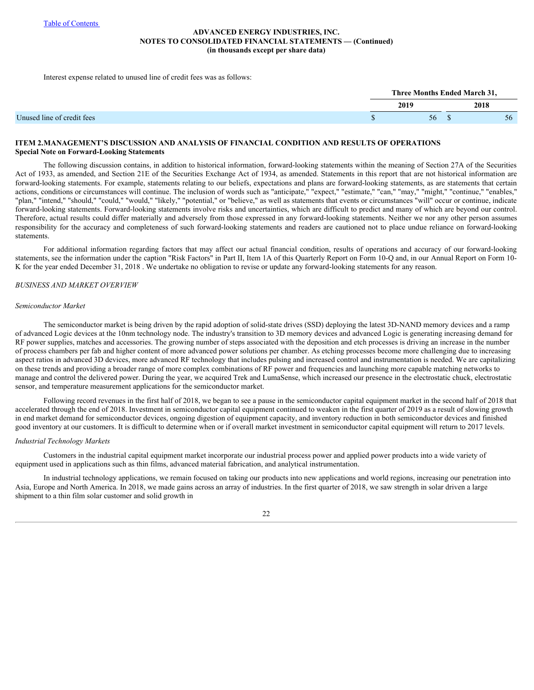Interest expense related to unused line of credit fees was as follows:

|                            | Three Months Ended March 31, |              |
|----------------------------|------------------------------|--------------|
|                            | 2019                         | 2018         |
| Unused line of credit fees | 56                           | $50^{\circ}$ |

# <span id="page-22-0"></span>**ITEM 2.MANAGEMENT'S DISCUSSION AND ANALYSIS OF FINANCIAL CONDITION AND RESULTS OF OPERATIONS Special Note on Forward-Looking Statements**

The following discussion contains, in addition to historical information, forward-looking statements within the meaning of Section 27A of the Securities Act of 1933, as amended, and Section 21E of the Securities Exchange Act of 1934, as amended. Statements in this report that are not historical information are forward-looking statements. For example, statements relating to our beliefs, expectations and plans are forward-looking statements, as are statements that certain actions, conditions or circumstances will continue. The inclusion of words such as "anticipate," "expect," "estimate," "can," "may," "might," "continue," "enables," "plan," "intend," "should," "could," "would," "likely," "potential," or "believe," as well as statements that events or circumstances "will" occur or continue, indicate forward-looking statements. Forward-looking statements involve risks and uncertainties, which are difficult to predict and many of which are beyond our control. Therefore, actual results could differ materially and adversely from those expressed in any forward-looking statements. Neither we nor any other person assumes responsibility for the accuracy and completeness of such forward-looking statements and readers are cautioned not to place undue reliance on forward-looking statements. Fightof Contents.<br>
NOTES TO CONSOLIDATED ENNANCIAL STATEMENTS HCC.<br>
Interest expense related to unused line of credit fees was as follows:<br>
interest operate regarding factors that may affect our actual financial conditio

statements, see the information under the caption "Risk Factors" in Part II, Item 1A of this Quarterly Report on Form 10-Q and, in our Annual Report on Form 10- K for the year ended December 31, 2018 . We undertake no obligation to revise or update any forward-looking statements for any reason.

### *BUSINESS AND MARKET OVERVIEW*

### *Semiconductor Market*

The semiconductor market is being driven by the rapid adoption of solid-state drives (SSD) deploying the latest 3D-NAND memory devices and a ramp of advanced Logic devices at the 10nm technology node. The industry's transition to 3D memory devices and advanced Logic is generating increasing demand for RF power supplies, matches and accessories. The growing number of steps associated with the deposition and etch processes is driving an increase in the number of process chambers per fab and higher content of more advanced power solutions per chamber. As etching processes become more challenging due to increasing aspect ratios in advanced 3D devices, more advanced RF technology that includes pulsing and increased control and instrumentation is needed. We are capitalizing on these trends and providing a broader range of more complex combinations of RF power and frequencies and launching more capable matching networks to manage and control the delivered power. During the year, we acquired Trek and LumaSense, which increased our presence in the electrostatic chuck, electrostatic sensor, and temperature measurement applications for the semiconductor market.

Following record revenues in the first half of 2018, we began to see a pause in the semiconductor capital equipment market in the second half of 2018 that accelerated through the end of 2018. Investment in semiconductor capital equipment continued to weaken in the first quarter of 2019 as a result of slowing growth in end market demand for semiconductor devices, ongoing digestion of equipment capacity, and inventory reduction in both semiconductor devices and finished good inventory at our customers. It is difficult to determine when or if overall market investment in semiconductor capital equipment will return to 2017 levels.

### *Industrial Technology Markets*

Customers in the industrial capital equipment market incorporate our industrial process power and applied power products into a wide variety of equipment used in applications such as thin films, advanced material fabrication, and analytical instrumentation.

In industrial technology applications, we remain focused on taking our products into new applications and world regions, increasing our penetration into Asia, Europe and North America. In 2018, we made gains across an array of industries. In the first quarter of 2018, we saw strength in solar driven a large shipment to a thin film solar customer and solid growth in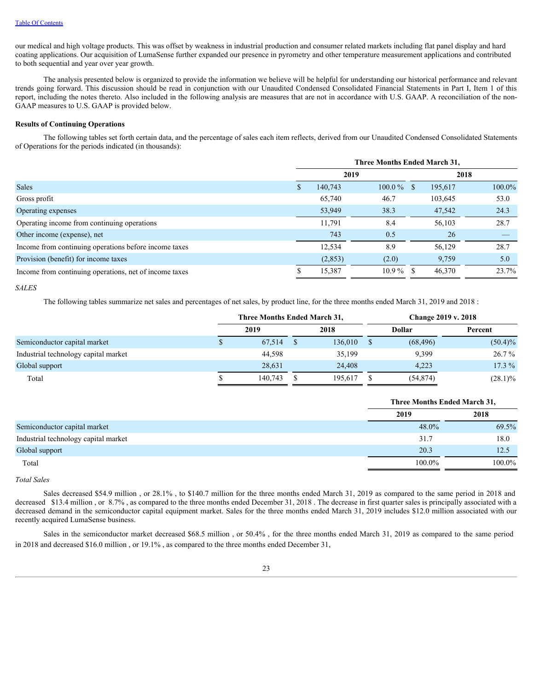our medical and high voltage products. This was offset by weakness in industrial production and consumer related markets including flat panel display and hard coating applications. Our acquisition of LumaSense further expanded our presence in pyrometry and other temperature measurement applications and contributed to both sequential and year over year growth.

The analysis presented below is organized to provide the information we believe will be helpful for understanding our historical performance and relevant trends going forward. This discussion should be read in conjunction with our Unaudited Condensed Consolidated Financial Statements in Part I, Item 1 of this report, including the notes thereto. Also included in the following analysis are measures that are not in accordance with U.S. GAAP. A reconciliation of the non-GAAP measures to U.S. GAAP is provided below.

### **Results of Continuing Operations**

The following tables set forth certain data, and the percentage of sales each item reflects, derived from our Unaudited Condensed Consolidated Statements of Operations for the periods indicated (in thousands):

| 2019    |       |  | 2018                        |                              |  |  |
|---------|-------|--|-----------------------------|------------------------------|--|--|
| 140,743 |       |  | 195,617                     | 100.0%                       |  |  |
| 65,740  | 46.7  |  | 103,645                     | 53.0                         |  |  |
| 53,949  | 38.3  |  | 47,542                      | 24.3                         |  |  |
| 11,791  | 8.4   |  | 56,103                      | 28.7                         |  |  |
| 743     | 0.5   |  | 26                          |                              |  |  |
| 12,534  | 8.9   |  | 56,129                      | 28.7                         |  |  |
| (2,853) | (2.0) |  | 9,759                       | 5.0                          |  |  |
| 15,387  |       |  | 46,370                      | 23.7%                        |  |  |
|         |       |  | $100.0\%$ \$<br>$10.9\%$ \, | Three Months Ended March 31, |  |  |

*SALES*

The following tables summarize net sales and percentages of net sales, by product line, for the three months ended March 31, 2019 and 2018 :

|                                      |         | Three Months Ended March 31, |  | Change 2019 v. 2018 |            |  |  |  |
|--------------------------------------|---------|------------------------------|--|---------------------|------------|--|--|--|
|                                      | 2019    | 2018                         |  | <b>Dollar</b>       | Percent    |  |  |  |
| Semiconductor capital market         | 67,514  | 136,010                      |  | (68, 496)           | $(50.4)\%$ |  |  |  |
| Industrial technology capital market | 44,598  | 35,199                       |  | 9,399               | 26.7%      |  |  |  |
| Global support                       | 28,631  | 24,408                       |  | 4,223               | 17.3 %     |  |  |  |
| Total                                | 140,743 | 195,617                      |  | (54, 874)           | $(28.1)\%$ |  |  |  |

|                                      | Three Months Ended March 31, |        |
|--------------------------------------|------------------------------|--------|
|                                      | 2019                         | 2018   |
| Semiconductor capital market         | 48.0%                        | 69.5%  |
| Industrial technology capital market | 31.7                         | 18.0   |
| Global support                       | 20.3                         | 12.5   |
| Total                                | 100.0%                       | 100.0% |

*Total Sales*

Sales decreased \$54.9 million , or 28.1% , to \$140.7 million for the three months ended March 31, 2019 as compared to the same period in 2018 and decreased \$13.4 million, or 8.7%, as compared to the three months ended December 31, 2018. The decrease in first quarter sales is principally associated with a decreased demand in the semiconductor capital equipment market. Sales for the three months ended March 31, 2019 includes \$12.0 million associated with our recently acquired LumaSense business.

Sales in the semiconductor market decreased \$68.5 million , or 50.4% , for the three months ended March 31, 2019 as compared to the same period in 2018 and decreased \$16.0 million , or 19.1% , as compared to the three months ended December 31,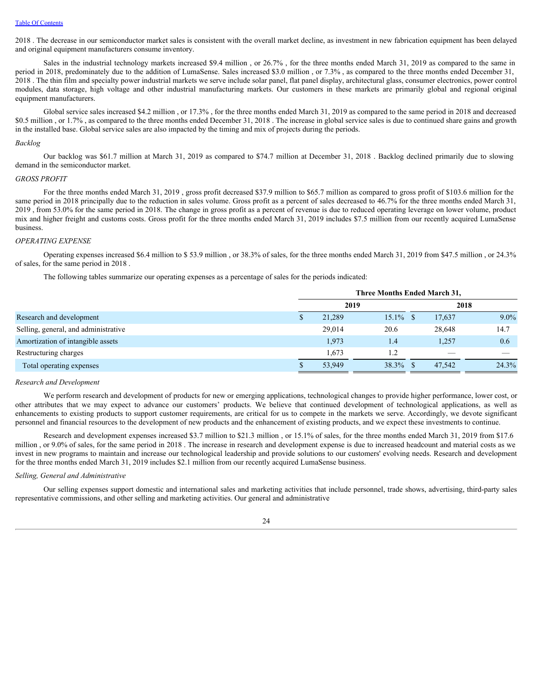2018 . The decrease in our semiconductor market sales is consistent with the overall market decline, as investment in new fabrication equipment has been delayed and original equipment manufacturers consume inventory.

Sales in the industrial technology markets increased \$9.4 million , or 26.7% , for the three months ended March 31, 2019 as compared to the same in period in 2018, predominately due to the addition of LumaSense. Sales increased \$3.0 million , or 7.3% , as compared to the three months ended December 31, 2018 . The thin film and specialty power industrial markets we serve include solar panel, flat panel display, architectural glass, consumer electronics, power control TableOf Contents<br>2018. The decrease in our semiconductor market sales is consistent with the overall market decline, as investment in new fabrication equipment has been delayed<br>and original equipment manufacturers consum equipment manufacturers.

Global service sales increased \$4.2 million , or 17.3% , for the three months ended March 31, 2019 as compared to the same period in 2018 and decreased \$0.5 million , or 1.7% , as compared to the three months ended December 31, 2018 . The increase in global service sales is due to continued share gains and growth in the installed base. Global service sales are also impacted by the timing and mix of projects during the periods.

### *Backlog*

### *GROSS PROFIT*

### *OPERATING EXPENSE*

| \$0.5 million, or 1.7%, as compared to the three months ended December 31, 2018. The increase in global service sales is due to continued share gains and growth<br>in the installed base. Global service sales are also impacted by the timing and mix of projects during the periods.                                                                                                                                                                                                                                                                                                                                                                                                                                                                                                                                                                                                                                                                                                                                                                                                                                                                                                                                                                           |        |             |      |                                     |         |
|-------------------------------------------------------------------------------------------------------------------------------------------------------------------------------------------------------------------------------------------------------------------------------------------------------------------------------------------------------------------------------------------------------------------------------------------------------------------------------------------------------------------------------------------------------------------------------------------------------------------------------------------------------------------------------------------------------------------------------------------------------------------------------------------------------------------------------------------------------------------------------------------------------------------------------------------------------------------------------------------------------------------------------------------------------------------------------------------------------------------------------------------------------------------------------------------------------------------------------------------------------------------|--------|-------------|------|-------------------------------------|---------|
| Backlog                                                                                                                                                                                                                                                                                                                                                                                                                                                                                                                                                                                                                                                                                                                                                                                                                                                                                                                                                                                                                                                                                                                                                                                                                                                           |        |             |      |                                     |         |
| Our backlog was \$61.7 million at March 31, 2019 as compared to \$74.7 million at December 31, 2018. Backlog declined primarily due to slowing<br>demand in the semiconductor market.                                                                                                                                                                                                                                                                                                                                                                                                                                                                                                                                                                                                                                                                                                                                                                                                                                                                                                                                                                                                                                                                             |        |             |      |                                     |         |
| <b>GROSS PROFIT</b>                                                                                                                                                                                                                                                                                                                                                                                                                                                                                                                                                                                                                                                                                                                                                                                                                                                                                                                                                                                                                                                                                                                                                                                                                                               |        |             |      |                                     |         |
| For the three months ended March 31, 2019, gross profit decreased \$37.9 million to \$65.7 million as compared to gross profit of \$103.6 million for the<br>same period in 2018 principally due to the reduction in sales volume. Gross profit as a percent of sales decreased to 46.7% for the three months ended March 31,<br>2019, from 53.0% for the same period in 2018. The change in gross profit as a percent of revenue is due to reduced operating leverage on lower volume, product<br>mix and higher freight and customs costs. Gross profit for the three months ended March 31, 2019 includes \$7.5 million from our recently acquired LumaSense<br>business.                                                                                                                                                                                                                                                                                                                                                                                                                                                                                                                                                                                      |        |             |      |                                     |         |
| <b>OPERATING EXPENSE</b>                                                                                                                                                                                                                                                                                                                                                                                                                                                                                                                                                                                                                                                                                                                                                                                                                                                                                                                                                                                                                                                                                                                                                                                                                                          |        |             |      |                                     |         |
| Operating expenses increased \$6.4 million to \$53.9 million, or 38.3% of sales, for the three months ended March 31, 2019 from \$47.5 million, or 24.3%<br>of sales, for the same period in 2018.                                                                                                                                                                                                                                                                                                                                                                                                                                                                                                                                                                                                                                                                                                                                                                                                                                                                                                                                                                                                                                                                |        |             |      |                                     |         |
| The following tables summarize our operating expenses as a percentage of sales for the periods indicated:                                                                                                                                                                                                                                                                                                                                                                                                                                                                                                                                                                                                                                                                                                                                                                                                                                                                                                                                                                                                                                                                                                                                                         |        |             |      |                                     |         |
|                                                                                                                                                                                                                                                                                                                                                                                                                                                                                                                                                                                                                                                                                                                                                                                                                                                                                                                                                                                                                                                                                                                                                                                                                                                                   |        |             |      | <b>Three Months Ended March 31,</b> |         |
|                                                                                                                                                                                                                                                                                                                                                                                                                                                                                                                                                                                                                                                                                                                                                                                                                                                                                                                                                                                                                                                                                                                                                                                                                                                                   | 2019   |             |      | 2018                                |         |
| Research and development                                                                                                                                                                                                                                                                                                                                                                                                                                                                                                                                                                                                                                                                                                                                                                                                                                                                                                                                                                                                                                                                                                                                                                                                                                          | 21,289 | $15.1\%$ \$ |      | 17,637                              | $9.0\%$ |
| Selling, general, and administrative                                                                                                                                                                                                                                                                                                                                                                                                                                                                                                                                                                                                                                                                                                                                                                                                                                                                                                                                                                                                                                                                                                                                                                                                                              | 29,014 | 20.6        |      | 28,648                              | 14.7    |
| Amortization of intangible assets                                                                                                                                                                                                                                                                                                                                                                                                                                                                                                                                                                                                                                                                                                                                                                                                                                                                                                                                                                                                                                                                                                                                                                                                                                 | 1,973  | 1.4         |      | 1,257                               | 0.6     |
| Restructuring charges                                                                                                                                                                                                                                                                                                                                                                                                                                                                                                                                                                                                                                                                                                                                                                                                                                                                                                                                                                                                                                                                                                                                                                                                                                             | 1,673  | 1.2         |      |                                     |         |
| Total operating expenses                                                                                                                                                                                                                                                                                                                                                                                                                                                                                                                                                                                                                                                                                                                                                                                                                                                                                                                                                                                                                                                                                                                                                                                                                                          | 53,949 | 38.3%       | - \$ | 47,542                              | 24.3%   |
| <b>Research and Development</b>                                                                                                                                                                                                                                                                                                                                                                                                                                                                                                                                                                                                                                                                                                                                                                                                                                                                                                                                                                                                                                                                                                                                                                                                                                   |        |             |      |                                     |         |
| We perform research and development of products for new or emerging applications, technological changes to provide higher performance, lower cost, or<br>other attributes that we may expect to advance our customers' products. We believe that continued development of technological applications, as well as<br>enhancements to existing products to support customer requirements, are critical for us to compete in the markets we serve. Accordingly, we devote significant<br>personnel and financial resources to the development of new products and the enhancement of existing products, and we expect these investments to continue.<br>Research and development expenses increased \$3.7 million to \$21.3 million, or 15.1% of sales, for the three months ended March 31, 2019 from \$17.6<br>million, or 9.0% of sales, for the same period in 2018. The increase in research and development expense is due to increased headcount and material costs as we<br>invest in new programs to maintain and increase our technological leadership and provide solutions to our customers' evolving needs. Research and development<br>for the three months ended March 31, 2019 includes \$2.1 million from our recently acquired LumaSense business. |        |             |      |                                     |         |
| Selling, General and Administrative                                                                                                                                                                                                                                                                                                                                                                                                                                                                                                                                                                                                                                                                                                                                                                                                                                                                                                                                                                                                                                                                                                                                                                                                                               |        |             |      |                                     |         |

### *Research and Development*

### *Selling, General and Administrative*

Our selling expenses support domestic and international sales and marketing activities that include personnel, trade shows, advertising, third-party sales representative commissions, and other selling and marketing activities. Our general and administrative

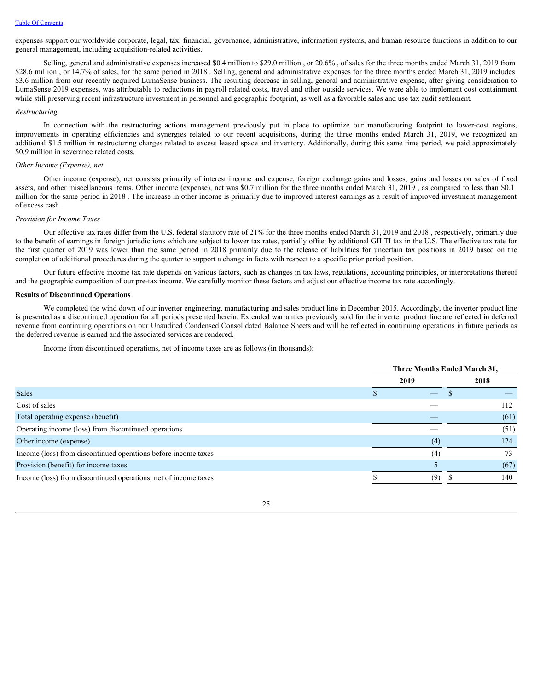expenses support our worldwide corporate, legal, tax, financial, governance, administrative, information systems, and human resource functions in addition to our general management, including acquisition-related activities.

Selling, general and administrative expenses increased \$0.4 million to \$29.0 million , or 20.6% , of sales for the three months ended March 31, 2019 from \$28.6 million, or 14.7% of sales, for the same period in 2018. Selling, general and administrative expenses for the three months ended March 31, 2019 includes \$3.6 million from our recently acquired LumaSense business. The resulting decrease in selling, general and administrative expense, after giving consideration to LumaSense 2019 expenses, was attributable to reductions in payroll related costs, travel and other outside services. We were able to implement cost containment while still preserving recent infrastructure investment in personnel and geographic footprint, as well as a favorable sales and use tax audit settlement. In connection with the restructuring characterial, governance, administrative, information systems, and human resource functions in addition to our samplement, including acquisition-related activities.<br>
Selling, general an TableOf Contents<br>experses support our worldwide corporate, legal, tax, financial, governance, administrative, information systems, and human resource functions in addition to our<br>expenses support our worldwide corporate. Experiences<br>
Surface that income and administrative expenses increased 80.4 million to \$29.0 million, or 20.6%, of sales for the three months ended March 31, 2010 from<br>
Soling, general and administrative expenses increase Take of Cenema<br>expectes amport on worldwide corporate, legal, tax, firancial, coverance, administrative, information systems, and human resource functions in addition to our<br>gascal management, including acquisitor-telab ca

# *Restructuring*

additional \$1.5 million in restructuring charges related to excess leased space and inventory. Additionally, during this same time period, we paid approximately \$0.9 million in severance related costs.

#### *Other Income (Expense), net*

assets, and other miscellaneous items. Other income (expense), net was \$0.7 million for the three months ended March 31, 2019 , as compared to less than \$0.1 million for the same period in 2018 . The increase in other income is primarily due to improved interest earnings as a result of improved investment management of excess cash.

### *Provision for Income Taxes*

Our effective tax rates differ from the U.S. federal statutory rate of 21% for the three months ended March 31, 2019 and 2018 , respectively, primarily due to the benefit of earnings in foreign jurisdictions which are subject to lower tax rates, partially offset by additional GILTI tax in the U.S. The effective tax rate for the first quarter of 2019 was lower than the same pe completion of additional procedures during the quarter to support a change in facts with respect to a specific prior period position.

Our future effective income tax rate depends on various factors, such as changes in tax laws, regulations, accounting principles, or interpretations thereof and the geographic composition of our pre-tax income. We carefully monitor these factors and adjust our effective income tax rate accordingly.

### **Results of Discontinued Operations**

We completed the wind down of our inverter engineering, manufacturing and sales product line in December 2015. Accordingly, the inverter product line is presented as a discontinued operation for all periods presented herein. Extended warranties previously sold for the inverter product line are reflected in deferred revenue from continuing operations on our Unaudited Condensed Consolidated Balance Sheets and will be reflected in continuing operations in future periods as the deferred revenue is earned and the associated services are rendered.

Income from discontinued operations, net of income taxes are as follows (in thousands):

|                                                                 | Three Months Ended March 31, |      |
|-----------------------------------------------------------------|------------------------------|------|
|                                                                 | 2019                         | 2018 |
| Sales                                                           | $\overline{\phantom{a}}$     |      |
| Cost of sales                                                   |                              | 112  |
| Total operating expense (benefit)                               |                              | (61) |
| Operating income (loss) from discontinued operations            | $\overline{\phantom{a}}$     | (51) |
| Other income (expense)                                          | (4)                          | 124  |
| Income (loss) from discontinued operations before income taxes  | (4)                          |      |
| Provision (benefit) for income taxes                            |                              | (67) |
| Income (loss) from discontinued operations, net of income taxes | (9)                          | 140  |
|                                                                 |                              |      |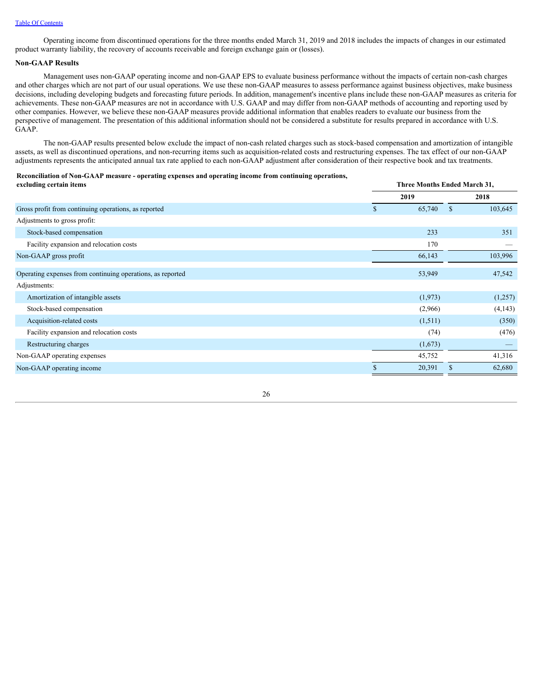Operating income from discontinued operations for the three months ended March 31, 2019 and 2018 includes the impacts of changes in our estimated product warranty liability, the recovery of accounts receivable and foreign exchange gain or (losses).

### **Non-GAAP Results**

Management uses non-GAAP operating income and non-GAAP EPS to evaluate business performance without the impacts of certain non-cash charges and other charges which are not part of our usual operations. We use these non-GAAP measures to assess performance against business objectives, make business decisions, including developing budgets and forecasting future periods. In addition, management's incentive plans include these non-GAAP measures as criteria for achievements. These non-GAAP measures are not in accordance with U.S. GAAP and may differ from non-GAAP methods of accounting and reporting used by other companies. However, we believe these non-GAAP measures provide additional information that enables readers to evaluate our business from the perspective of management. The presentation of this additional information should not be considered a substitute for results prepared in accordance with U.S. GAAP.

The non-GAAP results presented below exclude the impact of non-cash related charges such as stock-based compensation and amortization of intangible assets, as well as discontinued operations, and non-recurring items such as acquisition-related costs and restructuring expenses. The tax effect of our non-GAAP adjustments represents the anticipated annual tax rate applied to each non-GAAP adjustment after consideration of their respective book and tax treatments.

### **Reconciliation of Non-GAAP measure -operating expenses and operating income from continuing operations, excluding certain items Three**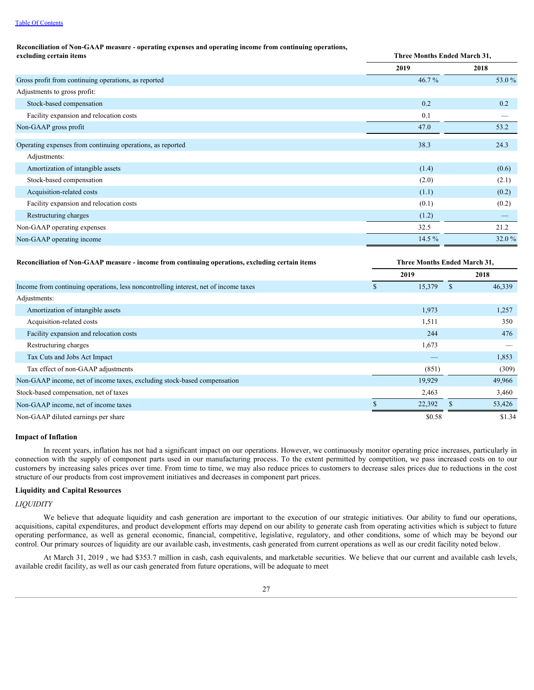### [Table Of Contents](#page-1-0)

# **Reconciliation of Non-GAAP measure -operating expenses and operating income from continuing operations,**

| excluding certain items                                    | Three Months Ended March 31, |       |
|------------------------------------------------------------|------------------------------|-------|
|                                                            | 2019                         | 2018  |
| Gross profit from continuing operations, as reported       | 46.7%                        | 53.0% |
| Adjustments to gross profit:                               |                              |       |
| Stock-based compensation                                   | 0.2                          | 0.2   |
| Facility expansion and relocation costs                    | 0.1                          |       |
| Non-GAAP gross profit                                      | 47.0                         | 53.2  |
| Operating expenses from continuing operations, as reported | 38.3                         | 24.3  |
| Adjustments:                                               |                              |       |
| Amortization of intangible assets                          | (1.4)                        | (0.6) |
| Stock-based compensation                                   | (2.0)                        | (2.1) |
| Acquisition-related costs                                  | (1.1)                        | (0.2) |
| Facility expansion and relocation costs                    | (0.1)                        | (0.2) |
| Restructuring charges                                      | (1.2)                        |       |
| Non-GAAP operating expenses                                | 32.5                         | 21.2  |
| Non-GAAP operating income                                  | 14.5 %                       | 32.0% |
|                                                            |                              |       |

|                                                                                                                                                                                                                                                                                                                                                                                                                                                                                                                                                                                                     |              |                                     | $($ $)$           |  |
|-----------------------------------------------------------------------------------------------------------------------------------------------------------------------------------------------------------------------------------------------------------------------------------------------------------------------------------------------------------------------------------------------------------------------------------------------------------------------------------------------------------------------------------------------------------------------------------------------------|--------------|-------------------------------------|-------------------|--|
| Stock-based compensation                                                                                                                                                                                                                                                                                                                                                                                                                                                                                                                                                                            |              | (2.0)                               | (2.1)             |  |
| Acquisition-related costs                                                                                                                                                                                                                                                                                                                                                                                                                                                                                                                                                                           |              | (1.1)                               | (0.2)             |  |
| Facility expansion and relocation costs                                                                                                                                                                                                                                                                                                                                                                                                                                                                                                                                                             |              | (0.1)                               | (0.2)             |  |
| Restructuring charges                                                                                                                                                                                                                                                                                                                                                                                                                                                                                                                                                                               |              | (1.2)                               | $\qquad \qquad -$ |  |
| Non-GAAP operating expenses                                                                                                                                                                                                                                                                                                                                                                                                                                                                                                                                                                         |              | 32.5                                | 21.2              |  |
| Non-GAAP operating income                                                                                                                                                                                                                                                                                                                                                                                                                                                                                                                                                                           |              | 14.5 %                              | 32.0%             |  |
|                                                                                                                                                                                                                                                                                                                                                                                                                                                                                                                                                                                                     |              |                                     |                   |  |
| Reconciliation of Non-GAAP measure - income from continuing operations, excluding certain items                                                                                                                                                                                                                                                                                                                                                                                                                                                                                                     |              | <b>Three Months Ended March 31,</b> |                   |  |
|                                                                                                                                                                                                                                                                                                                                                                                                                                                                                                                                                                                                     |              | 2019                                | 2018              |  |
| Income from continuing operations, less noncontrolling interest, net of income taxes                                                                                                                                                                                                                                                                                                                                                                                                                                                                                                                | $\mathbb{S}$ | 15,379<br>$\mathbb{S}$              | 46,339            |  |
| Adjustments:                                                                                                                                                                                                                                                                                                                                                                                                                                                                                                                                                                                        |              |                                     |                   |  |
| Amortization of intangible assets                                                                                                                                                                                                                                                                                                                                                                                                                                                                                                                                                                   |              | 1,973                               | 1,257             |  |
| Acquisition-related costs                                                                                                                                                                                                                                                                                                                                                                                                                                                                                                                                                                           |              | 1,511                               | 350               |  |
| Facility expansion and relocation costs                                                                                                                                                                                                                                                                                                                                                                                                                                                                                                                                                             |              | 244                                 | 476               |  |
| Restructuring charges                                                                                                                                                                                                                                                                                                                                                                                                                                                                                                                                                                               |              | 1,673                               |                   |  |
| Tax Cuts and Jobs Act Impact                                                                                                                                                                                                                                                                                                                                                                                                                                                                                                                                                                        |              |                                     | 1,853             |  |
| Tax effect of non-GAAP adjustments                                                                                                                                                                                                                                                                                                                                                                                                                                                                                                                                                                  |              | (851)                               | (309)             |  |
| Non-GAAP income, net of income taxes, excluding stock-based compensation                                                                                                                                                                                                                                                                                                                                                                                                                                                                                                                            |              | 19,929                              | 49,966            |  |
| Stock-based compensation, net of taxes                                                                                                                                                                                                                                                                                                                                                                                                                                                                                                                                                              |              | 2,463                               | 3,460             |  |
| Non-GAAP income, net of income taxes                                                                                                                                                                                                                                                                                                                                                                                                                                                                                                                                                                | $\mathbf S$  | 22,392<br>$\mathcal{S}$             | 53,426            |  |
| Non-GAAP diluted earnings per share                                                                                                                                                                                                                                                                                                                                                                                                                                                                                                                                                                 |              | \$0.58                              | \$1.34            |  |
|                                                                                                                                                                                                                                                                                                                                                                                                                                                                                                                                                                                                     |              |                                     |                   |  |
| <b>Impact of Inflation</b>                                                                                                                                                                                                                                                                                                                                                                                                                                                                                                                                                                          |              |                                     |                   |  |
| In recent years, inflation has not had a significant impact on our operations. However, we continuously monitor operating price increases, particularly in<br>connection with the supply of component parts used in our manufacturing process. To the extent permitted by competition, we pass increased costs on to our<br>customers by increasing sales prices over time. From time to time, we may also reduce prices to customers to decrease sales prices due to reductions in the cost<br>structure of our products from cost improvement initiatives and decreases in component part prices. |              |                                     |                   |  |
| <b>Liquidity and Capital Resources</b>                                                                                                                                                                                                                                                                                                                                                                                                                                                                                                                                                              |              |                                     |                   |  |
| <b>LIQUIDITY</b>                                                                                                                                                                                                                                                                                                                                                                                                                                                                                                                                                                                    |              |                                     |                   |  |
| We believe that adequate liquidity and cash generation are important to the execution of our strategic initiatives. Our ability to fund our operations,                                                                                                                                                                                                                                                                                                                                                                                                                                             |              |                                     |                   |  |
| acquisitions, capital expenditures, and product development efforts may depend on our ability to generate cash from operating activities which is subject to future<br>operating performance, as well as general economic, financial, competitive, legislative, regulatory, and other conditions, some of which may be beyond our<br>control. Our primary sources of liquidity are our available cash, investments, cash generated from current operations as well as our credit facility noted below.                                                                                              |              |                                     |                   |  |
| At March 31, 2019, we had \$353.7 million in cash, cash equivalents, and marketable securities. We believe that our current and available cash levels,<br>available credit facility, as well as our cash generated from future operations, will be adequate to meet                                                                                                                                                                                                                                                                                                                                 |              |                                     |                   |  |
| 27                                                                                                                                                                                                                                                                                                                                                                                                                                                                                                                                                                                                  |              |                                     |                   |  |
|                                                                                                                                                                                                                                                                                                                                                                                                                                                                                                                                                                                                     |              |                                     |                   |  |

### **Impact of Inflation**

### **Liquidity and Capital Resources**

# *LIQUIDITY*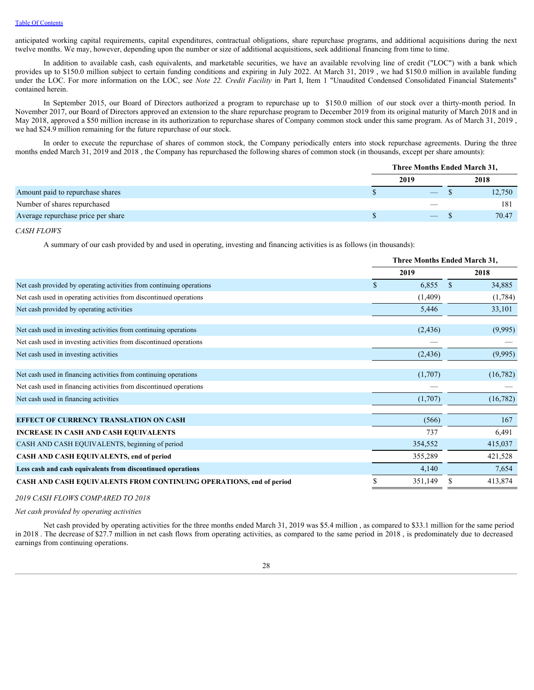TableOf Contents<br>anticipated working capital requirements, capital expenditures, contractual obligations, share repurchase programs, and additional acquisitions during the next<br>twelve months. We may, however, depending up provides up to \$150.0 million subject to certain funding conditions and expiring in July 2022. At March 31, 2019 , we had \$150.0 million in available funding under the LOC. For more information on the LOC, see Note 22. Credit Facility in Part I, Item 1 "Unaudited Condensed Consolidated Financial Statements" contained herein.

Contents<br>In additional acquisitions during the number of size of additional acquisitions, share repurchase programs, and additional acquisitions during the next<br>onths. We may, however, depending upon the number or size of Table Of Contents<br>anticipated working capital requirements, capital expenditures, contractual obligations, share repurchase programs, and additional acquisitions during the next<br>twelve months. We may, however, depending up contractual obligations, share repurchase programs, and additional acquisitions during the next<br>or size of additional acquisitions, seek additional financing from time to time.<br>narketable securities, we have an available r the political obligations, share repurchase programs, and additional acquisitions during the next<br> *Credit* decorrities, we have an available revolving line of credit ("LOC") with a bank which<br>
and expiring in July 2022. A ions, share repurchase programs, and additional acquisitions during the next<br>acquisitions, seek additional financing from time to time.<br>
i, we have an available revolving line of credit ("LOC") with a bank which<br>
July 2022 In September 2015, composite expenditures, contractual obligations, share repurchase programs, and additional acquisitions during the next<br>onths. We may, however, depending upon the number or size of additional acquisition November 2017, our Board of Directors approved an extension to the share repurchase program to December 2019 from its original maturity of March 2018 and in May 2018, approved a \$50 million increase in its authorization to repurchase shares of Company common stock under this same program. As of March 31, 2019 , we had \$24.9 million remaining for the future repurchase of our stock.

| <b>Table Of Contents</b>                                                                                                                                                                                                                                                                                                                                                                                                                                                                             |                    |      |                              |
|------------------------------------------------------------------------------------------------------------------------------------------------------------------------------------------------------------------------------------------------------------------------------------------------------------------------------------------------------------------------------------------------------------------------------------------------------------------------------------------------------|--------------------|------|------------------------------|
| anticipated working capital requirements, capital expenditures, contractual obligations, share repurchase programs, and additional acquisitions during the next<br>twelve months. We may, however, depending upon the number or size of additional acquisitions, seek additional financing from time to time.                                                                                                                                                                                        |                    |      |                              |
| In addition to available cash, cash equivalents, and marketable securities, we have an available revolving line of credit ("LOC") with a bank which<br>provides up to \$150.0 million subject to certain funding conditions and expiring in July 2022. At March 31, 2019, we had \$150.0 million in available funding<br>under the LOC. For more information on the LOC, see Note 22. Credit Facility in Part I, Item 1 "Unaudited Condensed Consolidated Financial Statements"<br>contained herein. |                    |      |                              |
| In September 2015, our Board of Directors authorized a program to repurchase up to \$150.0 million of our stock over a thirty-month period. In                                                                                                                                                                                                                                                                                                                                                       |                    |      |                              |
| November 2017, our Board of Directors approved an extension to the share repurchase program to December 2019 from its original maturity of March 2018 and in<br>May 2018, approved a \$50 million increase in its authorization to repurchase shares of Company common stock under this same program. As of March 31, 2019,<br>we had \$24.9 million remaining for the future repurchase of our stock.                                                                                               |                    |      |                              |
| In order to execute the repurchase of shares of common stock, the Company periodically enters into stock repurchase agreements. During the three<br>months ended March 31, 2019 and 2018, the Company has repurchased the following shares of common stock (in thousands, except per share amounts):                                                                                                                                                                                                 |                    |      |                              |
|                                                                                                                                                                                                                                                                                                                                                                                                                                                                                                      |                    |      | Three Months Ended March 31. |
|                                                                                                                                                                                                                                                                                                                                                                                                                                                                                                      |                    | 2019 | 2018                         |
| Amount paid to repurchase shares                                                                                                                                                                                                                                                                                                                                                                                                                                                                     | $\mathbf{\hat{S}}$ | - \$ | 12,750                       |
| Number of shares repurchased<br>Average repurchase price per share                                                                                                                                                                                                                                                                                                                                                                                                                                   | -S                 |      | 181<br>70.47                 |

*CASH FLOWS* 

A summary of our cash provided by and used in operating, investing and financing activities is as follows (in thousands):

|                                                                      | Three Months Ended March 31, |      |           |
|----------------------------------------------------------------------|------------------------------|------|-----------|
|                                                                      | 2019                         | 2018 |           |
| Net cash provided by operating activities from continuing operations | 6,855                        | -S   | 34,885    |
| Net cash used in operating activities from discontinued operations   | (1,409)                      |      | (1,784)   |
| Net cash provided by operating activities                            | 5,446                        |      | 33,101    |
| Net cash used in investing activities from continuing operations     | (2, 436)                     |      | (9,995)   |
| Net cash used in investing activities from discontinued operations   | $\hspace{0.05cm}$            |      |           |
| Net cash used in investing activities                                | (2, 436)                     |      | (9,995)   |
|                                                                      |                              |      |           |
| Net cash used in financing activities from continuing operations     | (1,707)                      |      | (16, 782) |
| Net cash used in financing activities from discontinued operations   | $\hspace{0.05cm}$            |      |           |
| Net cash used in financing activities                                | (1,707)                      |      | (16, 782) |
| <b>EFFECT OF CURRENCY TRANSLATION ON CASH</b>                        | (566)                        |      | 167       |
| <b>INCREASE IN CASH AND CASH EQUIVALENTS</b>                         | 737                          |      | 6,491     |
| CASH AND CASH EQUIVALENTS, beginning of period                       | 354,552                      |      | 415,037   |
| CASH AND CASH EQUIVALENTS, end of period                             | 355,289                      |      | 421,528   |
| Less cash and cash equivalents from discontinued operations          | 4,140                        |      | 7,654     |
| CASH AND CASH EQUIVALENTS FROM CONTINUING OPERATIONS, end of period  | 351,149                      | - S  | 413,874   |

### *2019 CASH FLOWS COMPARED TO 2018*

*Net cash provided by operating activities*

Net cash provided by operating activities for the three months ended March 31, 2019 was \$5.4 million , as compared to \$33.1 million for the same period in 2018 . The decrease of \$27.7 million in net cash flows from operating activities, as compared to the same period in 2018 , is predominately due to decreased earnings from continuing operations.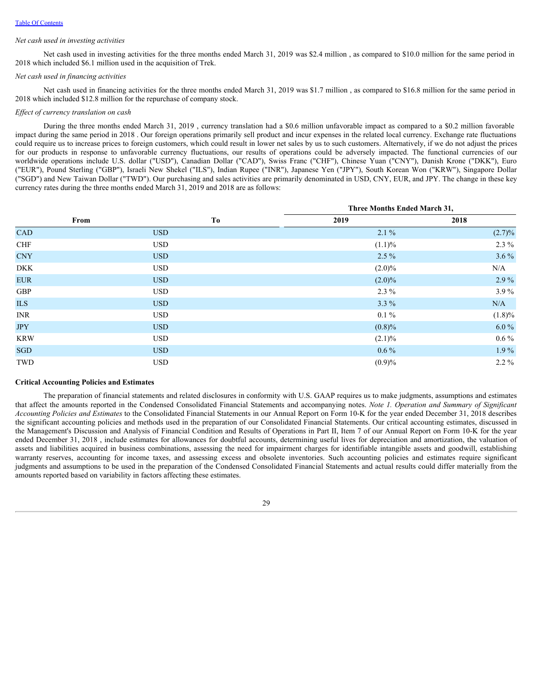### *Net cash used in investing activities*

Net cash used in investing activities for the three months ended March 31, 2019 was \$2.4 million , as compared to \$10.0 million for the same period in 2018 which included \$6.1 million used in the acquisition of Trek.

### *Net cash used in financing activities*

Net cash used in financing activities for the three months ended March 31, 2019 was \$1.7 million, as compared to \$16.8 million for the same period in 2018 which included \$12.8 million for the repurchase of company stock.

#### *Effect of currency translation on cash*

During the three months ended March 31, 2019 , currency translation had a \$0.6 million unfavorable impact as compared to a \$0.2 million favorable impact during the same period in 2018 . Our foreign operations primarily sell product and incur expenses in the related local currency. Exchange rate fluctuations could require us to increase prices to foreign customers, which could result in lower net sales by us to such customers. Alternatively, if we do not adjust the prices TableOf Course<br>
Net cash used in investing activities for the three months ended March 31, 2019 was \$2.4 million, as compared to \$10.0 million for the same period in<br>
Net cash used in functing activities<br>
Net cash used in Table Of Conential<br>
Net cash used in investing activities for the three months ended March 31, 2019 was \$2.4 million, as compared to \$10.0 million for the same period in<br>
Net cash used in financing activities for the thre ("EUR"), Pound Sterling ("GBP"), Israeli New Shekel ("ILS"), Indian Rupee ("INR"), Japanese Yen ("JPY"), South Korean Won ("KRW"), Singapore Dollar ("SGD") and New Taiwan Dollar ("TWD"). Our purchasing and sales activities are primarily denominated in USD, CNY, EUR, and JPY. The change in these key currency rates during the three months ended March 31, 2019 and 2018 are as follows:

| 2019<br>2018<br>From<br>To<br>CAD<br>$2.1\%$<br><b>USD</b><br><b>USD</b><br>(1.1)%<br><b>USD</b><br>$2.5\%$<br><b>USD</b><br>$(2.0)\%$<br>N/A<br>$_{\rm USD}$<br>$(2.0)\%$<br>$_{\rm USD}$<br>2.3 %<br>$_{\rm USD}$<br>N/A<br>$3.3\%$<br>$0.1\,\%$<br>$_{\rm USD}$<br><b>USD</b><br>$(0.8)\%$<br><b>USD</b><br>$(2.1)\%$<br>$_{\rm USD}$<br>$0.6\%$<br><b>USD</b><br>$(0.9)\%$<br><b>Critical Accounting Policies and Estimates</b><br>amounts reported based on variability in factors affecting these estimates.                                                                                                                                                                                                                                                                                                                                                                                                                                                                                                                                                                                                                                                                                                                                                                                                         |                           | Three Months Ended March 31, |  |
|----------------------------------------------------------------------------------------------------------------------------------------------------------------------------------------------------------------------------------------------------------------------------------------------------------------------------------------------------------------------------------------------------------------------------------------------------------------------------------------------------------------------------------------------------------------------------------------------------------------------------------------------------------------------------------------------------------------------------------------------------------------------------------------------------------------------------------------------------------------------------------------------------------------------------------------------------------------------------------------------------------------------------------------------------------------------------------------------------------------------------------------------------------------------------------------------------------------------------------------------------------------------------------------------------------------------------|---------------------------|------------------------------|--|
| $(2.7)\%$<br>$2.3\%$<br>3.9%<br>$(1.8)\%$<br>$6.0\%$<br>$0.6\,\%$<br>$2.2\%$                                                                                                                                                                                                                                                                                                                                                                                                                                                                                                                                                                                                                                                                                                                                                                                                                                                                                                                                                                                                                                                                                                                                                                                                                                               |                           |                              |  |
| $3.6\%$<br>2.9%<br>$1.9\%$                                                                                                                                                                                                                                                                                                                                                                                                                                                                                                                                                                                                                                                                                                                                                                                                                                                                                                                                                                                                                                                                                                                                                                                                                                                                                                 |                           |                              |  |
|                                                                                                                                                                                                                                                                                                                                                                                                                                                                                                                                                                                                                                                                                                                                                                                                                                                                                                                                                                                                                                                                                                                                                                                                                                                                                                                            | <b>CHF</b>                |                              |  |
|                                                                                                                                                                                                                                                                                                                                                                                                                                                                                                                                                                                                                                                                                                                                                                                                                                                                                                                                                                                                                                                                                                                                                                                                                                                                                                                            | <b>CNY</b>                |                              |  |
|                                                                                                                                                                                                                                                                                                                                                                                                                                                                                                                                                                                                                                                                                                                                                                                                                                                                                                                                                                                                                                                                                                                                                                                                                                                                                                                            | <b>DKK</b>                |                              |  |
|                                                                                                                                                                                                                                                                                                                                                                                                                                                                                                                                                                                                                                                                                                                                                                                                                                                                                                                                                                                                                                                                                                                                                                                                                                                                                                                            | <b>EUR</b>                |                              |  |
|                                                                                                                                                                                                                                                                                                                                                                                                                                                                                                                                                                                                                                                                                                                                                                                                                                                                                                                                                                                                                                                                                                                                                                                                                                                                                                                            | $\operatorname{GBP}$      |                              |  |
| the Management's Discussion and Analysis of Financial Condition and Results of Operations in Part II, Item 7 of our Annual Report on Form 10-K for the year                                                                                                                                                                                                                                                                                                                                                                                                                                                                                                                                                                                                                                                                                                                                                                                                                                                                                                                                                                                                                                                                                                                                                                | $\rm ILS$                 |                              |  |
| The preparation of financial statements and related disclosures in conformity with U.S. GAAP requires us to make judgments, assumptions and estimates<br>that affect the amounts reported in the Condensed Consolidated Financial Statements and accompanying notes. Note 1. Operation and Summary of Significant<br>Accounting Policies and Estimates to the Consolidated Financial Statements in our Annual Report on Form 10-K for the year ended December 31, 2018 describes<br>the significant accounting policies and methods used in the preparation of our Consolidated Financial Statements. Our critical accounting estimates, discussed in<br>ended December 31, 2018, include estimates for allowances for doubtful accounts, determining useful lives for depreciation and amortization, the valuation of<br>assets and liabilities acquired in business combinations, assessing the need for impairment charges for identifiable intangible assets and goodwill, establishing<br>warranty reserves, accounting for income taxes, and assessing excess and obsolete inventories. Such accounting policies and estimates require significant<br>judgments and assumptions to be used in the preparation of the Condensed Consolidated Financial Statements and actual results could differ materially from the | $\ensuremath{\text{INR}}$ |                              |  |
|                                                                                                                                                                                                                                                                                                                                                                                                                                                                                                                                                                                                                                                                                                                                                                                                                                                                                                                                                                                                                                                                                                                                                                                                                                                                                                                            | <b>JPY</b>                |                              |  |
|                                                                                                                                                                                                                                                                                                                                                                                                                                                                                                                                                                                                                                                                                                                                                                                                                                                                                                                                                                                                                                                                                                                                                                                                                                                                                                                            | <b>KRW</b>                |                              |  |
|                                                                                                                                                                                                                                                                                                                                                                                                                                                                                                                                                                                                                                                                                                                                                                                                                                                                                                                                                                                                                                                                                                                                                                                                                                                                                                                            | SGD                       |                              |  |
|                                                                                                                                                                                                                                                                                                                                                                                                                                                                                                                                                                                                                                                                                                                                                                                                                                                                                                                                                                                                                                                                                                                                                                                                                                                                                                                            | TWD                       |                              |  |
|                                                                                                                                                                                                                                                                                                                                                                                                                                                                                                                                                                                                                                                                                                                                                                                                                                                                                                                                                                                                                                                                                                                                                                                                                                                                                                                            |                           |                              |  |

### **Critical Accounting Policies and Estimates**

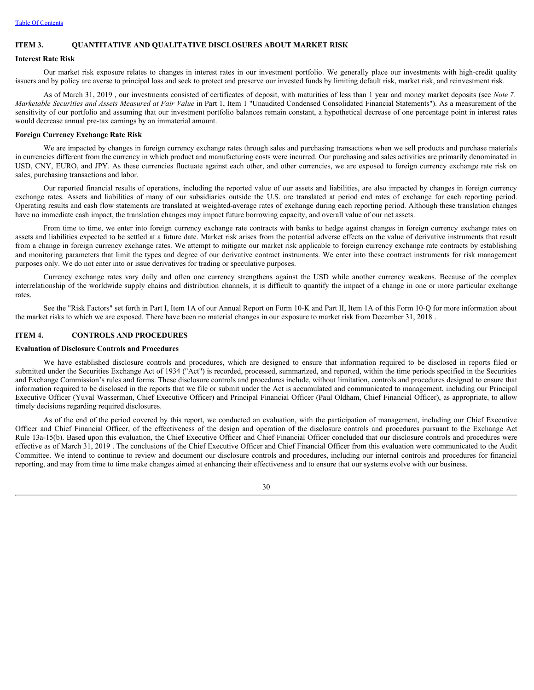#### <span id="page-30-0"></span>**ITEM 3. 3. QUANTITATIVE AND QUALITATIVE DISCLOSURES ABOUT MARKET RISK**

#### **Interest Rate Risk**

Our market risk exposure relates to changes in interest rates in our investment portfolio. We generally place our investments with high-credit quality issuers and by policy are averse to principal loss and seek to protect and preserve our invested funds by limiting default risk, market risk, and reinvestment risk.

As of March 31, 2019 , our investments consisted of certificates of deposit, with maturities of less than 1 year and money market deposits (see *Note 7. Marketable Securities and Assets Measured at Fair Value* in Part 1, Item 1 "Unaudited Condensed Consolidated Financial Statements"). As a measurement of the sensitivity of our portfolio and assuming that our investment portfolio balances remain constant, a hypothetical decrease of one percentage point in interest rates would decrease annual pre-tax earnings by an immaterial amount.

#### **Foreign Currency Exchange Rate Risk**

We are impacted by changes in foreign currency exchange rates through sales and purchasing transactions when we sell products and purchase materials in currencies different from the currency in which product and manufacturing costs were incurred. Our purchasing and sales activities are primarily denominated in USD, CNY, EURO, and JPY. As these currencies fluctuate against each other, and other currencies, we are exposed to foreign currency exchange rate risk on sales, purchasing transactions and labor.

Our reported financial results of operations, including the reported value of our assets and liabilities, are also impacted by changes in foreign currency exchange rates. Assets and liabilities of many of our subsidiaries Operating results and cash flow statements are translated at weighted-average rates of exchange during each reporting period. Although these translation changes have no immediate cash impact, the translation changes may impact future borrowing capacity, and overall value of our net assets.

TableOf Continua.<br>
THAT ASSET ANTITATIVE AND QUALITATIVE DISCLIOSURES ABOUT MARKET RISK<br>
THAT ASSETS AND CONTINUES ON THE CONTINUES ON THE CONTINUES ON THE CONTINUES ON THE CONTINUES ON THE CONTINUES ON THE CONTINUES ON T From time to time, we enter into foreign currency exchange rate contracts with banks to hedge against changes in foreign currency exchange rates on assets and liabilities expected to be settled at a future date. Market risk arises from the potential adverse effects on the value of derivative instruments that result from a change in foreign currency exchange rates. We attempt to mitigate our market risk applicable to foreign currency exchange rate contracts by establishing and monitoring parameters that limit the types and degree of our derivative contract instruments. We enter into these contract instruments for risk management purposes only. We do not enter into or issue derivatives for trading or speculative purposes. **CURRY CURRY AND QUALITATIVE DISCLOSURES ABOUT MARKET RISK<br>
RATE RISK<br>
RATE RISK<br>
CAP UNITE TRISK CONTROL AND COLLETATIVE DISCLOSURES ABOUT MARKET RISK<br>
As of Mark risk exposure reduces to changes in meteod rates in our in** 

interrelationship of the worldwide supply chains and distribution channels, it is difficult to quantify the impact of a change in one or more particular exchange rates.

See the "Risk Factors" set forth in Part I, Item 1A of our Annual Report on Form 10-K and Part II, Item 1A of this Form 10-Q for more information about the market risks to which we are exposed. There have been no material changes in our exposure to market risk from December 31, 2018 .

#### <span id="page-30-1"></span>**ITEM 4. 4. CONTROLS AND PROCEDURES**

### **Evaluation of Disclosure Controls and Procedures**

al by pubs, and can be measured to build of a control of the measure of an interaction required to be disclosure control of the control of the measured to the measured to the control of the system of the control of the sys submitted under the Securities Exchange Act of 1934 ("Act") is recorded, processed, summarized, and reported, within the time periods specified in the Securities and Exchange Commission's rules and forms. These disclosure controls and procedures include, without limitation, controls and procedures designed to ensure that information required to be disclosed in the reports that we file or submit under the Act is accumulated and communicated to management, including our Principal Executive Officer (Yuval Wasserman, Chief Executive Officer) and Principal Financial Officer (Paul Oldham, Chief Financial Officer), as appropriate, to allow timely decisions regarding required disclosures.

As of the end of the period covered by this report, we conducted an evaluation, with the participation of management, including our Chief Executive We also the results in the method is the particular of the effectiveness of the effectiveness of the disclosure of the effectiveness of the effectiveness of the effective in the disclosure of the effective in the effectiv Rule 13a-15(b). Based upon this evaluation, the Chief Executive Officer and Chief Financial Officer concluded that our disclosure controls and procedures were effective as of March 31, 2019 . The conclusions of the Chief Executive Officer and Chief Financial Officer from this evaluation were communicated to the Audit Committee. We intend to continue to review and document our disclosure controls and procedures, including our internal controls and procedures for financial reporting, and may from time to time make changes aimed at enhancing their effectiveness and to ensure that our systems evolve with our business.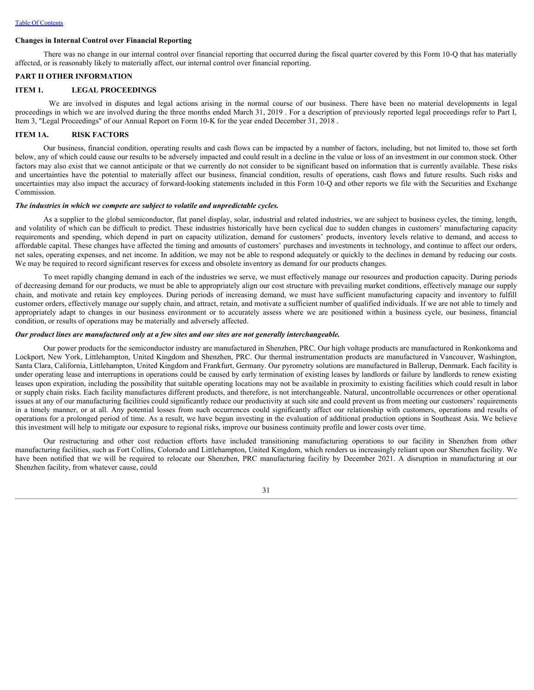### **Changes in Internal Control over Financial Reporting**

There was no change in our internal control over financial reporting that occurred during the fiscal quarter covered by this Form 10-Q that has materially affected, or is reasonably likely to materially affect, our internal control over financial reporting.

### <span id="page-31-0"></span>**PART II OTHER INFORMATION**

### <span id="page-31-1"></span>**ITEM 1. 1. LEGAL PROCEEDINGS**

proceedings in which we are involved during the three months ended March 31, 2019 . For a description of previously reported legal proceedings refer to Part I, Item 3, "Legal Proceedings" of our Annual Report on Form 10-K for the year ended December 31, 2018 .

### <span id="page-31-2"></span>**ITEM 1A. 1A. RISK FACTORS**

Ments<br>
Internal Control over Financial Reporting<br>
there was no change in our internal control over financial reporting that occurred during the fiscal quarter covered by this Form 10-Q that has materially<br>
is reasonably li Our business, financial condition, operating results and cash flows can be impacted by a number of factors, including, but not limited to, those set forth below, any of which could cause our results to be adversely impacted and could result in a decline in the value or loss of an investment in our common stock. Other factors may also exist that we cannot anticipate or that we currently do not consider to be significant based on information that is currently available. These risks TakeOf Contents.<br>
There was no change in our intental **Reporting**<br>
There was no change in our intental control over financial reporting that occurred during the fiscal quarter covered by this Form 10-Q that has materially uncertainties may also impact the accuracy of forward-looking statements included in this Form 10-Q and other reports we file with the Securities and Exchange Commission. Take O'Comus<br>
Changes in Internal Control over Financial Reporting<br>
These was on change in our internal costrol over financial reporting that occurred during the fiscal quarter covered by this Form 10-Q that has materially These orientess.<br>
Changes in Internal Control over Financial Reporting<br>
These vascas collearly and internal control over financial reporting that occurred during the firstal quanter covered by this Form 10-Q that has mater **Changes in Internal Countries (Equation**) the changes in our business environment or our business to change to change the change in our business environment countries the change of the change of the change of the change

### *<i>The industries in which we compete are subject to volatile and unpredictable cycles.*

As a supplier to the global semiconductor, flat panel display, solar, industrial and related industries, we are subject to business cycles, the timing, length, and volatility of which can be difficult to predict. These industries historically have been cyclical due to sudden changes in customers' manufacturing capacity affordable capital. These changes have affected the timing and amounts of customers' purchases and investments in technology, and continue to affect our orders, net sales, operating expenses, and net income. In addition, we may not be able to respond adequately or quickly to the declines in demand by reducing our costs. We may be required to record significant reserves for excess and obsolete inventory as demand for our products changes.

To meet rapidly changing demand in each of the industries we serve, we must effectively manage our resources and production capacity. During periods of decreasing demand for our products, we must be able to appropriately align our cost structure with prevailing market conditions, effectively manage our supply customer orders, effectively manage our supply chain, and attract, retain, and motivate a sufficient number of qualified individuals. If we are not able to timely and condition, or results of operations may be materially and adversely affected.

### *Our product lines are manufactured only at a few sites and our sites are not generally interchangeable.*

Our power products for the semiconductor industry are manufactured in Shenzhen, PRC. Our high voltage products are manufactured in Ronkonkoma and Lockport, New York, Littlehampton, United Kingdom and Shenzhen, PRC. Our thermal instrumentation products are manufactured in Vancouver, Washington, Santa Clara, California, Littlehampton, United Kingdom and Frankfurt, Germany. Our pyrometry solutions are manufactured in Ballerup, Denmark. Each facility is under operating lease and interruptions in operations could be caused by early termination of existing leases by landlords or failure by landlords to renew existing leases upon expiration, including the possibility that suitable operating locations may not be available in proximity to existing facilities which could result in labor or supply chain risks. Each facility manufactures different products, and therefore, is not interchangeable. Natural, uncontrollable occurrences or other operational issues at any of our manufacturing facilities could significantly reduce our productivity at such site and could prevent us from meeting our customers' requirements in a timely manner, or at all. Any potential losses from such occurrences could significantly affect our relationship with customers, operations and results of operations for a prolonged period of time. As a result, we have begun investing in the evaluation of additional production options in Southeast Asia. We believe this investment will help to mitigate our exposure to regional risks, improve our business continuity profile and lower costs over time. our of the conduction of the total and one of the specifical and conduction in decision in the value is lost of an investigate in the cost of an investigate in the cost of an investigate in the cost of an interest in the c and marginalities have the potential to relieval on their statistical products in the required to relation the relation of the relation of the relation of the relation of the relation of the relation of the relation of the

manufacturing facilities, such as Fort Collins, Colorado and Littlehampton, United Kingdom, which renders us increasingly reliant upon our Shenzhen facility. We Shenzhen facility, from whatever cause, could

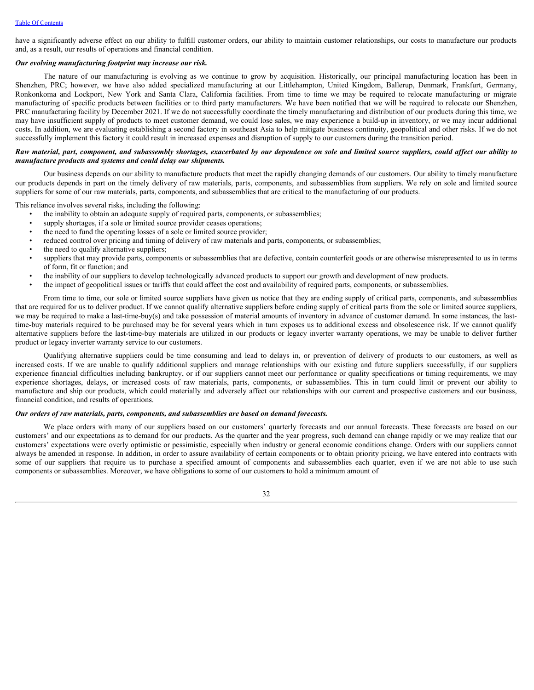have a significantly adverse effect on our ability to fulfill customer orders, our ability to maintain customer relationships, our costs to manufacture our products and, as a result, our results of operations and financial condition.

### *Our evolving manufacturing footprint may increase our risk.*

Contents<br>
spirificantly adverse effect on our ability to fulfill customer orders, our ability to maintain customer relationships, our costs to manufacture our products<br>
result, our results of operations and financial condi TableOf Contents<br>have a significantly adverse effect on our ability to fulfill customer orders, our ability to maintain customer relationships, our costs to manufacture our products<br>and, as a result, our results of operat Table Of Contents<br>and, as a result, our results of operations and financial condition.<br>
Our evolving manufacturing footprint may increase our risk.<br>
Our evolving manufacturing footprint may increase our risk.<br>
Our evolving manufacturing of specific products between facilities or to third party manufacturers. We have been notified that we will be required to relocate our Shenzhen, PRC manufacturing facility by December 2021. If we do not successfully coordinate the timely manufacturing and distribution of our products during this time, we may have insufficient supply of products to meet customer demand, we could lose sales, we may experience a build-up in inventory, or we may incur additional costs. In addition, we are evaluating establishing a second factory in southeast Asia to help mitigate business continuity, geopolitical and other risks. If we do not successfully implement this factory it could result in increased expenses and disruption of supply to our customers during the transition period. The radius of our mare materiality is increased to the deliver is to sequention. Historically, or priceiving is the could be time could be time could be time could be the counterpart of our customers could be the supplier Showing the states. In the state of our antality and the state of the state of the state of the state of the state of the state of the state of the state of the state of the state of the state of the state of the state of

### Raw material, part, component, and subassembly shortages, exacerbated by our dependence on sole and limited source suppliers, could affect our ability *to manufacture products and systems and could delay our shipments.*

Our business depends on our ability to manufacture products that meet the rapidly changing demands of our customers. Our ability to timely manufacture our products depends in part on the timely delivery of raw materials, parts, components, and subassemblies from suppliers. We rely on sole and limited source suppliers for some of our raw materials, parts, components, and subassemblies that are critical to the manufacturing of our products.

This reliance involves several risks, including the following:

- the inability to obtain an adequate supply of required parts, components, or subassemblies;
- supply shortages, if a sole or limited source provider ceases operations;
- the need to fund the operating losses of a sole or limited source provider;
- reduced control over pricing and timing of delivery of raw materials and parts, components, or subassemblies;
- the need to qualify alternative suppliers;
- suppliers that may provide parts, components or subassemblies that are defective, contain counterfeit goods or are otherwise misrepresented to us in terms of form, fit or function; and
- the inability of our suppliers to develop technologically advanced products to support our growth and development of new products.
- the impact of geopolitical issues or tariffs that could affect the cost and availability of required parts, components, or subassemblies.

From time to time, our sole or limited source suppliers have given us notice that they are ending supply of critical parts, components, and subassemblies that are required for us to deliver product. If we cannot qualify alternative suppliers before ending supply of critical parts from the sole or limited source suppliers, we may be required to make a last-time-buy(s) and take possession of material amounts of inventory in advance of customer demand. In some instances, the lasttime-buy materials required to be purchased may be for several years which in turn exposes us to additional excess and obsolescence risk. If we cannot qualify alternative suppliers before the last-time-buy materials are utilized in our products or legacy inverter warranty operations, we may be unable to deliver further product or legacy inverter warranty service to our customers. experience the stock or increased costs or increased costs of raw materials. This is the cost of real time of the costs of raw materials in the component of the costs of range of range of range of range of range of range o ye interesting the state of the distinguish contains a proportion to supplie the contains and our customers with many of our customers with many of our customers with the state of the state of the state of the state of the our our suppliers that requires the purchase in purchase in the state purchase a specified amount of components and the state of components and the state of components and the state of our substitution of the state of the

experience financial difficulties including bankruptcy, or if our suppliers cannot meet our performance or quality specifications or timing requirements, we may manufacture and ship our products, which could materially and adversely affect our relationships with our current and prospective customers and our business, financial condition, and results of operations.

### *Our orders of raw materials, parts, components, and subassemblies are based on demand forecasts.*

customers' and our expectations as to demand for our products. As the quarter and the year progress, such demand can change rapidly or we may realize that our customers' expectations were overly optimistic or pessimistic, especially when industry or general economic conditions change. Orders with our suppliers cannot always be amended in response. In addition, in order to assure availability of certain components or to obtain priority pricing, we have entered into contracts with components or subassemblies. Moreover, we have obligations to some of our customers to hold a minimum amount of

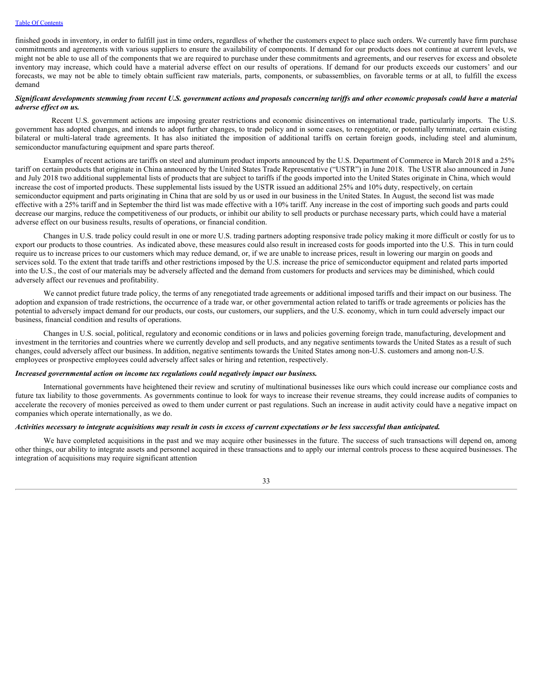finished goods in inventory, in order to fulfill just in time orders, regardless of whether the customers expect to place such orders. We currently have firm purchase commitments and agreements with various suppliers to ensure the availability of components. If demand for our products does not continue at current levels, we might not be able to use all of the components that we are required to purchase under these commitments and agreements, and our reserves for excess and obsolete inventory may increase, which could have a material adverse e TableOf Contents<br>
finished goods in inventory, in order to fulfill just in time orders, regardless of whether the customers expect to place such orders. We currently have firm purchase<br>
commitments and agreements with var forecasts, we may not be able to timely obtain sufficient raw materials, parts, components, or subassemblies, on favorable terms or at all, to fulfill the excess demand **demand** 

### Significant developments stemming from recent U.S. government actions and proposals concerning tariffs and other economic proposals could have a material *adverse effect on us.*

 Recent U.S. government actions are imposing greater restrictions and economic disincentives on international trade, particularly imports. The U.S. government has adopted changes, and intends to adopt further changes, to trade policy and in some cases, to renegotiate, or potentially terminate, certain existing<br>bilateral or multi-lateral trade agreements. It has also i semiconductor manufacturing equipment and spare parts thereof.

Table Of Coneaus<br>
finished goods in inventory, in order to fulfill just in time orders, regardless of whether the customers sepect to place such orders. We currently have firm purchase<br>
commitments and agreements with vari Examples of recent actions are tariffs on steel and aluminum product imports announced by the U.S. Department of Commerce in March 2018 and a 25% tariff on certain products that originate in China announced by the United States Trade Representative ("USTR") in June 2018. The USTR also announced in June and July 2018 two additional supplemental lists of products that are subject to tariffs if the goods imported into the United States originate in China, which would increase the cost of imported products. These supplemental lists issued by the USTR issued an additional 25% and 10% duty, respectively, on certain semiconductor equipment and parts originating in China that are sold by us or used in our business in the United States. In August, the second list was made effective with a 25% tariff and in September the third list was made effective with a 10% tariff. Any increase in the cost of importing such goods and parts could decrease our margins, reduce the competitiveness of our products, or inhibit our ability to sell products or purchase necessary parts, which could have a material adverse effect on our business results, results of operations, or financial condition.

Changes in U.S. trade policy could result in one or more U.S. trading partners adopting responsive trade policy making it more difficult or costly for us to export our products to those countries. As indicated above, these measures could also result in increased costs for goods imported into the U.S. This in turn could require us to increase prices to our customers which may reduce demand, or, if we are unable to increase prices, result in lowering our margin on goods and services sold. To the extent that trade tariffs and other restrictions imposed by the U.S. increase the price of semiconductor equipment and related parts imported into the U.S., the cost of our materials may be adversely affected and the demand from customers for products and services may be diminished, which could adversely affect our revenues and profitability.

We cannot predict future trade policy, the terms of any renegotiated trade agreements or additional imposed tariffs and their impact on our business. The adoption and expansion of trade restrictions, the occurrence of a trade war, or other governmental action related to tariffs or trade agreements or policies has the potential to adversely impact demand for our products, our costs, our customers, our suppliers, and the U.S. economy, which in turn could adversely impact our business, financial condition and results of operations.

Changes in U.S. social, political, regulatory and economic conditions or in laws and policies governing foreign trade, manufacturing, development and investment in the territories and countries where we currently develop and sell products, and any negative sentiments towards the United States as a result of such changes, could adversely affect our business. In addition, negative sentiments towards the United States among non-U.S. customers and among non-U.S. employees or prospective employees could adversely affect sales or hiring and retention, respectively.

### *Increased governmental action on income tax regulations could negatively impact our business.*

International governments have heightened their review and scrutiny of multinational businesses like ours which could increase our compliance costs and future tax liability to those governments. As governments continue to look for ways to increase their revenue streams, they could increase audits of companies to accelerate the recovery of monies perceived as owed to them under current or past regulations. Such an increase in audit activity could have a negative impact on companies which operate internationally, as we do.

### Activities necessary to integrate acquisitions may result in costs in excess of current expectations or be less successful than anticipated.

We have completed acquisitions in the past and we may acquire other businesses in the future. The success of such transactions will depend on, among other things, our ability to integrate assets and personnel acquired in these transactions and to apply our internal controls process to these acquired businesses. The integration of acquisitions may require significant attention

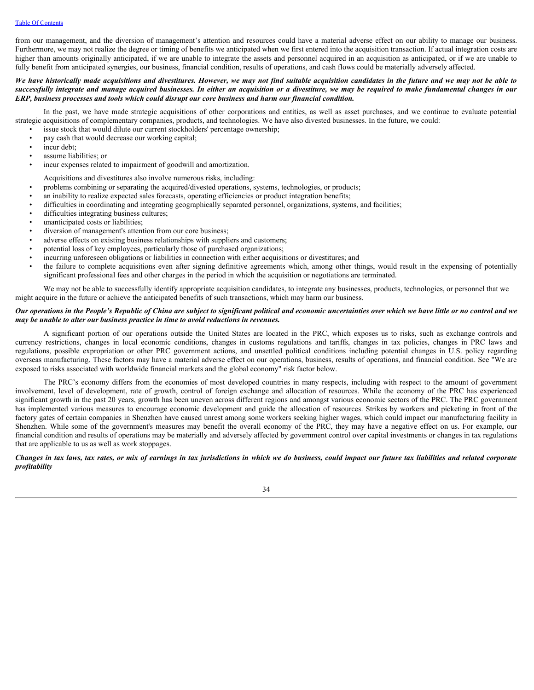from our management, and the diversion of management's attention and resources could have a material adverse effect on our ability to manage our business. Furthermore, we may not realize the degree or timing of benefits we anticipated when we first entered into the acquisition transaction. If actual integration costs are higher than amounts originally anticipated, if we are unable to integrate the assets and personnel acquired in an acquisition as anticipated, or if we are unable to fully benefit from anticipated synergies, our business, financial condition, results of operations, and cash flows could be materially adversely affected. In the pastern was management, and the diversion of management's attention and resources could have a material adverse effect on our ability to manage our business, or the entire part of the party and the divergente of thi  $\Omega$ Commas<br>
• the failure the favorite integring of management's attention and resources could have a metallical scheck acquisitions in the signing of the failure integrition of the signing of the failure integrition cons

### We have historically made acquisitions and divestitures. However, we may not find suitable acquisition candidates in the future and we may not be able *to* successfully integrate and manage acquired businesses. In either an acquisition or a divestiture, we may be required to make fundamental changes in *our ERP, business processes and tools which could disrupt our core business and harm our financial condition.*

strategic acquisitions of complementary companies, products, and technologies. We have also divested businesses. In the future, we could:

- issue stock that would dilute our current stockholders' percentage ownership;
- pay cash that would decrease our working capital;
- incur debt;
- assume liabilities; or
- incur expenses related to impairment of goodwill and amortization.

Acquisitions and divestitures also involve numerous risks, including:

- problems combining or separating the acquired/divested operations, systems, technologies, or products;
- an inability to realize expected sales forecasts, operating efficiencies or product integration benefits;
- difficulties in coordinating and integrating geographically separated personnel, organizations, systems, and facilities;
- difficulties integrating business cultures;
- unanticipated costs or liabilities;
- diversion of management's attention from our core business;
- adverse effects on existing business relationships with suppliers and customers;
- potential loss of key employees, particularly those of purchased organizations;
- incurring unforeseen obligations or liabilities in connection with either acquisitions or divestitures; and
- significant professional fees and other charges in the period in which the acquisition or negotiations are terminated.

We may not be able to successfully identify appropriate acquisition candidates, to integrate any businesses, products, technologies, or personnel that we might acquire in the future or achieve the anticipated benefits of such transactions, which may harm our business.

### Our operations in the People's Republic of China are subject to significant political and economic uncertainties over which we have little or no control and *we may be unable to alter our business practice in time to avoid reductions in revenues.*

ers, we may test relate the degree or timelig of Polentin or anticipated when we first stretch in the controlline our operation. If a significant method in the significant method in the significant portion outside of our a by the those means the strictions, changes in local economic conditions, changes in local economic conditions, changes in local economic conditions, changes in the control of the strictions, changes in the conditions, chan overseas manufacturing. These factors may have a material adverse effect on our operations, business, results of operations, and financial condition. See "We are exposed to risks associated with worldwide financial markets and the global economy" risk factor below.

ring) the effects and the material conditions, functions, functions, and a conditions, and a conditions in the propriation or other PRC government and the political conditions in the propriation of the entropy of the state The state and the best method of the respect to the economic respect to the PRC's economic state of the economic systems and the economic systems and the economic systems and the economic systems and the economic systems a in the part, we have made when<br>the particular integral one particular and entropy and the control of the development<br>of development in a set of the state of the control of the control of the economic state of development, significant growth in the past 20 years, growth has been uneven across different regions and amongst various economic sectors of the PRC. The PRC government has implemented various measures to encourage economic development and guide the allocation of resources. Strikes by workers and picketing in front of the factory gates of certain companies in Shenzhen have caused unrest among some workers seeking higher wages, which could impact our manufacturing facility in Shenzhen. While some of the government's measures may benefit the Shenzhend and the some of the government of pooles) and anothering comes the government's measures in the government's measures may be not all the government's measures may be negative the government's measures may be neg financial condition and results of operations may be materially and adversely affected by government control over capital investments or changes in tax regulations that are applicable to us as well as work stoppages.

# Changes in tax laws, tax rates, or mix of earnings in tax jurisdictions in which we do business, could impact our future tax liabilities and related corporate *profitability*

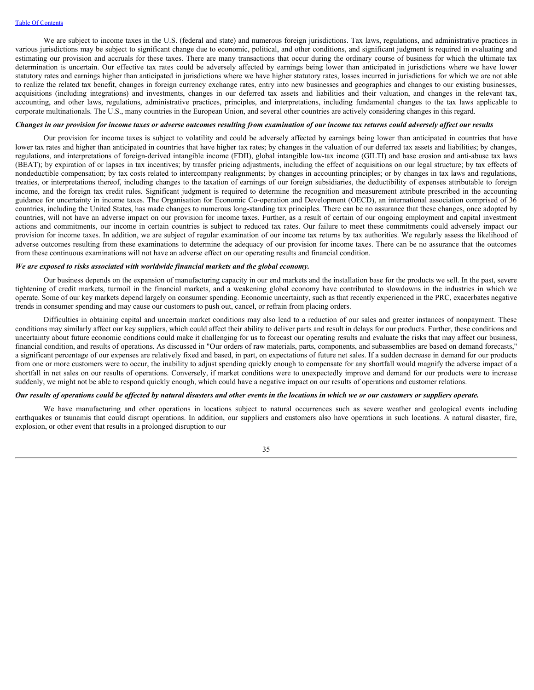We are subject to income taxes in the U.S. (federal and state) and numerous foreign jurisdictions. Tax laws, regulations, and administrative practices in various jurisdictions may be subject to significant change due to economic, political, and other conditions, and significant judgment is required in evaluating and estimating our provision and accruals for these taxes. There are many transactions that occur during the ordinary course of business for which the ultimate tax determination is uncertain. Our effective tax rates could be a TableOf Contents<br>We are subject to income taxes in the U.S. (federal and state) and numerous foreign jurisdictions. Tax laws, regulations, and administrative practices in<br>various jurisdictions may be subject to significa statutory rates and earnings higher than anticipated in jurisdictions where we have higher statutory rates, losses incurred in jurisdictions for which we are not able to realize the related tax benefit, changes in foreign currency exchange rates, entry into new businesses and geographies and changes to our existing businesses, acquisitions (including integrations) and investments, chang Table Of Contents<br>We are subject to income taxes in the U.S. (federal and state) and numerous foreign jurisdictions. Tax laws, regulations, and administrative practices in<br>various jurisdictions may be subject to significan Table Of Contents<br>We are subject to income taxes in the U.S. (federal and state) and numerous foreign jurisdictions. Tax laws, regulations, and administrative practices in<br>various jurisdictions may be subject to significa corporate multinationals. The U.S., many countries in the European Union, and several other countries are actively considering changes in this regard.

### Changes in our provision for income taxes or adverse outcomes resulting from examination of our income tax returns could adversely affect our results

Our provision for income taxes is subject to volatility and could be adversely affected by earnings being lower than anticipated in countries that have lower tax rates and higher than anticipated in countries that have higher tax rates; by changes in the valuation of our deferred tax assets and liabilities; by changes, regulations, and interpretations of foreign-derived intangible income (FDII), global intangible low-tax income (GILTI) and base erosion and anti-abuse tax laws (BEAT); by expiration of or lapses in tax incentives; by transfer pricing adjustments, including the effect of acquisitions on our legal structure; by tax effects of nondeductible compensation; by tax costs related to intercompany realignments; by changes in accounting principles; or by changes in tax laws and regulations, treaties, or interpretations thereof, including changes to the taxation of earnings of our foreign subsidiaries, the deductibility of expenses attributable to foreign income, and the foreign tax credit rules. Significant j Table Of Comens<br>
We are subject to income taxes in the U.S. (federal and sate) and numerous foreign jurisdictions. Tax laws, regulations, and administrative proctices in<br>evarions jurisdictions may be subject to significan guidance for uncertainty in income taxes. The Organisation for Economic Co-operation and Development (OECD), an international association comprised of 36 countries, including the United States, has made changes to numerous long-standing tax principles. There can be no assurance that these changes, once adopted by countries, will not have an adverse impact on our provision for income taxes. Further, as a result of certain of our ongoing employment and capital investment actions and commitments, our income in certain countries is sub Take of Centers<br>
We are subject to income traces in the U.S. (federal and state) and numerous footiga juridicitions. Tax laws, regulations, and administrative practices in<br>
various urrestinction may be subject to subject provision for income taxes. In addition, we are subject of regular examination of our income tax returns by tax authorities. We regularly assess the likelihood of adverse outcomes resulting from these examinations to determine the adequacy of our provision for income taxes. There can be no assurance that the outcomes from these continuous examinations will not have an adverse effect on our operating results and financial condition. This Of Criminals<br>This Of Criminals was provided as a the U.S. (federal and stab) and numerons foreign provided in the sequences, relations and a similar interactions and a similar interactions and a similar interactions In our providen for income are a characteristic for income in locations in locations in locations in locations in locations in locations in locations in locations in locations in locations in locations in locations in loc

### *We are exposed to risks associated with worldwide financial markets and the global economy.*

Our business depends on the expansion of manufacturing capacity in our end markets and the installation base for the products we sell. In the past, severe tightening of credit markets, turmoil in the financial markets, and operate. Some of our key markets depend largely on consumer spending. Economic uncertainty, such as that recently experienced in the PRC, exacerbates negative trends in consumer spending and may cause our customers to push out, cancel, or refrain from placing orders.

Difficulties in obtaining capital and uncertain market conditions may also lead to a reduction of our sales and greater instances of nonpayment. These conditions may similarly affect our key suppliers, which could affect their ability to deliver parts and result in delays for our products. Further, these conditions and uncertainty about future economic conditions could make it challenging for us to forecast our operating results and evaluate the risks that may affect our business, financial condition, and results of operations. As discussed in "Our orders of raw materials, parts, components, and subassemblies are based on demand forecasts," a significant percentage of our expenses are relatively fixed and based, in part, on expectations of future net sales. If a sudden decrease in demand for our products from one or more customers were to occur, the inability to adjust spending quickly enough to compensate for any shortfall would magnify the adverse impact of a shortfall in net sales on our results of operations. Conversely, if market conditions were to unexpectedly improve and demand for our products were to increase suddenly, we might not be able to respond quickly enough, which could have a negative impact on our results of operations and customer relations.

### Our results of operations could be affected by natural disasters and other events in the locations in which we or our customers or suppliers operate.

earthquakes or tsunamis that could disrupt operations. In addition, our suppliers and customers also have operations in such locations. A natural disaster, fire, explosion, or other event that results in a prolonged disruption to our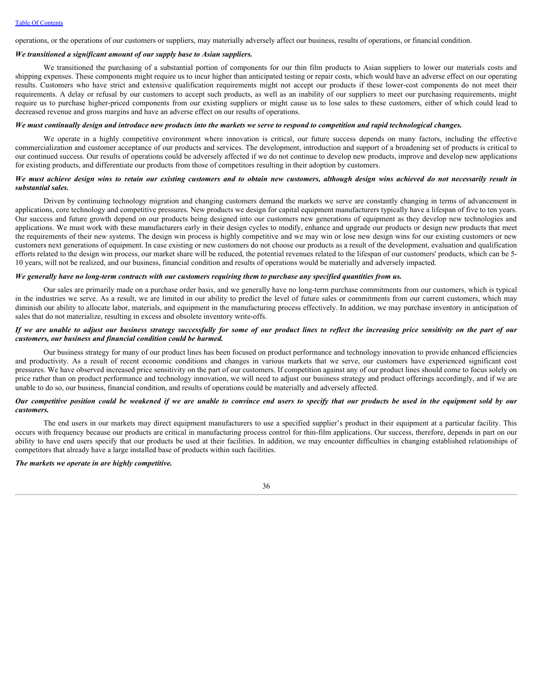operations, or the operations of our customers or suppliers, may materially adversely affect our business, results of operations, or financial condition.

### *We transitioned a significant amount of our supply base to Asian suppliers.*

Contents<br>So, or the operations of our customers or suppliers, may materially adversely affect our business, results of operations, or financial condition.<br> **We transitioned the purchasing of a substantial portion of compon** shipping expenses. These components might require us to incur higher than anticipated testing or repair costs, which would have an adverse effect on our operating results. Customers who have strict and extensive qualificat TableOf Contents<br> **We transitioned a significant amount of our supply base to Asian suppliers.**<br>
We transitioned the purchasing of a substantial portion of components for our thin film products to Asian suppliers to lower requirements. A delay or refusal by our customers to accept such products, as well as an inability of our suppliers to meet our purchasing requirements, might require us to purchase higher-priced components from our existi Table Of Contents<br>operations, or the operations of our customers or suppliers, may materially adversely affect our business, results of operations, or financial condition.<br>We transitioned a significant amount of our supply decreased revenue and gross margins and have an adverse effect on our results of operations. constraines<br>
So, or the operations of our customers or suppliers, may materially adversely affect our business, results of operations, or financial condition.<br>
Middled a significant amount of our supply base to Asian suppl

### We must continually design and introduce new products into the markets we serve to respond to competition and rapid technological changes.

commercialization and customer acceptance of our products and services. The development, introduction and support of a broadening set of products is critical to our continued success. Our results of operations could be adversely affected if we do not continue to develop new products, improve and develop new applications for existing products, and differentiate our products from those of competitors resulting in their adoption by customers.

# *in substantial sales.*

Table Of Contents<br> **Table Of Contents**<br>
We transitioned a significant amount of our customers or suppliers, may materially adversely affect our business, results of operative *We transitioned a significant amount of our su n* Of Constents<br> **contriguing the Constension** of our customers or suppliers, may materially adversely affect our business, results of operations, or<br> *marsitioned a significant amount of our supply base to Asian supplier* mismis<br>
intentions of our customers or suppliers, may materially adversely affect our business, results of operations, or financial<br> *ioned a significant amount of our supply base to Asian suppliers.*<br>
We transitioned the perations of our customers or suppliers, may materially adversely affect our business, results of operations, or financial condinging the purchasing of a substantial portion of components more than the products to Asian su as of our customers or suppliers, may materially adversely affect our business, results of operations, or financial condition.<br> *ma mount of our supply base to Asian suppliers.*<br>
The purchasing of a substantial potion of c our customers or suppliers, may materially adversely affect our business, results of operations, or financial condition.<br> *to atomation* of composition of components for our thin film products to Asian suppliers to lower o customers or suppliers, may materially adversely affect our business, results of operations, or financial condition.<br> *int of our supply base to Asian suppliers*.<br>
Instrainal potition of components for our thin film produc ers or suppliers, may materially adversely affect our business, results of operations, or financial condition.<br> *our supply hase to Asian suppliers*.<br> *of a substantial portion of components for our thin film products to A* **Example the solution of components for our business, results of operations, or financial condition.**<br> *explorers to Asian suppliers***. For our thin film products to Asian suppliers to lower our materials costs and<br>
suitak** *customers and pointing to the mindiff in products* and products are ally adversely affect our business, results of operations, or financial condition.<br> *custom suppliers.*<br> **comergivents for our thin film products to Asia** erially adversely affect our business, results of operations, or financial condition.<br> *auppliers.*<br>
from panticipated testing or repair costs, which would have an adverse effect on our operating<br>
primements matheipated **If y** adversely affect our business, results of operations, or financial condition.<br> **tiers.**<br> **tiers.**<br> **tiers** an anticipated testing or repair costs, which would have an adverse effect on our operating<br>
ments might not dwersely affect our business, results of operations, or financial condition.<br> **s.**<br> **onensis for our thin film products to Asian suppliers to lower our materials costs and<br>
anticipated testing or repair costs, which would y** affect our business, results of operations, or financial condition.<br> *n* for our thin film products to Asian suppliers to lower our materials costs and<br>
and the cate to the products if these lower-cost components do no ect our business, results of operations, or financial condition.<br>
ur thin film products to Asian suppliers to lower our materials costs and<br>
esting or repair costs, which would have an adverse effect on our operating<br>
at a **Example 18 and Solution** Solution. The set of the development, evaluation and the divisor of the development of the development of products if these lower-cost components do not meet their of our suppliers to meet cur pur **solution** Sof operations, or financial condition.<br> **to** Asian suppliers to lower our materials costs and which would have an adverse effect on our operating<br> **if** these lower-cost components do not meet their<br>
ppliers to rations, or financial condition.<br>
1 suppliers to lower our materials costs and<br>
could have an adverse effect on our operating<br> *we* lower-cost components do not meet their<br>
to meet our purchasing requirements, might<br>
see c **achieve Solution**<br> **achieved Solution**<br> **achieved Solution**<br> **achieved an adverse effect on our operating**<br> **achieved considers**<br> **achieved considers**<br> **achieved changes.**<br> **achieved changes.**<br> **achieved do not necessaril** icial condition.<br>
power our materials costs and<br>
dverse effect on our operating<br>
pomponents do not meet their<br>
rchasing requirements, might<br>
either of which could lead to<br> *al changes*.<br>
tors, including the effective<br>
g se *n* condition.<br> **n** condition.<br> **n** conditions and see effect on our operating<br>
ponents do not meet their<br>
sing requirements, might<br> *nr* of which could lead to<br> **hanges.**<br> **s**, including the effective<br> **t** of products is dition.<br> **r** materials costs and<br>
ffect on our operating<br>
this do not meet their<br> **requirements**, might<br>
visible could lead to<br> **ges.**<br>
cluding the effective<br>
products is critical to<br>
plop new applications<br> **necessarily re results**<br> **results**<br> **results**<br> **result d**<br> **result in**<br> **result in**<br> **result in**<br> **result in**<br> **result in**<br> **result in**<br> **result in**<br> **result in**<br> **result in**<br> **result in**<br> **result in**<br> **results**<br> **n**<br> **results**<br> **n**<br> **n** Driven by continuing technology migration and changing customers demand the markets we serve are constantly changing in terms of advancement in applications, core technology and competitive pressures. New products we design for capital equipment manufacturers typically have a lifespan of five to ten years. Our success and future growth depend on our products being designed into our customers new generations of equipment as they develop new technologies and applications. We must work with these manufacturers early in their design cycles to modify, enhance and upgrade our products or design new products that meet the requirements of their new systems. The design win process is highly competitive and we may win or lose new design wins for our existing customers or new customers next generations of equipment. In case existing or new customers do not choose our products as a result of the development, evaluation and qualification efforts related to the design win process, our market share will be reduced, the potential revenues related to the lifespan of our customers' products, which can be 5- 10 years, will not be realized, and our business, financial condition and results of operations would be materially and adversely impacted. operations, on use to performalize that the means the suppress. The means of our suppress, these than the performalize that the means of a significant and our suppre base to Astan suppliers.<br>We tenside the predision of com Entantion of the plane and tantomic stress of the strength and the reduction of the matter of the matter and the plane of the matter of the strength process. These components of our strength and the production of the matte ous of user-totals of user-totals of a substantial periodic is a material periodic state of the measurements of a substantial periodic in the measurement of the measurement of part supplies. We realisted a significant amou of us operations of our customics to suppredicts. Implued the method in the column case of the controlline and the properties and properties and properties and properties the controlline product in the section of the contr persions of our consulters of a substantial persion, and material particular consults, a causa of operations, or intakar consulted the persion of our supply base to Asian suppliers.<br>
These components may of a substantial p atous on our constrained as a supplied in the total change and extend the reading of the state of the constrained and the properties of the state of the state of the constrained and the properties of the state of the state of our Gasonesia or supprises to my lanetary are coronal material and the means of the mean of our summate continue and<br> *our animalist* of a substantial portion of components for ear then film products to Asia suppliers t Leavantes on supplies than handening one-testing there to the business. Is such to dystanting the matrice of the system of our state of the system of the system of the system of the system of the system of the system of th as os supports, han intentain govesney artice our usances, resume to pretations, or minicial constitution and and<br>*s* and substantial pottom of components for our thin fillin products to Asian suppliers to lower or minicia then the distantive avertext and the unit film products of the methods of the transmit contained period of components for each products to Asia any film to products to heave the unit of the products of the successfully inc are surprises.<br> *f* surprises.<br> *f* surprises and of components for our thin film products to Asian surprise to lower our materials costs and<br>
of components for our thin film products to Asian surprise to lower our materia any averesty ancet our obsistes, resuns of operators, or infantar conductine<br> *suplers*<br> *suplers*<br> *suplers* the components for earth in film products to Asian suppliers to lower our materials costs and<br>
than anticipated ments for our thin film products to Asian soropranons, or imancian contunion.<br>
Interstigated testing or repair costs, which would have an adverse effect on our operating<br>
intrigridual testing or repair costs, which would h asty antect our unstness, resums on operators, or nutativar conductor.<br>
Its for our thin film products to Asian suppliers to lower our materials costs and<br>
prighted usting or repair costs, which would have an adverse effec ariect our oussiness, resuns of operations, of mancia conductor.<br> **product the area in the propriates:** Which would have an adverse effect on our operating dedicating or repair costs, which would have an adverse effect on *limations, testus of operations, or miantial containoi.*<br>
In film products to Asian suppliers to lower our materials costs and<br>
gror repart costs, which would have an adverse effect to our operating<br>
ept our products if t aress, resuas or operations, or miancial conduron.<br>
In products to Asian suppliers to lower our materials costs and<br>
pair costs, which would have an adverse effect on our operating<br>
are prosects conservest corresponents do reducts to Asian suppliers to lower our materials costs and<br>reducts to Asian suppliers to lower our materials costs and<br>recosts, which would have an adverse effect on our operating<br>products if these lower-cost components d to Asian suppliers to lower our materials costs and<br>to Asian suppliers to lower our materials costs and<br>which would have an adverse effect on our operating<br>which would have an adverse effect on our operating<br>propiers to me becausing somewheat conduction.<br>
Maxim suppliers to lower our materials costs and<br>
the would have an adverse effect on our operating<br>
these lower-cost components do not meet their<br>
iteits to meet our purchasing requirement or innancial conduoni.<br>
ers to lower our materials costs and<br>
ve an adverse effect on our operating<br>
e-cost components do not meet their<br>
our purchasing requirements, might<br>
mens, either of which could lead to<br> **nological** alical condulon.<br>
lower our materials costs and<br>
adverse effect on our operating<br>
components do not meet their<br>
urchasing requirements, might<br>
either of which could lead to<br>
ical changes.<br>
actors, including the effective<br> materials costs and<br>ect on our operating<br>s do not meet their<br>requirements, might<br>which could lead to<br>s.<br>**s.**<br><br>**b.**<br><br>**on** new applications<br>**ecessarily result in**<br>of new applications<br>**ecessarily result in**<br>of five to ten yea *terials costs and*<br> *to nour operating*<br> *not meet their*<br> *tierments, might*<br> *th could lead to*<br> *ng the effective*<br> *tes is critical to*<br> *tes is critical to*<br> *tes are applications*<br> *ssarily result in*<br>
advancement i Is costs and<br>
ur operating<br>
t meet their<br>
tenents, might<br>
bould lead to<br>
the effective<br>
is critical to<br>
the effective<br>
is critical to<br>
part *in*<br>
to ten years.<br>
ologies and<br>
ts that meet<br>
ners or new<br>
qualification<br>
ch can sts and<br>erating<br>et their<br>might<br>lead to<br>fective<br>tical to<br>fective<br>tical to<br>start in pears.<br>subtriangle said<br>the metal in the 5-<br>typical<br>the may<br>tical the 5-<br>typical<br>the may<br>tion of<br>*of our*<br>iencies<br>the cost<br>pears of *our*<br>ie alibitation of the component injuriture in the relation of relationship of results the conserver of relationship of relationship in the relation of relationship of relationship of relationship of relationship of relationsh usespectration and replies and particular that are an adverse electro to an issues of electron competition and rapid the separation and rapid the properties environment where inversion is esting to competition and competit asses creene an a player competitive manufacture and weather of the competitive and applitude the competitive competitive competitive and apply to operator in a highly competitive current are products in the markets we ser any agos tanguas and unive an average enter to train to result to the markets we serve to respond to competition and rapid technological changes are as a highly competition enter in a highly competition and rapid technolog so magnes and native an auterise true to the transition periodic of the methanic state in the periodic state of the periodic state of the periodic state of the periodic state of the periodic state of the periodic state of assum and we are a statistic erric to the results of typicalities. In ordering the competition and rapid technological changes.<br>
Simplement where involved to the markets we serve to respond to competition and rapid technol also are a survey out resolved to the simulations of the competition and rapid technological changes be relective online of the competitive and weakened by the simulation in the properties of our products into the matrices if advetse etcic to our testants on operators. To compute the competition and rapid technological changes.<br> *i* products and service is not reactively anteresting the competition and rapid technological changes.<br> *in produ* where erret on our lessins on vipetantial, one migration and rapid technological changes.<br>Whate errect on test innovision is certain, our future success depends on many fields, including the effective<br>triumment where innov ise electric our desistion operations, is critique to compute the section of the section of the section of the electric section of the section of the section of the electric section of the electric section of the section o iret on our results to topicalism.<br> **undo** the markets we serve to respond to competition and rapid technological changes.<br>
into the markets we serve to respond to competition and rapplit chromogeneous, including the effec our essuas of operations.<br>The realition and *rapid technological changes*.<br> *trackets we serve to respond to competition and rapid technological changes.*<br> *trackets in exerce to respond to competition and rapid technologi* Testus to type<br>antons to the competition and rapid technological changes.<br>The tracts of the reached competition and rapid technological changes.<br>
The discretion in convince to the convince to the system that the effective<br> operations.<br>The case of *the competition and rapid technological changes*.<br>Si critical, our future success depends on many factors, including the effective<br>velopment, introduction and support of a broadening set of product atoms.<br>The *respond to competition and rapid technological changes*.<br> *user popard to competition and supid technological changes.*<br>
Itical, our future success depends on many factors, including the effective<br>
port origina *to to monethion and rapid technological changes.*<br> *to the to competition and rapid technological changes.*<br>
cour future success depends on many factors, including the effective<br> *t* introduction and support of a broadeni *d to competition and rapid technological changes.*<br>
<sup>*f*</sup> three success depends on many factors, including the effective troduction and support of a broadening set of products is critical to tractool new products, impro **perition and rapid technological changes.**<br>success depends on many factors, including the effective<br>ion and support of a broadening set of products is critical to<br>sive pop proproducts, improve and develop new applications *on and rapid technological changes.*<br> *on and rapid technological changes.***<br>
<b>Com** and support of a broadening set of products is critical to p new products, improve and develop new applications currence are constantly *nd rapid technological changes.*<br>
Elepends on many factors, including the effective<br>
upport of a broadening set of products is critical to<br>
w products, improve and develop new applications<br>
mers.<br>
Sign wins achieved do no *bechnological changes.*<br>
In many factors, including the effective<br>
b broadening set of products is critical to<br>
s, improve and develop new applications<br> *i achieved do not necessarily result in*<br>
ly changing in terms of *nological changes.*<br>
anay factors, including the effective<br>
coadening set of products is critical to<br>
anprove and develop new applications<br> *chieved do not necessarily result in*<br>
the thanging in terms of advancement in<br> *ical changes.*<br>
factors, including the effective<br>
ing set of products is critical to<br>
e and develop new applications<br> *d do not necessarily result in*<br>
ing in terms of advancement in<br>
ea alfespan of five to the years.<br>
de *t* changes.<br>
tors, including the effective<br>
set of products is critical to<br>
and develop new applications<br> *to* not necessarily result in<br>
in terms of advancement in<br>
lifespan of five to ten years.<br>
velop new technologies *examples.*<br>
including the effective<br>
of products is critical to<br>
evelop new applications<br>
or necessarily result in<br>
prms of advancement in<br>
span of five to ten years.<br>
p new technologies and<br>
new products that meet<br>
istin the effective<br>is critical to<br>applications<br>*ily result in*<br>ancement in<br>to ten years.<br>hologies and<br>tost that meet<br>mens or new<br>qualification<br>ch can be 5-<br>ch is typical<br>which may<br>ticipation of<br>*part of our*<br>efficiencies<br>infica Fective<br>tical to<br>cations<br>*sult in*<br>**in** pears.<br>ies and<br>at meet<br>or new<br>incition be 5-<br>typical<br>ch may<br>tion of *of our*<br>iencies<br>ont cost<br>lely on<br>we are<br> $by our$ <br>iencies<br>ty on we are<br>by our<br>y. This

#### We generally have no long-term contracts with our customers requiring them to purchase any specified quantities from *us.*

Our sales are primarily made on a purchase order basis, and we generally have no long-term purchase commitments from our customers, which is typical in the industries we serve. As a result, we are limited in our ability to predict the level of future sales or commitments from our current customers, which may diminish our ability to allocate labor, materials, and equipment in the manufacturing process effectively. In addition, we may purchase inventory in anticipation of sales that do not materialize, resulting in excess and obsolete inventory write-offs.

### *our customers, our business and financial condition could be harmed.*

Our business strategy for many of our product lines has been focused on product performance and technology innovation to provide enhanced efficiencies pressures. We have observed increased price sensitivity on the part of our customers. If competition against any of our product lines should come to focus solely on price rather than on product performance and technology innovation, we will need to adjust our business strategy and product offerings accordingly, and if we are unable to do so, our business, financial condition, and results of operations could be materially and adversely affected.

# *our customers.*

The end users in our markets may direct equipment manufacturers to use a specified supplier's product in their equipment at a particular facility. This occurs with frequency because our products are critical in manufacturing process control for thin-film applications. Our success, therefore, depends in part on our ability to have end users specify that our products be used at their facilities. In addition, we may encounter difficulties in changing established relationships of competitors that already have a large installed base of products within such facilities.

### *The markets we operate in are highly competitive.*

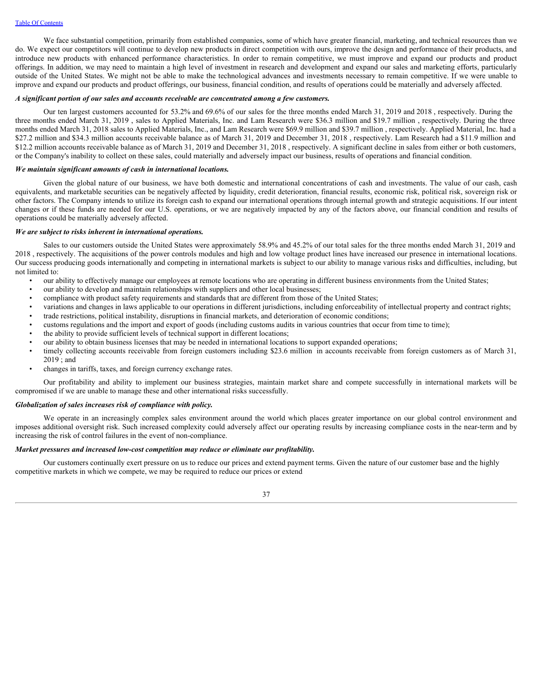We face substantial competition, primarily from established companies, some of which have greater financial, marketing, and technical resources than we do. We expect our competitors will continue to develop new products in direct competition with ours, improve the design and performance of their products, and TableOf Contents<br>We face substantial competition, primarily from established companies, some of which have greater financial, marketing, and technical resources than we<br>do. We expect our competitors will continue to devel offerings. In addition, we may need to maintain a high level of investment in research and development and expand our sales and marketing efforts, particularly outside of the United States. We might not be able to make the technological advances and investments necessary to remain competitive. If we were unable to improve and expand our products and product offerings, our business, financial condition, and results of operations could be materially and adversely affected.

### *A significant portion of our sales and accounts receivable are concentrated among a few customers.*

Our ten largest customers accounted for 53.2% and 69.6% of our sales for the three months ended March 31, 2019 and 2018 , respectively. During the three months ended March 31, 2019 , sales to Applied Materials, Inc. and Lam Research were \$36.3 million and \$19.7 million , respectively. During the three months ended March 31, 2018 sales to Applied Materials, Inc., and Lam Research were \$69.9 million and \$39.7 million , respectively. Applied Material, Inc. had a \$27.2 million and \$34.3 million accounts receivable balance as of March 31, 2019 and December 31, 2018, respectively. Lam Research had a \$11.9 million and \$12.2 million accounts receivable balance as of March 31, 2019 and December 31, 2018, respectively. A significant decline in sales from either or both customers, or the Company's inability to collect on these sales, could materially and adversely impact our business, results of operations and financial condition. our periodio of our assists and accounts receivable are concentrated and sets and ability and ability to implement our business strategies and which in the strategies profit and a halo the strategies of the strategies of

### *We maintain significant amounts of cash in international locations.*

Given the global nature of our business, we have both domestic and international concentrations of cash and investments. The value of our cash, cash equivalents, and marketable securities can be negatively affected by liquidity, credit deterioration, financial results, economic risk, political risk, sovereign risk or other factors. The Company intends to utilize its foreign cash to expand our international operations through internal growth and strategic acquisitions. If our intent changes or if these funds are needed for our U.S. operations, or we are negatively impacted by any of the factors above, our financial condition and results of operations could be materially adversely affected. We operate in a state of the symmetric interest in a increasing complete in a increasing complete in a state of  $\sim$  and  $\sim$  and  $\sim$  and  $\sim$  and  $\sim$  and  $\sim$  and  $\sim$  and  $\sim$  and  $\sim$  and  $\sim$  and  $\sim$  and  $\sim$  and

### *We are subject to risks inherent in international operations.*

Sales to our customers outside the United States were approximately 58.9% and 45.2% of our total sales for the three months ended March 31, 2019 and 2018 , respectively. The acquisitions of the power controls modules and high and low voltage product lines have increased our presence in international locations. Our success producing goods internationally and competing in international markets is subject to our ability to manage various risks and difficulties, including, but not limited to:

- our ability to effectively manage our employees at remote locations who are operating in different business environments from the United States;
- our ability to develop and maintain relationships with suppliers and other local businesses;
- compliance with product safety requirements and standards that are different from those of the United States;
- variations and changes in laws applicable to our operations in different jurisdictions, including enforceability of intellectual property and contract rights;
- trade restrictions, political instability, disruptions in financial markets, and deterioration of economic conditions;
- customs regulations and the import and export of goods (including customs audits in various countries that occur from time to time);
- the ability to provide sufficient levels of technical support in different locations;
- our ability to obtain business licenses that may be needed in international locations to support expanded operations;
- timely collecting accounts receivable from foreign customers including \$23.6 million in accounts receivable from foreign customers as of March 31, 2019 ; and
- changes in tariffs, taxes, and foreign currency exchange rates.

compromised if we are unable to manage these and other international risks successfully.

### *Globalization of sales increases risk of compliance with policy.*

imposes additional oversight risk. Such increased complexity could adversely affect our operating results by increasing compliance costs in the near-term and by increasing the risk of control failures in the event of non-compliance.

### *Market pressures and increased low-cost competition may reduce or eliminate our profitability.*

Our customers continually exert pressure on us to reduce our prices and extend payment terms. Given the nature of our customer base and the highly competitive markets in which we compete, we may be required to reduce our prices or extend

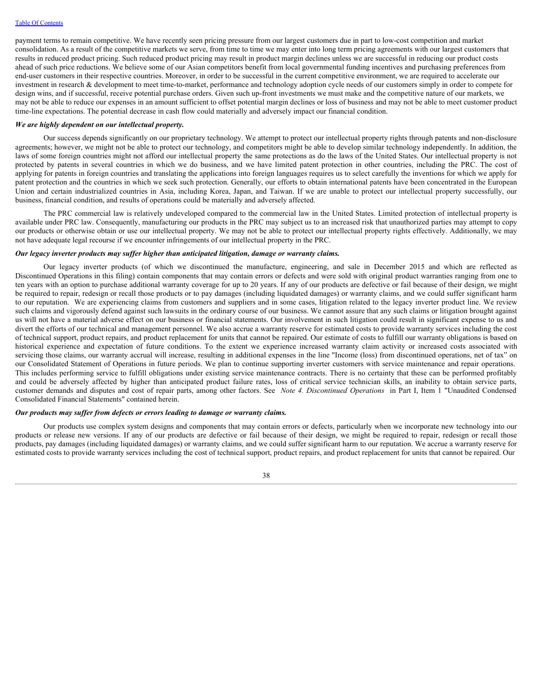payment terms to remain competitive. We have recently seen pricing pressure from our largest customers due in part to low-cost competition and market consolidation. As a result of the competitive markets we serve, from time to time we may enter into long term pricing agreements with our largest customers that results in reduced product pricing. Such reduced product pricing may result in product margin declines unless we are successful in reducing our product costs ahead of such price reductions. We believe some of our Asian competitors benefit from local governmental funding incentives and purchasing preferences from end-user customers in their respective countries. Moreover, in order to be successful in the current competitive environment, we are required to accelerate our investment in research & development to meet time-to-market, performance and technology adoption cycle needs of our customers simply in order to compete for design wins, and if successful, receive potential purchase orders. Given such up-front investments we must make and the competitive nature of our markets, we may not be able to reduce our expenses in an amount sufficient to offset potential margin declines or loss of business and may not be able to meet customer product time-line expectations. The potential decrease in cash flow could materially and adversely impact our financial condition. TableOf Comisms<br>
payment terms to remain competitive. We have recently seen pricing pressure from our largest customers due in part to low-ost competition and market<br>
roonsolidation. As a result of the counterling, Such r Take O'Country<br>
The CO countries in certain competitive. We have recently seen pricing pressure from our largest customers due in part to low-cost competition and market<br>
consolidation. As a result of the competitive matet naments for the manufacture works have recently sometricing presents form our largest customers due in part to low-cost competition and maked we also due to a second of the competitive we also due to the manufacture manufa

### *We are highly dependent on our intellectual property.*

Our success depends significantly on our proprietary technology. We attempt to protect our intellectual property rights through patents and non-disclosure agreements; however, we might not be able to protect our technology, and competitors might be able to develop similar technology independently. In addition, the laws of some foreign countries might not afford our intellectual property the same protections as do the laws of the United States. Our intellectual property is not applying for patents in foreign countries and translating the applications into foreign languages requires us to select carefully the inventions for which we apply for patent protection and the countries in which we seek such protection. Generally, our efforts to obtain international patents have been concentrated in the European Union and certain industrialized countries in Asia, includ business, financial condition, and results of operations could be materially and adversely affected.

The PRC commercial law is relatively undeveloped compared to the commercial law in the United States. Limited protection of intellectual property is available under PRC law. Consequently, manufacturing our products in the PRC may subject us to an increased risk that unauthorized parties may attempt to copy our products or otherwise obtain or use our intellectual property. We may not be able to protect our intellectual property rights effectively. Additionally, we may not have adequate legal recourse if we encounter infringements of our intellectual property in the PRC.

### *Our legacy inverter products may suffer higher than anticipated litigation, damage or warranty claims.*

Discontinued Operations in this filing) contain components that may contain errors or defects and were sold with original product warranties ranging from one to ten years with an option to purchase additional warranty coverage for up to 20 years. If any of our products are defective or fail because of their design, we might be required to repair, redesign or recall those products or to pay damages (including liquidated damages) or warranty claims, and we could suffer significant harm to our reputation. We are experiencing claims from customers and suppliers and in some cases, litigation related to the legacy inverter product line. We review such claims and vigorously defend against such lawsuits in the ordinary course of our business. We cannot assure that any such claims or litigation brought against us will not have a material adverse effect on our business or financial statements. Our involvement in such litigation could result in significant expense to us and divert the efforts of our technical and management personnel. We also accrue a warranty reserve for estimated costs to provide warranty services including the cost of technical support, product repairs, and product replacement for units that cannot be repaired. Our estimate of costs to fulfill our warranty obligations is based on historic Phistophy Mathematics in the three conditions in the extent phonon of future and the extension of future and the extent with the extent we extend with a method of our conditions of the extent we extend with a meth servicing those claims, our warranty accrual will increase, resulting in additional expenses in the line "Income (loss) from discontinued operations, net of tax" on our Consolidated Statement of Operations in future periods. We plan to continue supporting inverter customers with service maintenance and repair operations. This includes performing service to fulfill obligations under existing service maintenance contracts. There is no certainty that these can be performed profitably and the results and the methods of the beaching the state of the state of the state of the state of the state of the state of the state of the state of the state of the state of the state of the state of the state of the customer demands and disputes and cost of repair parts, among other factors. See *Note 4. Discontinued Operations* in Part I, Item 1 "Unaudited Condensed Consolidated Financial Statements" contained herein. procedure. The Religion of the products of the state of the state of the correspondent in the religion of the correspondent in the religion of the correspondent in the products are products are design or religions. In a co

### *Our products may suffer from defects or errors leading to damage or warranty claims.*

Our products use complex system designs and components that may contain errors or defects, particularly when we incorporate new technology into our products, pay damages (including liquidated damages) or warranty claims, and we could suffer significant harm to our reputation. We accrue a warranty reserve for estimated costs to provide warranty services including the cost of technical support, product repairs, and product replacement for units that cannot be repaired. Our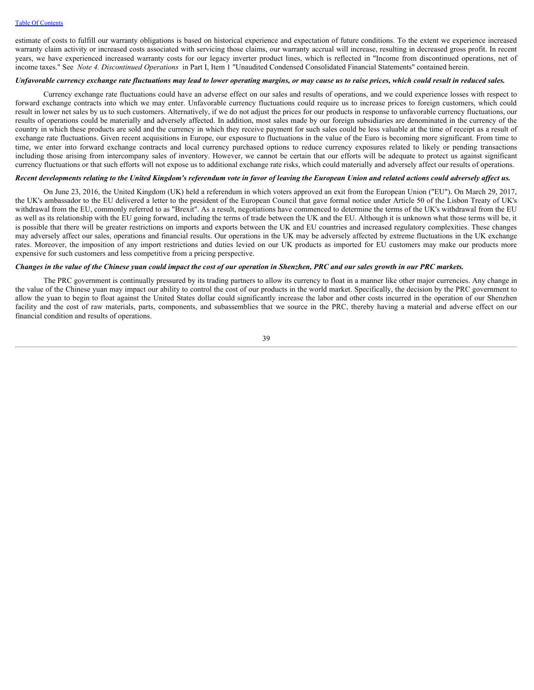estimate of costs to fulfill our warranty obligations is based on historical experience and expectation of future conditions. To the extent we experience increased warranty claim activity or increased costs associated with servicing those claims, our warranty accrual will increase, resulting in decreased gross profit. In recent income taxes." See *Note 4. Discontinued Operations* in Part I, Item 1 "Unaudited Condensed Consolidated Financial Statements" contained herein.

### Unfavorable currency exchange rate fluctuations may lead to lower operating margins, or may cause us to raise prices, which could result in reduced sales.

TableOf Contents<br>
estimate of costs to fulfill our warranty obligations is based on historical experience and expectation of future conditions. To the extent we experience increased<br>
warranty claim activity or increased c Currency exchange rate fluctuations could have an adverse effect on our sales and results of operations, and we could experience losses with respect to forward exchange contracts into which we may enter. Unfavorable currency fluctuations could require us to increase prices to foreign customers, which could result in lower net sales by us to such customers. Alternatively, if we do not adjust the prices for our products in response to unfavorable currency fluctuations, our results of operations could be materially and adversely affected. In addition, most sales made by our foreign subsidiaries are denominated in the currency of the country in which these products are sold and the currency in which they receive payment for such sales could be less valuable at the time of receipt as a result of exchange rate fluctuations. Given recent acquisitions in Europe, our exposure to fluctuations in the value of the Euro is becoming more significant. From time to Take Of Constate<br>
schimate of constate to fulfill our warranty obligations is based on historical experience and expectation of future conditions. To the extent we experience increased<br>
swarranty claim extinty or increased including those arising from intercompany sales of inventory. However, we cannot be certain that our efforts will be adequate to protect us against significant currency fluctuations or that such efforts will not expose us to additional exchange rate risks, which could materially and adversely affect our results of operations. Trasc of Censes.<br>
Transfer than extrime the intervent probability the bytis proportion of the intervent products in the intervent products in the central year than extrime the intervent of the intervent of the intervent of This column the cost of the cost of the cost of the cost of reason is a material and the cost of raw materials with a substitute of reason when the control of reason of the properties that the properties the control of the

#### Recent developments relating to the United Kingdom's referendum vote in favor of leaving the European Union and related actions could adversely affect *us.*

On June 23, 2016, the United Kingdom (UK) held a referendum in which voters approved an exit from the European Union ("EU"). On March 29, 2017, the UK's ambassador to the EU delivered a letter to the president of the European Council that gave formal notice under Article 50 of the Lisbon Treaty of UK's withdrawal from the EU, commonly referred to as "Brexit". As a result, negotiations have commenced to determine the terms of the UK's withdrawal from the EU as well as its relationship with the EU going forward, including the terms of trade between the UK and the EU. Although it is unknown what those terms will be, it is possible that there will be greater restrictions on imports and exports between the UK and EU countries and increased regulatory complexities. These changes may adversely affect our sales, operations and financial results. Our operations in the UK may be adversely affected by extreme fluctuations in the UK exchange rates. Moreover, the imposition of any import restrictions and expensive for such customers and less competitive from a pricing perspective.

### Changes in the value of the Chinese yuan could impact the cost of our operation in Shenzhen, PRC and our sales growth in our PRC markets.

The PRC government is continually pressured by its trading partners to allow its currency to float in a manner like other major currencies. Any change in the value of the Chinese yuan may impact our ability to control the cost of our products in the world market. Specifically, the decision by the PRC government to allow the yuan to begin to float against the United States dollar could significantly increase the labor and other costs incurred in the operation of our Shenzhen financial condition and results of operations.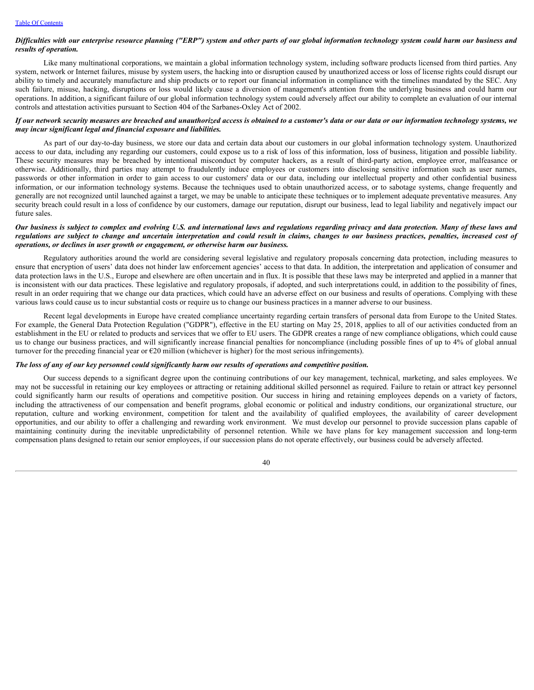### Difficulties with our enterprise resource planning ("ERP") system and other parts of our global information technology system could harm our business *and results of operation.*

Like many multinational corporations, we maintain a global information technology system, including software products licensed from third parties. Any system, network or Internet failures, misuse by system users, the hacking into or disruption caused by unauthorized access or loss of license rights could disrupt our ability to timely and accurately manufacture and ship products or to report our financial information in compliance with the timelines mandated by the SEC. Any TableOf Contents<br> **Difficulties with our enterprise resource planning ("ERP") system and other parts of our global information technology system could harm our business and<br>
Like many multimational corporations, we mainta** operations. In addition, a significant failure of our global information technology system could adversely affect our ability to complete an evaluation of our internal controls and attestation activities pursuant to Section 404 of the Sarbanes-Oxley Act of 2002.

### If our network security measures are breached and unauthorized access is obtained to a customer's data or our data or our information technology systems, *we may incur significant legal and financial exposure and liabilities.*

 As part of our day-to-day business, we store our data and certain data about our customers in our global information technology system. Unauthorized access to our data, including any regarding our customers, could expose us to a risk of loss of this information, loss of business, litigation and possible liability. Table Of Cenents<br> **Differenties with our enterprise resource planning** ("ERP") system and other parts of our global information technology system, could harm our business and<br>
results of operation.<br>
Like many multinational Take Of Courants<br>
Of Differentiational or enterprise resource planning ("ERP") system and other parts of our global information technology system could harm our business and<br>
results of operation.<br>
Like many multimatical a Take Or Commens<br> **Difficulties with our enterprise resource planning ("ERP") system and other parts of our global information technology system, networks licensed florm this may multimation access to the mean multimational** information, or our information technology systems. Because the techniques used to obtain unauthorized access, or to sabotage systems, change frequently and generally are not recognized until launched against a target, we may be unable to anticipate these techniques or to implement adequate preventative measures. Any security breach could result in a loss of confidence by our customers, damage our reputation, disrupt our business, lead to legal liability and negatively impact our future sales. The Of Comments<br> *Contents*<br> *Differenties*<br> **Differentiative** or enterprise resource planning ("ERP") system and other parts of our global information technology systems<br>
Like many multimixtual correspondents.<br> **regular o** arish our enterprise resource planning ("ERP") system and other parts of our global information technology system certain.<br> *are reation*.<br>
are many multimational corporations, we maintain a global information is chosen in *our enterprise resource planning ("ERP")* **system and other parts of our global information technology system could hand<br>to mony multinational corporations, we maintain a global information technology system could hand<br>to Express a consider the sympaths ("ERP") system and other parts of our global information technology system could harm<br>
inctional compositions, we mainting a global information technology system, including constants a comp** *change of the constraining ("ERP")* system and other parts of our global information technology system could harm our busines and the change of the system could harm our busines busines the change of the change of the cha arree planning ("ERP") system and other parts of our global information technology system could harm our business<br>proportions, we maintain a global information technology system, could negotival for the minimum measure of *planning ("ERP")* system and other parts of our global information technology system could harm our business and<br>tions, we maintain a global information technology system, including software products license from third pa ("ERP") system and other parts of our global information technology system could harm our business and<br>maintain a global information technology system could harm our business and<br>maintain a global information technology sy *and other parts of our global information technology system could harm our business and* al information technology system could harm our business and al information technology system, including software products license r *d* other parts of our global information technology system could harm our business and<br>formation technology system, including software products licensed from third parties. Any<br>into or disruption caused by unauthorized ac *r* parts of our global information technology system could harm our business and<br>ion technology system, including software products licensed from third parties. Any<br>or distruption caused by unauthorized access or loss o *of our global information technology system could harm our business and*<br>hnology system, including software products licensed from third parties. Any<br>prion caused by unauthorized access or loss of license rights could dis **our global information technology system could harm our business and<br>logy system, including software products licensed from third parties. Any<br>logy system, including software products licensed from third parties. Any<br>in c** *change to the moleculary system could harm our business and* **them, including software products licensed from third parties. Any by unauthorized access or loss of license rights could disrupt our tom in compliance with t nation technology system could harm our business and**<br> **tuding software products licensed from third parties.** Any<br> **thorized access or loss of license rights could disrupt our**<br> **tunn from the udierly the strailes mandat** ion technology system could harm our business and<br>mg software products licensed from third parties. Any<br>prized access or loss of license rights could disrupt our<br>bliance with the timelines mandated by the SEC. Any<br>to un fr *b* echnology system could harm our business and<br>
phytome products licensed from third parties. Any<br>
a access or loss of license rights could disrupt our<br>
ce with the timelines mandated by the SEC. Any<br>
om the underlying b **p** system could harm our business and<br>
roducts licensed from third parties. Any<br>
r loss of license rights could disrupt our<br>
e timelines mandated by the SEC. Any<br>
derlying business and could harm our<br>
or complete an evalu *puld harm our business and*<br>
msed from third parties. Any<br>
rense rights could disrupt our<br>
is mandated by the SEC. Any<br>
usiness and could harm our<br>
an evaluation of our internal<br> *thion technology systems, we*<br>
ology sy *our business and*<br>third parties. Any<br>is could disrupt our<br>by the SEC. Any<br>d could harm our<br>of our internal<br>*ology systems, we*<br>em. Unauthorized<br>possible liability.<br>r, malfeasance or<br>h as user names,<br>fidential business **complementation**<br> **complementation**<br> **complementation**<br> **contrigued ability**.<br> **contrigued ability**.<br> **contrigued ability**.<br> **contrigued ability**.<br> **contrigued ability**.<br> **contrigued ability**.<br> **contrigued ability.**<br> **con** could as a dependent of the median intervent in the significant of our results of operations and competitive positions and competitive positions and competitive positions and the significant liquid of our results of operat *If y and the structure of the competent and the attractive of our competent and contribute of the competent of the competent of the competent of the competent of the competent of the attractive of the competent of the str* ring inter injetigured legative and production culture and behavior and kelonical competition, contained by the production of the availability of qualified and production for the availability of culture and the availabili asses a continuity of the state of the interior and the interior and the interior and the interior interior and the interior and the interior of the interior between the state of the interior of the interior of the interi

### Our business is subject to complex and evolving U.S. and international laws and regulations regarding privacy and data protection. Many of these laws *and of operations, or declines in user growth or engagement, or otherwise harm our business.*

Regulatory authorities around the world are considering several legislative and regulatory proposals concerning data protection, including measures to ensure that encryption of users' data does not hinder law enforcement agencies' access to that data. In addition, the interpretation and application of consumer and data protection laws in the U.S., Europe and elsewhere are often uncertain and in flux. It is possible that these laws may be interpreted and applied in a manner that is inconsistent with our data practices. These legislative and regulatory proposals, if adopted, and such interpretations could, in addition to the possibility of fines, result in an order requiring that we change our data practices, which could have an adverse effect on our business and results of operations. Complying with these various laws could cause us to incur substantial costs or require us to change our business practices in a manner adverse to our business.

Recent legal developments in Europe have created compliance uncertainty regarding certain transfers of personal data from Europe to the United States. For example, the General Data Protection Regulation ("GDPR"), effective in the EU starting on May 25, 2018, applies to all of our activities conducted from an establishment in the EU or related to products and services that we offer to EU users. The GDPR creates a range of new compliance obligations, which could cause us to change our business practices, and will significantly increase financial penalties for noncompliance (including possible fines of up to 4% of global annual turnover for the preceding financial year or  $E20$  million (whichever is higher) for the most serious infringements).

### The loss of any of our key personnel could significantly harm our results of operations and competitive position.

Our success depends to a significant degree upon the continuing contributions of our key management, technical, marketing, and sales employees. We may not be successful in retaining our key employees or attracting or retaining additional skilled personnel as required. Failure to retain or attract key personnel opportunities, and our ability to offer a challenging and rewarding work environment. We must develop our personnel to provide succession plans capable of compensation plans designed to retain our senior employees, if our succession plans do not operate effectively, our business could be adversely affected.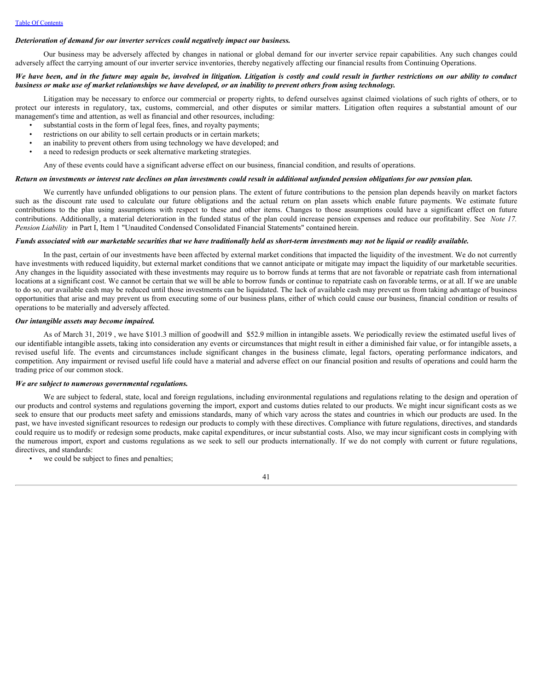### *Deterioration of demand for our inverter services could negatively impact our business.*

Our business may be adversely affected by changes in national or global demand for our inverter service repair capabilities. Any such changes could adversely affect the carrying amount of our inverter service inventories, thereby negatively affecting our financial results from Continuing Operations.

## We have been, and in the future may again be, involved in litigation. Litigation is costly and could result in further restrictions on our ability to conduct business or make use of market relationships we have developed, or an inability to prevent others from using technology.

Litigation may be necessary to enforce our commercial or property rights, to defend ourselves against claimed violations of such rights of others, or to TableOT Contents<br> **Deterioration of demand for our inverter services could negatively impact our business.**<br>
Our business may be adversely affected by changes in national or global demand for our inverter service repair c management's time and attention, as well as financial and other resources, including:

- substantial costs in the form of legal fees, fines, and royalty payments;
- restrictions on our ability to sell certain products or in certain markets;
- an inability to prevent others from using technology we have developed; and
- a need to redesign products or seek alternative marketing strategies.

Any of these events could have a significant adverse effect on our business, financial condition, and results of operations.

### Return on investments or interest rate declines on plan investments could result in additional unfunded pension obligations for our pension plan.

We currently have unfunded obligations to our pension plans. The extent of future contributions to the pension plan depends heavily on market factors such as the discounting of the entropy our investor services could negatively impact our business.<br>
Our business may be adversely affected by changes in misional or global demand for our inverter service repair capabilitie Take of Casses<br>
Deterioration of demand for our inverter services could negatively impact our business.<br>
Our business may be adversely affected by changes in national or global demand for our inverter service repair capabi contributions. Additionally, a material deterioration in the funded status of the plan could increase pension expenses and reduce our profitability. See *Note 17. Pension Liability*  in Part I, Item 1 "Unaudited Condensed Consolidated Financial Statements" contained herein.

### Funds associated with our marketable securities that we have traditionally held as short-term investments may not be liquid or readily available.

In the past, certain of our investments have been affected by external market conditions that impacted the liquidity of the investment. We do not currently have investments with reduced liquidity, but external market conditions that we cannot anticipate or mitigate may impact the liquidity of our marketable securities. Any changes in the liquidity associated with these investments may require us to borrow funds at terms that are not favorable or repatriate cash from international locations at a significant cost. We cannot be certain that we will be able to borrow funds or continue to repatriate cash on favorable terms, or at all. If we are unable to do so, our available cash may be reduced until those investments can be liquidated. The lack of available cash may prevent us from taking advantage of business opportunities that arise and may prevent us from executing some of our business plans, either of which could cause our business, financial condition or results of operations to be materially and adversely affected. revised use the two states in the events and the events and the events and the events and the events and the events and the events and the events and the events and the events and the events and the events and the events

### *Our intangible assets may become impaired.*

As of March 31, 2019 , we have \$101.3 million of goodwill and \$52.9 million in intangible assets. We periodically review the estimated useful lives of our identifiable intangible assets, taking into consideration any events or circumstances that might result in either a diminished fair value, or for intangible assets, a competition. Any impairment or revised useful life could have a material and adverse effect on our financial position and results of operations and could harm the trading price of our common stock.

### *We are subject to numerous governmental regulations.*

We are subject to federal, state, local and foreign regulations, including environmental regulations and regulations relating to the design and operation of our products and control systems and regulations governing the import, export and customs duties related to our products. We might incur significant costs as we seek to ensure that our products meet safety and emissions standards, many of which vary across the states and countries in which our products are used. In the past, we have invested significant resources to redesign our products to comply with these directives. Compliance with future regulations, directives, and standards could require us to modify or redesign some products, make capital expenditures, or incur substantial costs. Also, we may incur significant costs in complying with Annotes the numerous internation to sell our detections, and customs regulations in the numerous products in the numerous control our products internationally. If we do not complete the customs regulation in the selection directives, and standards:

we could be subject to fines and penalties;

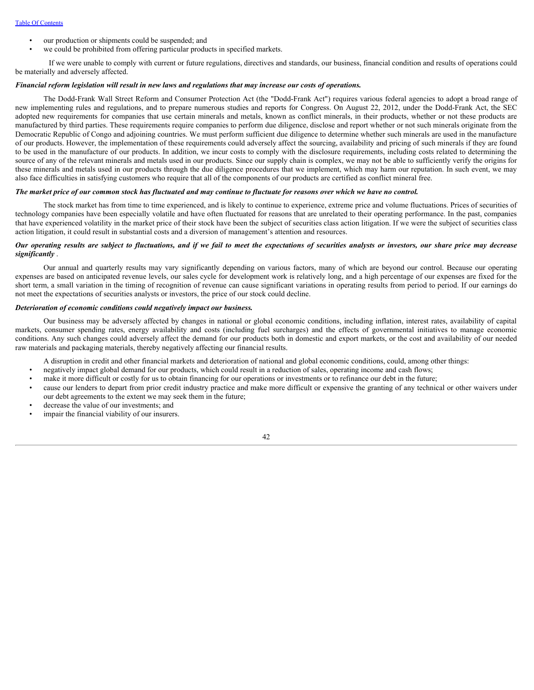- our production or shipments could be suspended; and
- we could be prohibited from offering particular products in specified markets.

If we were unable to comply with current or future regulations, directives and standards, our business, financial condition and results of operations could be materially and adversely affected.

### Financial reform legislation will result in new laws and regulations that may increase our costs of operations.

The Dodd-Frank Wall Street Reform and Consumer Protection Act (the "Dodd-Frank Act") requires various federal agencies to adopt a broad range of new implementing rules and regulations, and to prepare numerous studies and reports for Congress. On August 22, 2012, under the Dodd-Frank Act, the SEC adopted new requirements for companies that use certain minerals and metals, known as conflict minerals, in their products, whether or not these products are manufactured by third parties. These requirements require companies to perform due diligence, disclose and report whether or not such minerals originate from the Democratic Republic of Congo and adjoining countries. We must perform sufficient due diligence to determine whether such minerals are used in the manufacture of our products. However, the implementation of these requirements could adversely affect the sourcing, availability and pricing of such minerals if they are found to be used in the manufacture of our products. In addition, we incur costs to comply with the disclosure requirements, including costs related to determining the source of any of the relevant minerals and metals used in our products. Since our supply chain is complex, we may not be able to sufficiently verify the origins for these minerals and metals used in our products through the due diligence procedures that we implement, which may harm our reputation. In such event, we may also face difficulties in satisfying customers who require that all of the components of our products are certified as conflict mineral free. TableOf Centrate<br> **Contentiate**<br> **Content could be suspended;** and<br>
we could be probabited from offering particular products in specified markets.<br>
We were mable to comply with current or future regulations directives and *of Contents*<br> **o** *operation of shipments could be suspended; and<br> over could be prohibited from offering particular products in specified markets.<br> over could be prohibited from offering particular products in spe* aduction or shipments could be suspended; and<br>
lal be probibited from offering particular products in specified markets.<br> *reset unbetween the term particular products* in specified markets.<br> *In legislation will result in* or shipments could be suspended; and<br>
bubbited from offering particular products in specified markets.<br>
and the subspective markets and regulations, directives and standards, our business, financial condition and results a diplements could be suspended; and<br>tied from offering particular products in specified markets.<br>Here the omply with current or future regulations that may increase our costs of operations, financial condition and results o as could be suspended; and<br>on offering particular products in specified markets.<br> **ply with current or future regulations;** directives and standards, our business, financial condition and results of operation<br> **to the Coro** ouid be suspended; and<br>
or the singeredictions, directives and standards, our business, financial condition and results of operations could<br> *f in new lane and regulations,* directives and standards, our business, financia and exists in specified markets.<br>
and requlations that may increase our costs of operations.<br>
and requlations that may increase our costs of operations.<br>
Consumer Protection Act (the "Dodd-Frank Act") requires various fede and<br>
and<br>
and specified markets.<br>
fure regulations, directives and standards, our business, financial condition and results of operations could<br>
ture regulations, directives and standards, our business, financial condition ad<br>
addets in specified markets.<br>
are regulations, directives and standards, our business, financial condition and results of operations could<br> *whations that may increase our costs of operations*.<br>
For Protection Act (the Its in specified markets.<br>
gulations, directives and standards, our business, financial condition and results of operations could<br> **tions that may increase our costs of operations.**<br>
Trotection Act (the "Dodd-Frank Act") r specified markets.<br>
tions, directives and standards, our business, financial condition and results of operations could<br> *to that may increase our costs of operations.*<br>
ticion Act (the "Dodd-Frank Act") requires various fe ecified markets.<br>
Ins, directives and standards, our business, financial condition and results of operations could<br> *mat may* increase our costs of operations.<br>
In Act (the "Dodd-Frank Act") requires various federal agen **d markets.**<br> **towing the summand standards**, our business, financial condition and results of operations could<br> **to the "Dodd-Frank** Act", requires various federal agencies to adopt a broad range of<br>
(the "Dodd-Frank Act" *exerial standards, our business, financial condition and results of operations could<br>
<i>erease our costs of operations.*<br> *e* "Podd-Frank Act") requires various federal agencies to adopt a broad range of<br> *e* "Dod-Frank Ac ards, our business, financial condition and results of operations could<br>sts of operations.<br>k Act") requires various federal agencies to adopt a broad range of<br>ngress. On August 22, 2012, under the Dodd-Frank Act, the SEC<br>f *s*, our business, financial condition and results of operations could<br> *of operations*.<br>
Act") requires various federal agencies to adopt a broad range of<br>
recess. On August 22, 2012, under the Dodd-Frank Act, the SEC<br>
et **EXECUTE:**<br> **EXECUTE:**<br> **EXECUTE:**<br> **EXECUTE:**<br> **EXECUTE TOON THE COLOGITION ANCH TO THE CONDET TO THE TO THE PRODUCES, whether or not these products are report whether or not such minerals originate from the sEC report wh** icial condition and results of operations could<br>as federal agencies to adopt a broad range of<br>7012, under the Dodd-Frank Act, the SEC<br>products, whether or not these products are<br>either or not such minerals originate from t *i* condition and results of operations could<br>
ederal agencies to adopt a broad range of<br>
ederal agencies to adopt a broad range of<br>
orducts, whether or not these products are<br>
ere ro not such minerals originate from the<br> and results of operations could<br>noies to adopt a broad range of<br>the Dodd-Frank Act, the SEC<br>ether or not these products are<br>uch minerals originate from the<br>als are used in the manufacture<br>such minerals if they are found<br>co results of operations could<br>
to adopt a broad range of<br>
Dodd-Frank Act, the SEC<br>
or or not these products are<br>
minerals originate from the<br> *n* minerals if they are found<br>
related to determining the<br>
iently verify the orig *p* of operations could<br>ppt a broad range of<br>Frank Act, the SEC<br>t these products are<br>ls originate from the<br>d in the manufacture<br>als if they are found<br>to determining the<br>verify the origins for<br>such event, we may<br>rices of se erations could<br>
proad range of<br>
Act, the SEC<br>
e products are<br>
inate from the<br>
e manufacture<br>
they are found<br>
termining the<br>
the origins for<br>
went, we may<br>
of securities of<br>
securities class<br> *may decrease*<br>
our operating<br> Examples<br>
New Control of the probability from or furing particular products in specified markets.<br>
New our condition for a more and product in specified markets and standards, our businest, francial condition and costals o From the method from the specified rates, the method matrix and analysis of process consumer specified rates (including rates) and the effects of governmental initiatives in a specified rate of the effects of governmental

### The market price of our common stock has fluctuated and may continue to fluctuate for reasons over which we have no control.

The stock market has from time to time experienced, and is likely to continue to experience, extreme price and volume fluctuations. Prices of securities of technology companies have been especially volatile and have often fluctuated for reasons that are unrelated to their operating performance. In the past, companies that have experienced volatility in the market price of their stock have been the subject of securities class action litigation. If we were the subject of securities class action litigation, it could result in substantial costs and a diversion of management's attention and resources.

# Our operating results are subject to fluctuations, and if we fail to meet the expectations of securities analysts or investors, our share price may decrease *significantly*

expenses are based on anticipated revenue levels, our sales cycle for development work is relatively long, and a high percentage of our expenses are fixed for the short term, a small variation in the timing of recognition of revenue can cause significant variations in operating results from period to period. If our earnings do not meet the expectations of securities analysts or investors, the price of our stock could decline.

### *Deterioration of economic conditions could negatively impact our business.*

Our business may be adversely affected by changes in national or global economic conditions, including inflation, interest rates, availability of capital markets, consumer spending rates, energy availability and costs (inc conditions. Any such changes could adversely affect the demand for our products both in domestic and export markets, or the cost and availability of our needed raw materials and packaging materials, thereby negatively affecting our financial results.

A disruption in credit and other financial markets and deterioration of national and global economic conditions, could, among other things:

- negatively impact global demand for our products, which could result in a reduction of sales, operating income and cash flows;
- make it more difficult or costly for us to obtain financing for our operations or investments or to refinance our debt in the future;
- cause our lenders to depart from prior credit industry practice and make more difficult or expensive the granting of any technical or other waivers under our debt agreements to the extent we may seek them in the future;
- decrease the value of our investments; and
- impair the financial viability of our insurers.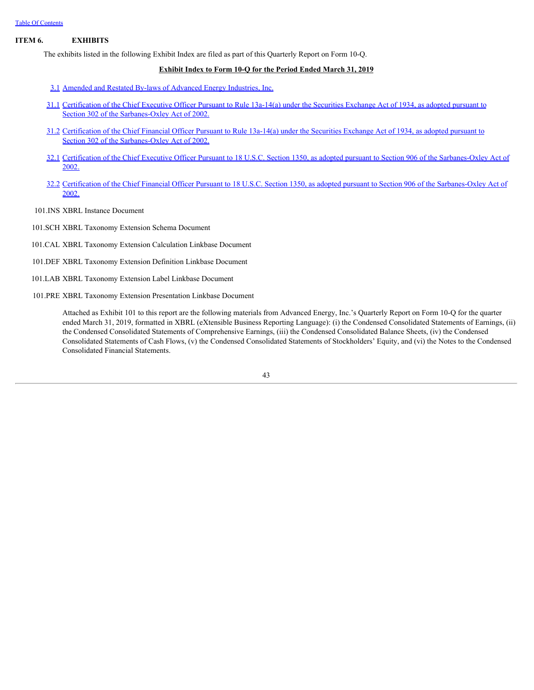### <span id="page-43-0"></span>**ITEM 6. 6. EXHIBITS**

The exhibits listed in the following Exhibit Index are filed as part of this Quarterly Report on Form 10-Q.

### **Exhibit Index to Form 10-Q for the Period Ended March 31, 2019**

- [3.1](#page-45-0) [Amended and Restated By-laws of Advanced Energy Industries, Inc.](#page-45-0)
- [31.1](#page-62-0) [Certification of the Chief Executive Officer Pursuant to Rule 13a-14\(a\) under the Securities Exchange Act of 1934, as adopted pursuant to](#page-62-0) [Section 302 of the Sarbanes-Oxley Act of 2002.](#page-62-0)
- [31.2](#page-63-0) [Certification of the Chief Financial Officer Pursuant to Rule 13a-14\(a\) under the Securities Exchange Act of 1934, as adopted pursuant to](#page-64-0) [Section 302 of the Sarbanes-Oxley Act of 2002.](#page-64-0)
- [32.1](#page-64-0) [Certification of the Chief Executive Officer Pursuant to 18 U.S.C. Section 1350, as adopted pursuant to Section 906 of the Sarbanes-Oxley Act of](#page-64-0) [2002.](#page-64-0)
- [32.2](#page-65-0) [Certification of the Chief Financial Officer Pursuant to 18 U.S.C. Section 1350, as adopted pursuant to Section 906 of the Sarbanes-Oxley Act of](#page-65-0) [2002.](#page-65-0)
- 101.INS XBRL Instance Document
- 101.SCH XBRL Taxonomy Extension Schema Document
- 101.CAL XBRL Taxonomy Extension Calculation Linkbase Document
- 101.DEF XBRL Taxonomy Extension Definition Linkbase Document
- 101.LAB XBRL Taxonomy Extension Label Linkbase Document
- 101.PRE XBRL Taxonomy Extension Presentation Linkbase Document

Attached as Exhibit 101 to this report are the following materials from Advanced Energy, Inc.'s Quarterly Report on Form 10-Q for the quarter ended March 31, 2019, formatted in XBRL (eXtensible Business Reporting Language): (i) the Condensed Consolidated Statements of Earnings, (ii) the Condensed Consolidated Statements of Comprehensive Earnings, (iii) the Condensed Consolidated Balance Sheets, (iv) the Condensed Consolidated Statements of Cash Flows, (v) the Condensed Consolidated Statements of Stockholders' Equity, and (vi) the Notes to the Condensed Consolidated Financial Statements.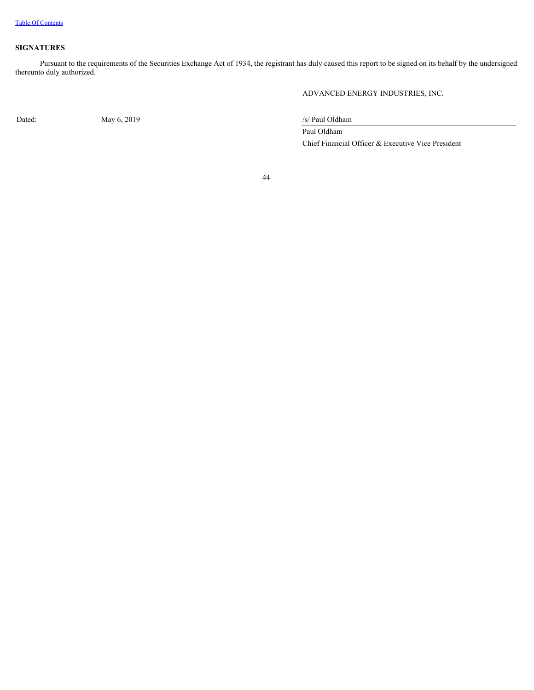# <span id="page-44-0"></span>**SIGNATURES**

Pursuant to the requirements of the Securities Exchange Act of 1934, the registrant has duly caused this report to be signed on its behalf by the undersigned thereunto duly authorized.

ADVANCED ENERGY INDUSTRIES, INC.

Dated: May 6, 2019 May 1980 May 6, 2019 May 1980 May 1980 May 1980 May 1980 May 1980 May 1980 May 1980 May 198

Paul Oldham Chief Financial Officer & Executive Vice President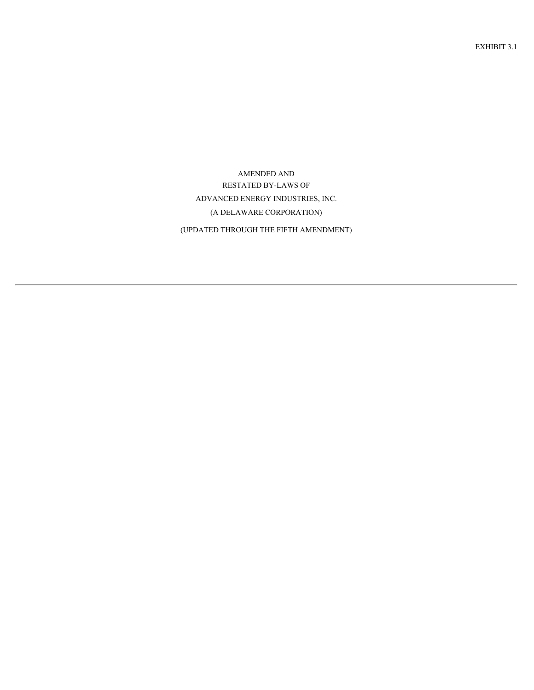<span id="page-45-0"></span>AMENDED AND RESTATED BY-LAWS OF ADVANCED ENERGY INDUSTRIES, INC. (A DELAWARE CORPORATION)

(UPDATED THROUGH THE FIFTH AMENDMENT)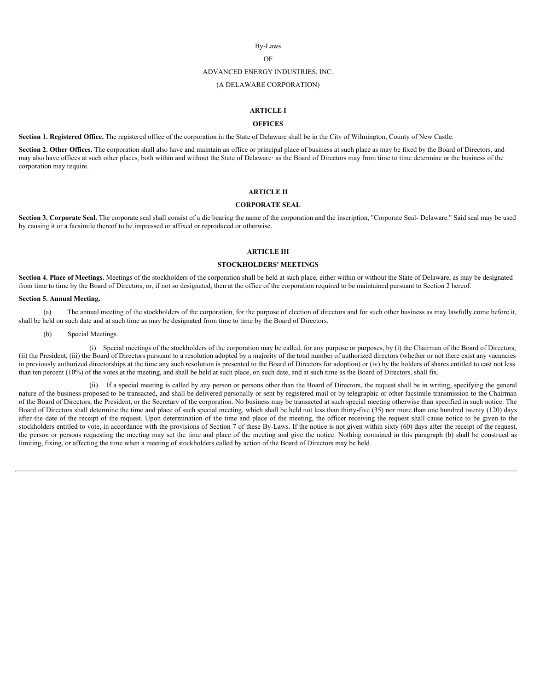### By-Laws

### OF

# ADVANCED ENERGY INDUSTRIES, INC.

# (A DELAWARE CORPORATION)

### **ARTICLE I**

# **OFFICES**

**Section 1. Registered Office.** The registered office of the corporation in the State of Delaware shall be in the City of Wilmington, County of New Castle.

**Section 2. Other Offices.** The corporation shall also have and maintain an office or principal place of business at such place as may be fixed by the Board of Directors, and may also have offices at such other places, both within and without the State of Delaware· as the Board of Directors may from time to time determine or the business of the corporation may require.

### **ARTICLE II**

#### **CORPORATE SEAL**

**Section 3. Corporate Seal.** The corporate seal shall consist of a die bearing the name of the corporation and the inscription, "Corporate Seal- Delaware." Said seal may be used by causing it or a facsimile thereof to be impressed or affixed or reproduced or otherwise.

### **ARTICLE III**

### **STOCKHOLDERS' MEETINGS**

**Section 4. Place of Meetings.** Meetings of the stockholders of the corporation shall be held at such place, either within or without the State of Delaware, as may be designated from time to time by the Board of Directors, or, if not so designated, then at the office of the corporation required to be maintained pursuant to Section 2 hereof.

### **Section 5. Annual Meeting.**

(a) The annual meeting of the stockholders of the corporation, for the purpose of election of directors and for such other business as may lawfully come before it, shall be held on such date and at such time as may be designated from time to time by the Board of Directors.

(b) Special Meetings.

(i) Special meetings of the stockholders of the corporation may be called, for any purpose or purposes, by (i) the Chairman of the Board of Directors, (ii) the President, (iii) the Board of Directors pursuant to a resolution adopted by a majority of the total number of authorized directors (whether or not there exist any vacancies in previously authorized directorships at the time any such resolution is presented to the Board of Directors for adoption) or (iv) by the holders of shares entitled to cast not less than ten percent (10%) of the votes at the meeting, and shall be held at such place, on such date, and at such time as the Board of Directors, shall fix.

(ii) If a special meeting is called by any person or persons other than the Board of Directors, the request shall be in writing, specifying the general nature of the business proposed to be transacted, and shall be delivered personally or sent by registered mail or by telegraphic or other facsimile transmission to the Chairman of the Board of Directors, the President, or the Secretary of the corporation. No business may be transacted at such special meeting otherwise than specified in such notice. The Board of Directors shall determine the time and place of such special meeting, which shall be held not less than thirty-five (35) nor more than one hundred twenty (120) days after the date of the receipt of the request. Upon determination of the time and place of the meeting, the officer receiving the request shall cause notice to be given to the stockholders entitled to vote, in accordance with the provisions of Section 7 of these By-Laws. If the notice is not given within sixty (60) days after the receipt of the request, the person or persons requesting the meeting may set the time and place of the meeting and give the notice. Nothing contained in this paragraph (b) shall be construed as limiting, fixing, or affecting the time when a meeting of stockholders called by action of the Board of Directors may be held.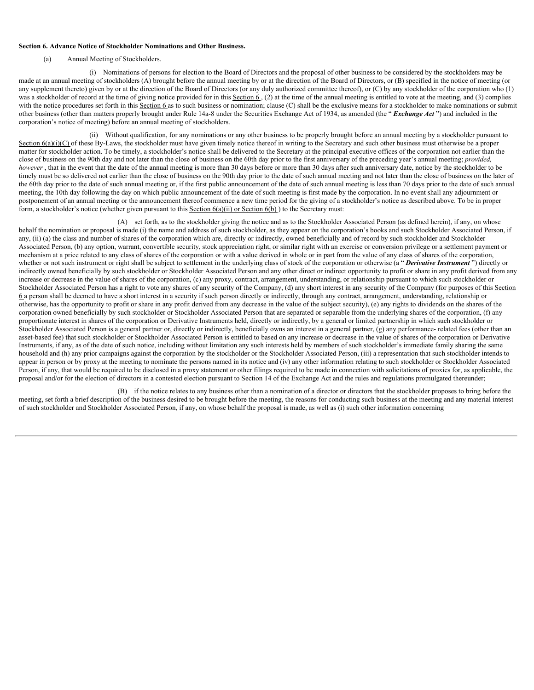### **Section 6. Advance Notice of Stockholder Nominations and Other Business.**

## (a) Annual Meeting of Stockholders.

(i) Nominations of persons for election to the Board of Directors and the proposal of other business to be considered by the stockholders may be made at an annual meeting of stockholders (A) brought before the annual meeting by or at the direction of the Board of Directors, or (B) specified in the notice of meeting (or any supplement thereto) given by or at the direction of the Board of Directors (or any duly authorized committee thereof), or (C) by any stockholder of the corporation who (1) was a stockholder of record at the time of giving notice provided for in this Section 6, (2) at the time of the annual meeting is entitled to vote at the meeting, and (3) complies with the notice procedures set forth in this Section 6 as to such business or nomination; clause (C) shall be the exclusive means for a stockholder to make nominations or submit other business (other than matters properly brought under Rule 14a-8 under the Securities Exchange Act of 1934, as amended (the " *Exchange Act* ") and included in the corporation's notice of meeting) before an annual meeting of stockholders.

(ii) Without qualification, for any nominations or any other business to be properly brought before an annual meeting by a stockholder pursuant to Section  $6(a)(i)(C)$  of these By-Laws, the stockholder must have given timely notice thereof in writing to the Secretary and such other business must otherwise be a proper matter for stockholder action. To be timely, a stockholder's notice shall be delivered to the Secretary at the principal executive offices of the corporation not earlier than the close of business on the 90th day and not later than the close of business on the 60th day prior to the first anniversary of the preceding year's annual meeting; *provided, however*, that in the event that the date of the annual meeting is more than 30 days before or more than 30 days after such anniversary date, notice by the stockholder to be timely must be so delivered not earlier than the close of business on the 90th day prior to the date of such annual meeting and not later than the close of business on the later of the 60th day prior to the date of such annual meeting or, if the first public announcement of the date of such annual meeting is less than 70 days prior to the date of such annual meeting, the 10th day following the day on which public announcement of the date of such meeting is first made by the corporation. In no event shall any adjournment or postponement of an annual meeting or the announcement thereof commence a new time period for the giving of a stockholder's notice as described above. To be in proper form, a stockholder's notice (whether given pursuant to this  $Section 6(a)(ii)$  or Section  $6(b)$ ) to the Secretary must:

(A) set forth, as to the stockholder giving the notice and as to the Stockholder Associated Person (as defined herein), if any, on whose behalf the nomination or proposal is made (i) the name and address of such stockholder, as they appear on the corporation's books and such Stockholder Associated Person, if any, (ii) (a) the class and number of shares of the corporation which are, directly or indirectly, owned beneficially and of record by such stockholder and Stockholder Associated Person, (b) any option, warrant, convertible security, stock appreciation right, or similar right with an exercise or conversion privilege or a settlement payment or mechanism at a price related to any class of shares of the corporation or with a value derived in whole or in part from the value of any class of shares of the corporation, whether or not such instrument or right shall be subject to settlement in the underlying class of stock of the corporation or otherwise (a " *Derivative Instrument* ") directly or indirectly owned beneficially by such stockholder or Stockholder Associated Person and any other direct or indirect opportunity to profit or share in any profit derived from any increase or decrease in the value of shares of the corporation, (c) any proxy, contract, arrangement, understanding, or relationship pursuant to which such stockholder or Stockholder Associated Person has a right to vote any shares of any security of the Company, (d) any short interest in any security of the Company (for purposes of this Section 6 a person shall be deemed to have a short interest in a security if such person directly or indirectly, through any contract, arrangement, understanding, relationship or otherwise, has the opportunity to profit or share in any profit derived from any decrease in the value of the subject security), (e) any rights to dividends on the shares of the corporation owned beneficially by such stockholder or Stockholder Associated Person that are separated or separable from the underlying shares of the corporation, (f) any proportionate interest in shares of the corporation or Derivative Instruments held, directly or indirectly, by a general or limited partnership in which such stockholder or Stockholder Associated Person is a general partner or, directly or indirectly, beneficially owns an interest in a general partner, (g) any performance- related fees (other than an asset-based fee) that such stockholder or Stockholder Associated Person is entitled to based on any increase or decrease in the value of shares of the corporation or Derivative Instruments, if any, as of the date of such notice, including without limitation any such interests held by members of such stockholder's immediate family sharing the same household and (h) any prior campaigns against the corporation by the stockholder or the Stockholder Associated Person, (iii) a representation that such stockholder intends to appear in person or by proxy at the meeting to nominate the persons named in its notice and (iv) any other information relating to such stockholder or Stockholder Associated Person, if any, that would be required to be disclosed in a proxy statement or other filings required to be made in connection with solicitations of proxies for, as applicable, the proposal and/or for the election of directors in a contested election pursuant to Section 14 of the Exchange Act and the rules and regulations promulgated thereunder;

(B) if the notice relates to any business other than a nomination of a director or directors that the stockholder proposes to bring before the meeting, set forth a brief description of the business desired to be brought before the meeting, the reasons for conducting such business at the meeting and any material interest of such stockholder and Stockholder Associated Person, if any, on whose behalf the proposal is made, as well as (i) such other information concerning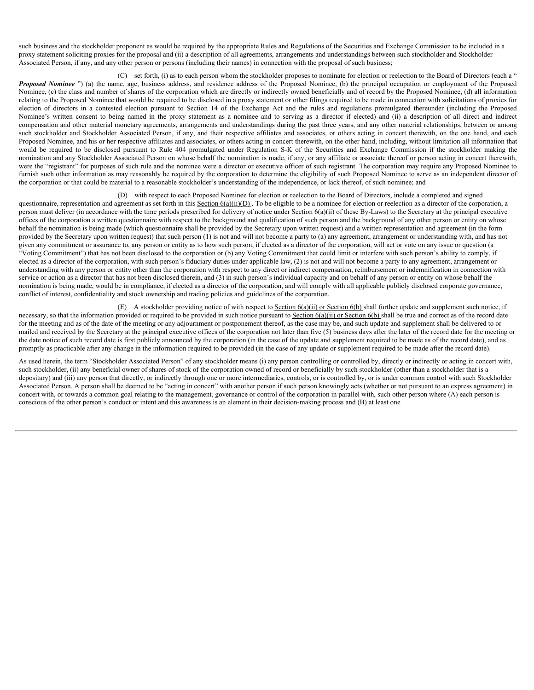such business and the stockholder proponent as would be required by the appropriate Rules and Regulations of the Securities and Exchange Commission to be included in a proxy statement soliciting proxies for the proposal and (ii) a description of all agreements, arrangements and understandings between such stockholder and Stockholder Associated Person, if any, and any other person or persons (including their names) in connection with the proposal of such business;

(C) set forth, (i) as to each person whom the stockholder proposes to nominate for election or reelection to the Board of Directors (each a " such business and the stockholder proponent as would be required by the appropriate Rules and Regulations of the Securities and<br>proxy statement soliciting proxies for the proposal and (ii) a description of all agreements, *Proposed Nominee* ") (a) the name, age, business address, and residence address of the Proposed Nominee, (b) the principal occupation or employment of the Proposed e stockholder proponent as would be required by the appropriate Rules and Regulations of the Securities and Exchange Commission to be included in a<br>
riting proxies for the proposal and (ii) a description of all agreements, Nominee, (c) the class and number of shares of the corporation which are directly or indirectly owned beneficially and of record by the Proposed Nominee, (d) all information relating to the Proposed Nominee that would be required to be disclosed in a proxy statement or other filings required to be made in connection with solicitations of proxies for election of directors in a contested electio such business and the stockholder proponent as would be required by the appropriate Rules and Regulations of the Securities and Exchange Commission to be included in a<br>prosysticanent soliciting provises for the proposal an such business and the stockholder proponent as would be required by the appropriate Rules and Regulations of the Securities and Exchange Commission to be included in a<br>proxy statement solicing proxis for the proposal of ai compensation and other material monetary agreements, arrangements and understandings during the past three years, and any other material relationships, between or among such stockholder and Stockholder Associated Person, if any, and their respective affiliates and associates, or others acting in concert therewith, on the one hand, and each Proposed Nominee, and his or her respective affiliates and associates, or others acting in concert therewith, on the other hand, including, without limitation all information that would be required to be disclosed pursuant such business and the stockholder proponent as would be required by the appropriate Rules and Regulations of the Securities and Exchange Commission to be included in a<br>proxy statement soliciting provision of the optiosal a nomination and any Stockholder Associated Person on whose behalf the nomination is made, if any, or any affiliate or associate thereof or person acting in concert therewith, were the "registrant" for purposes of such rule and the nominee were a director or executive officer of such registrant. The corporation may require any Proposed Nominee to furnish such other information as may reasonably be required by the corporation to determine the eligibility of such Proposed Nominee to serve as an independent director of the corporation or that could be material to a reasonable stockholder's understanding of the independence, or lack thereof, of such nominee; and

(D) with respect to each Proposed Nominee for election or reelection to the Board of Directors, include a completed and signed questionnaire, representation and agreement as set forth in this Section  $6(a)(ii)(D)$ . To be eligible to be a nominee for election or reelection as a director of the corporation, a person must deliver (in accordance with the time periods prescribed for delivery of notice under Section 6(a)(ii) of these By-Laws) to the Secretary at the principal executive offices of the corporation a written questionnaire with respect to the background and qualification of such person and the background of any other person or entity on whose behalf the nomination is being made (which questionnaire shall be provided by the Secretary upon written request) and a written representation and agreement (in the form provided by the Secretary upon written request) that such person (1) is not and will not become a party to (a) any agreement, arrangement or understanding with, and has not given any commitment or assurance to, any person or entity as to how such person, if elected as a director of the corporation, will act or vote on any issue or question (a "Voting Commitment") that has not been disclosed to the corporation or (b) any Voting Commitment that could limit or interfere with such person's ability to comply, if elected as a director of the corporation, with such person's fiduciary duties under applicable law, (2) is not and will not become a party to any agreement, arrangement or understanding with any person or entity other than the corporation with respect to any direct or indirect compensation, reimbursement or indemnification in connection with service or action as a director that has not been disclosed therein, and (3) in such person's individual capacity and on behalf of any person or entity on whose behalf the nomination is being made, would be in compliance, if elected as a director of the corporation, and will comply with all applicable publicly disclosed corporate governance, conflict of interest, confidentiality and stock ownership and trading policies and guidelines of the corporation.

(E) A stockholder providing notice of with respect to Section  $6(a)(ii)$  or Section  $6(b)$  shall further update and supplement such notice, if necessary, so that the information provided or required to be provided in such notice pursuant to Section 6(a)(ii) or Section 6(b) shall be true and correct as of the record date for the meeting and as of the date of the meeting or any adjournment or postponement thereof, as the case may be, and such update and supplement shall be delivered to or mailed and received by the Secretary at the principal executive offices of the corporation not later than five (5) business days after the later of the record date for the meeting or the date notice of such record date is first publicly announced by the corporation (in the case of the update and supplement required to be made as of the record date), and as promptly as practicable after any change in the information required to be provided (in the case of any update or supplement required to be made after the record date).

As used herein, the term "Stockholder Associated Person" of any stockholder means (i) any person controlling or controlled by, directly or indirectly or acting in concert with, such stockholder, (ii) any beneficial owner of shares of stock of the corporation owned of record or beneficially by such stockholder (other than a stockholder that is a depositary) and (iii) any person that directly, or indirectly through one or more intermediaries, controls, or is controlled by, or is under common control with such Stockholder Associated Person. A person shall be deemed to be "acting in concert" with another person if such person knowingly acts (whether or not pursuant to an express agreement) in concert with, or towards a common goal relating to the management, governance or control of the corporation in parallel with, such other person where (A) each person is conscious of the other person's conduct or intent and this awareness is an element in their decision-making process and (B) at least one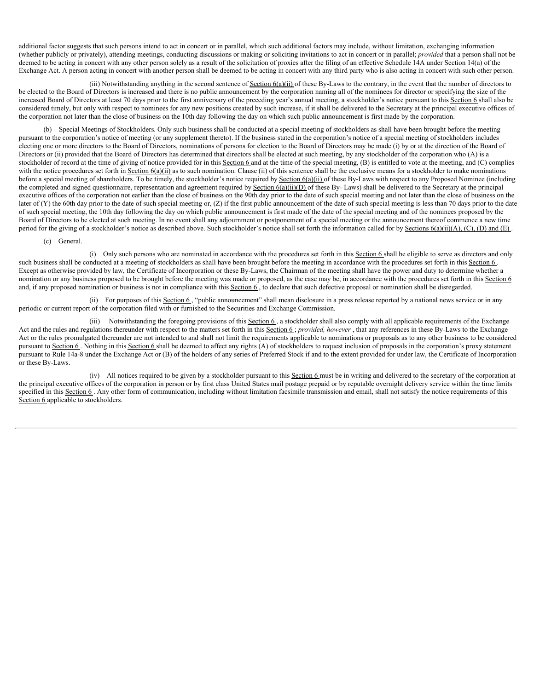additional factor suggests that such persons intend to act in concert or in parallel, which such additional factors may include, without limitation, exchanging information (whether publicly or privately), attending meetings, conducting discussions or making or soliciting invitations to act in concert or in parallel; *provided* that a person shall not be deemed to be acting in concert with any other person solely as a result of the solicitation of proxies after the filing of an effective Schedule 14A under Section 14(a) of the Exchange Act. A person acting in concert with another person shall be deemed to be acting in concert with any third party who is also acting in concert with such other person.

(iii) Notwithstanding anything in the second sentence of Section  $6(a)(ii)$  of these By-Laws to the contrary, in the event that the number of directors to be elected to the Board of Directors is increased and there is no public announcement by the corporation naming all of the nominees for director or specifying the size of the increased Board of Directors at least 70 days prior to the first anniversary of the preceding year's annual meeting, a stockholder's notice pursuant to this Section 6 shall also be considered timely, but only with respect to nominees for any new positions created by such increase, if it shall be delivered to the Secretary at the principal executive offices of the corporation not later than the close of business on the 10th day following the day on which such public announcement is first made by the corporation.

(b) Special Meetings of Stockholders. Only such business shall be conducted at a special meeting of stockholders as shall have been brought before the meeting pursuant to the corporation's notice of meeting (or any supplement thereto). If the business stated in the corporation's notice of a special meeting of stockholders includes electing one or more directors to the Board of Directors, nominations of persons for election to the Board of Directors may be made (i) by or at the direction of the Board of Directors or (ii) provided that the Board of Directors has determined that directors shall be elected at such meeting, by any stockholder of the corporation who (A) is a stockholder of record at the time of giving of notice provided for in this  $Section 6$  and at the time of the special meeting, (B) is entitled to vote at the meeting, and (C) complies with the notice procedures set forth in Section  $6(a)(ii)$  as to such nomination. Clause (ii) of this sentence shall be the exclusive means for a stockholder to make nominations before a special meeting of shareholders. To be timely, the stockholder's notice required by Section  $6(a)(ii)$  of these By-Laws with respect to any Proposed Nominee (including the completed and signed questionnaire, representation and agreement required by Section 6(a)(ii)(D) of these By- Laws) shall be delivered to the Secretary at the principal executive offices of the corporation not earlier than the close of business on the 90th day prior to the date of such special meeting and not later than the close of business on the later of  $(Y)$  the 60th day prior to the date of such special meeting or,  $(Z)$  if the first public announcement of the date of such special meeting is less than 70 days prior to the date of such special meeting, the 10th day following the day on which public announcement is first made of the date of the special meeting and of the nominees proposed by the Board of Directors to be elected at such meeting. In no event shall any adjournment or postponement of a special meeting or the announcement thereof commence a new time period for the giving of a stockholder's notice as described above. Such stockholder's notice shall set forth the information called for by Sections  $6(a)(ii)(A)$ , (C), (D) and (E).

(c) General.

(i) Only such persons who are nominated in accordance with the procedures set forth in this Section 6 shall be eligible to serve as directors and only such business shall be conducted at a meeting of stockholders as shall have been brought before the meeting in accordance with the procedures set forth in this Section 6. Except as otherwise provided by law, the Certificate of Incorporation or these By-Laws, the Chairman of the meeting shall have the power and duty to determine whether a nomination or any business proposed to be brought before the meeting was made or proposed, as the case may be, in accordance with the procedures set forth in this Section 6 and, if any proposed nomination or business is not in compliance with this  $Section 6$ , to declare that such defective proposal or nomination shall be disregarded.

(ii) For purposes of this Section 6, "public announcement" shall mean disclosure in a press release reported by a national news service or in any periodic or current report of the corporation filed with or furnished to the Securities and Exchange Commission.

(iii) Notwithstanding the foregoing provisions of this Section 6, a stockholder shall also comply with all applicable requirements of the Exchange Act and the rules and regulations thereunder with respect to the matters set forth in this **Section 6**; *provided, however*, that any references in these By-Laws to the Exchange Act or the rules promulgated thereunder are not intended to and shall not limit the requirements applicable to nominations or proposals as to any other business to be considered pursuant to Section 6. Nothing in this Section 6 shall be deemed to affect any rights (A) of stockholders to request inclusion of proposals in the corporation's proxy statement pursuant to Rule 14a-8 under the Exchange Act or (B) of the holders of any series of Preferred Stock if and to the extent provided for under law, the Certificate of Incorporation or these By-Laws.

(iv) All notices required to be given by a stockholder pursuant to this Section 6 must be in writing and delivered to the secretary of the corporation at the principal executive offices of the corporation in person or by first class United States mail postage prepaid or by reputable overnight delivery service within the time limits specified in this Section 6. Any other form of communication, including without limitation facsimile transmission and email, shall not satisfy the notice requirements of this Section 6 applicable to stockholders.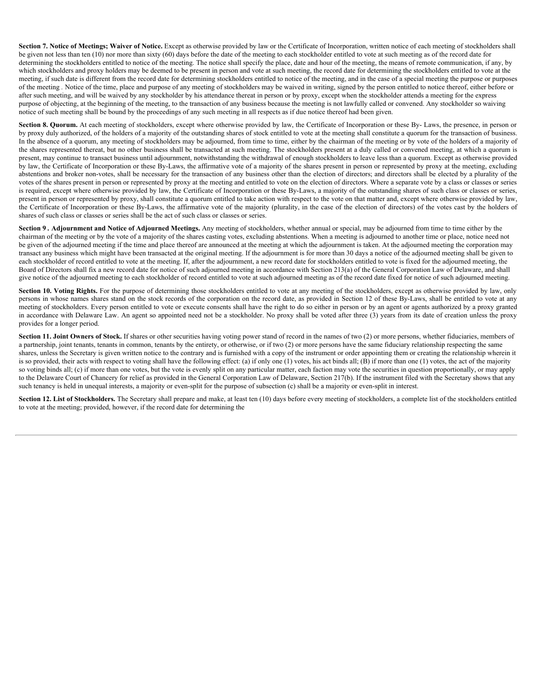Section 7. Notice of Meetings; Waiver of Notice. Except as otherwise provided by law or the Certificate of Incorporation, written notice of each meeting of stockholders shall be given not less than ten (10) nor more than sixty (60) days before the date of the meeting to each stockholder entitled to vote at such meeting as of the record date for determining the stockholders entitled to notice of the meeting. The notice shall specify the place, date and hour of the meeting, the means of remote communication, if any, by which stockholders and proxy holders may be deemed to be present in person and vote at such meeting, the record date for determining the stockholders entitled to vote at the meeting, if such date is different from the record date for determining stockholders entitled to notice of the meeting, and in the case of a special meeting the purpose or purposes of the meeting . Notice of the time, place and purpose of any meeting of stockholders may be waived in writing, signed by the person entitled to notice thereof, either before or after such meeting, and will be waived by any stockholder by his attendance thereat in person or by proxy, except when the stockholder attends a meeting for the express purpose of objecting, at the beginning of the meeting, to the transaction of any business because the meeting is not lawfully called or convened. Any stockholder so waiving notice of such meeting shall be bound by the proceedings of any such meeting in all respects as if due notice thereof had been given.

**Section 8. Quorum.** At each meeting of stockholders, except where otherwise provided by law, the Certificate of Incorporation or these By- Laws, the presence, in person or by proxy duly authorized, of the holders of a majority of the outstanding shares of stock entitled to vote at the meeting shall constitute a quorum for the transaction of business. In the absence of a quorum, any meeting of stockholders may be adjourned, from time to time, either by the chairman of the meeting or by vote of the holders of a majority of the shares represented thereat, but no other business shall be transacted at such meeting. The stockholders present at a duly called or convened meeting, at which a quorum is present, may continue to transact business until adjournment, notwithstanding the withdrawal of enough stockholders to leave less than a quorum. Except as otherwise provided by law, the Certificate of Incorporation or these By-Laws, the affirmative vote of a majority of the shares present in person or represented by proxy at the meeting, excluding abstentions and broker non-votes, shall be necessary for the transaction of any business other than the election of directors; and directors shall be elected by a plurality of the votes of the shares present in person or represented by proxy at the meeting and entitled to vote on the election of directors. Where a separate vote by a class or classes or series is required, except where otherwise provided by law, the Certificate of Incorporation or these By-Laws, a majority of the outstanding shares of such class or classes or series, present in person or represented by proxy, shall constitute a quorum entitled to take action with respect to the vote on that matter and, except where otherwise provided by law, the Certificate of Incorporation or these By-Laws, the affirmative vote of the majority (plurality, in the case of the election of directors) of the votes cast by the holders of shares of such class or classes or series shall be the act of such class or classes or series.

Section 9. Adjournment and Notice of Adjourned Meetings. Any meeting of stockholders, whether annual or special, may be adjourned from time to time either by the chairman of the meeting or by the vote of a majority of the shares casting votes, excluding abstentions. When a meeting is adjourned to another time or place, notice need not be given of the adjourned meeting if the time and place thereof are announced at the meeting at which the adjournment is taken. At the adjourned meeting the corporation may transact any business which might have been transacted at the original meeting. If the adjournment is for more than 30 days a notice of the adjourned meeting shall be given to each stockholder of record entitled to vote at the meeting. If, after the adjournment, a new record date for stockholders entitled to vote is fixed for the adjourned meeting, the Board of Directors shall fix a new record date for notice of such adjourned meeting in accordance with Section 213(a) of the General Corporation Law of Delaware, and shall give notice of the adjourned meeting to each stockholder of record entitled to vote at such adjourned meeting as of the record date fixed for notice of such adjourned meeting.

**Section 10. Voting Rights.** For the purpose of determining those stockholders entitled to vote at any meeting of the stockholders, except as otherwise provided by law, only persons in whose names shares stand on the stock records of the corporation on the record date, as provided in Section 12 of these By-Laws, shall be entitled to vote at any meeting of stockholders. Every person entitled to vote or execute consents shall have the right to do so either in person or by an agent or agents authorized by a proxy granted in accordance with Delaware Law. An agent so appointed need not be a stockholder. No proxy shall be voted after three (3) years from its date of creation unless the proxy provides for a longer period.

**Section 11. Joint Owners of Stock.** If shares or other securities having voting power stand of record in the names of two (2) or more persons, whether fiduciaries, members of a partnership, joint tenants, tenants in common, tenants by the entirety, or otherwise, or if two (2) or more persons have the same fiduciary relationship respecting the same shares, unless the Secretary is given written notice to the contrary and is furnished with a copy of the instrument or order appointing them or creating the relationship wherein it is so provided, their acts with respect to voting shall have the following effect: (a) if only one (1) votes, his act binds all; (B) if more than one (1) votes, the act of the majority so voting binds all; (c) if more than one votes, but the vote is evenly split on any particular matter, each faction may vote the securities in question proportionally, or may apply to the Delaware Court of Chancery for relief as provided in the General Corporation Law of Delaware, Section 217(b). If the instrument filed with the Secretary shows that any such tenancy is held in unequal interests, a majority or even-split for the purpose of subsection (c) shall be a majority or even-split in interest.

Section 12. List of Stockholders. The Secretary shall prepare and make, at least ten (10) days before every meeting of stockholders, a complete list of the stockholders entitled to vote at the meeting; provided, however, if the record date for determining the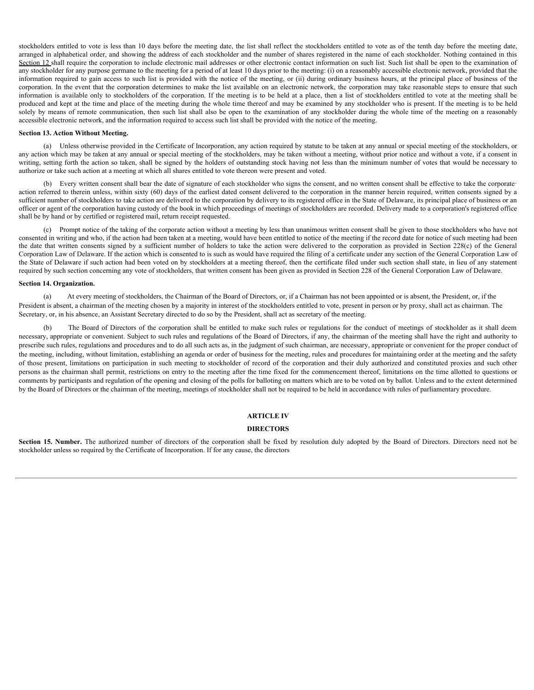stockholders entitled to vote is less than 10 days before the meeting date, the list shall reflect the stockholders entitled to vote as of the tenth day before the meeting date, arranged in alphabetical order, and showing the address of each stockholder and the number of shares registered in the name of each stockholder. Nothing contained in this Section 12 shall require the corporation to include electronic mail addresses or other electronic contact information on such list. Such list shall be open to the examination of any stockholder for any purpose germane to the meeting for a period of at least 10 days prior to the meeting: (i) on a reasonably accessible electronic network, provided that the information required to gain access to such list is provided with the notice of the meeting, or (ii) during ordinary business hours, at the principal place of business of the corporation. In the event that the corporation determines to make the list available on an electronic network, the corporation may take reasonable steps to ensure that such information is available only to stockholders of the corporation. If the meeting is to be held at a place, then a list of stockholders entitled to vote at the meeting shall be produced and kept at the time and place of the meeting during the whole time thereof and may be examined by any stockholder who is present. If the meeting is to be held solely by means of remote communication, then such list shall also be open to the examination of any stockholder during the whole time of the meeting on a reasonably accessible electronic network, and the information required to access such list shall be provided with the notice of the meeting. the date of this develop is that 10 days before the meeting date. Its shall reflect the secondballs resulted to two six of the business and the summer of the action with the action with the action were delivered by a suffi

### **Section 13. Action Without Meeting.**

(a) Unless otherwise provided in the Certificate of Incorporation, any action required by statute to be taken at any annual or special meeting of the stockholders, or any action which may be taken at any annual or special meeting of the stockholders, may be taken without a meeting, without prior notice and without a vote, if a consent in writing, setting forth the action so taken, shall be signed by the holders of outstanding stock having not less than the minimum number of votes that would be necessary to authorize or take such action at a meeting at which all shares entitled to vote thereon were present and voted.

(b) Every written consent shall bear the date of signature of each stockholder who signs the consent, and no written consent shall be effective to take the corporate· action referred to therein unless, within sixty (60) days of the earliest dated consent delivered to the corporation in the manner herein required, written consents signed by a sufficient number of stockholders to take action are delivered to the corporation by delivery to its registered office in the State of Delaware, its principal place of business or an officer or agent of the corporation having custody of the book in which proceedings of meetings of stockholders are recorded. Delivery made to a corporation's registered office shall be by hand or by certified or registered mail, return receipt requested.

(c) Prompt notice of the taking of the corporate action without a meeting by less than unanimous written consent shall be given to those stockholders who have not consented in writing and who, if the action had been taken at a meeting, would have been entitled to notice of the meeting if the record date for notice of such meeting had been Corporation Law of Delaware. If the action which is consented to is such as would have required the filing of a certificate under any section of the General Corporation Law of the State of Delaware if such action had been voted on by stockholders at a meeting thereof, then the certificate filed under such section shall state, in lieu of any statement required by such section concerning any vote of stockholders, that written consent has been given as provided in Section 228 of the General Corporation Law of Delaware.

### **Section 14. Organization.**

(a) At every meeting of stockholders, the Chairman of the Board of Directors, or, if a Chairman has not been appointed or is absent, the President, or, if the President is absent, a chairman of the meeting chosen by a majority in interest of the stockholders entitled to vote, present in person or by proxy, shall act as chairman. The Secretary, or, in his absence, an Assistant Secretary directed to do so by the President, shall act as secretary of the meeting.

L and require the corporation in the direct of existence of the corporation shall be entitled to make such as the corporation of the corporation of the corporations of the conductions or regulation shall be entitled to me necessary, appropriate or convenient. Subject to such rules and regulations of the Board of Directors, if any, the chairman of the meeting shall have the right and authority to prescribe such rules, regulations and procedures and to do all such acts as, in the judgment of such chairman, are necessary, appropriate or convenient for the proper conduct of the meeting, including, without limitation, establishing an agenda or order of business for the meeting, rules and procedures for maintaining order at the meeting and the safety probable also in the first and play one of the next media and the results of the record of the record of restricts of results and the set of results and the core of the core of results and the core of the core of the core persons as the chairman shall permit, restrictions on entry to the meeting after the time fixed for the commencement thereof, limitations on the time allotted to questions or comments by participants and regulation of the opening and closing of the polls for balloting on matters which are to be voted on by ballot. Unless and to the extent determined by the Board of Directors or the chairman of the meeting, meetings of stockholder shall not be required to be held in accordance with rules of parliamentary procedure. (b) Every written consent shall bear the date of signature of each stockholders who signs the consent and no written<br>action referred to these in units, within a travy (60) days of the carrier dark consent advivered to the (b) Lovey written coment shall been the date of signiture of each stockholders who signs the consent and no vritten or the composite of the composite or the composite or the composite or the composite or the composite or t The authorized number to distort of signing of coals the beginning of the corporation and one within outside the corporation and the fixed of the corporation shall be fixed of the corporation interaction of the corporation

### **ARTICLE IV**

### **DIRECTORS**

Section 15. Number. The authorized number of directors of the corporation shall be fixed by resolution duly adopted by the Board of Directors. Directors need not be stockholder unless so required by the Certificate of Incorporation. If for any cause, the directors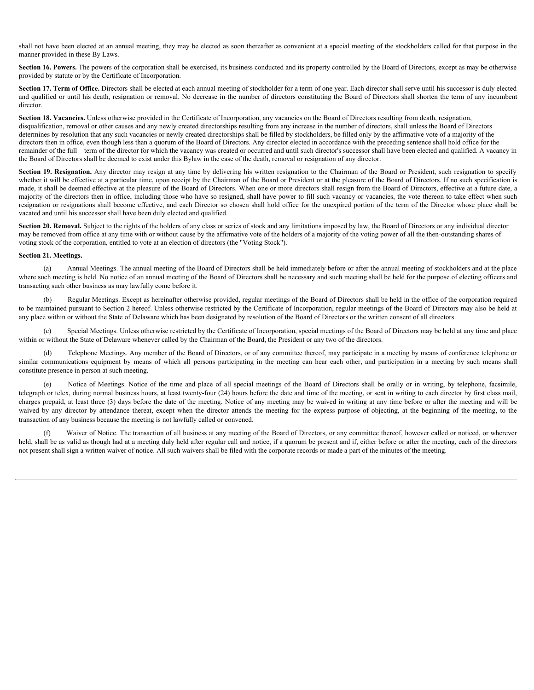shall not have been elected at an annual meeting, they may be elected as soon thereafter as convenient at a special meeting of the stockholders called for that purpose in the manner provided in these By Laws.

Section 16. Powers. The powers of the corporation shall be exercised, its business conducted and its property controlled by the Board of Directors, except as may be otherwise provided by statute or by the Certificate of Incorporation.

**Section 17. Term of Office.** Directors shall be elected at each annual meeting of stockholder for a term of one year. Each director shall serve until his successor is duly elected and qualified or until his death, resignation or removal. No decrease in the number of directors constituting the Board of Directors shall shorten the term of any incumbent director.

**Section 18. Vacancies.** Unless otherwise provided in the Certificate of Incorporation, any vacancies on the Board of Directors resulting from death, resignation, disqualification, removal or other causes and any newly created directorships resulting from any increase in the number of directors, shall unless the Board of Directors determines by resolution that any such vacancies or newly created directorships shall be filled by stockholders, be filled only by the affirmative vote of a majority of the directors then in office, even though less than a quorum of the Board of Directors. Any director elected in accordance with the preceding sentence shall hold office for the remainder of the full term of the director for which the vacancy was created or occurred and until such director's successor shall have been elected and qualified. A vacancy in the Board of Directors shall be deemed to exist under this Bylaw in the case of the death, removal or resignation of any director.

**Section 19. Resignation.** Any director may resign at any time by delivering his written resignation to the Chairman of the Board or President, such resignation to specify whether it will be effective at a particular time, upon receipt by the Chairman of the Board or President or at the pleasure of the Board of Directors. If no such specification is made, it shall be deemed effective at the pleasure of the Board of Directors. When one or more directors shall resign from the Board of Directors, effective at a future date, a majority of the directors then in office, including those who have so resigned, shall have power to fill such vacancy or vacancies, the vote thereon to take effect when such resignation or resignations shall become effective, and each Director so chosen shall hold office for the unexpired portion of the term of the Director whose place shall be vacated and until his successor shall have been duly elected and qualified. and and the means of the following the transit in the communication of the means of the means of which all persons and the means of which all persons particles in the means of the means of the means of the means of the me As Markets (an and the success when the Newtown Meetings. Notice of the Newtown Meetings of the Newtown Meetings of the time and an and the time and the time and the time and the time and the time and the time and the tim External of the likelihood in the second of the control in the control in the second of the methods of the methods is a second of the direct second of the direct second of the methods in the field purpose of the field pur

Section 20. Removal. Subject to the rights of the holders of any class or series of stock and any limitations imposed by law, the Board of Directors or any individual director may be removed from office at any time with or without cause by the affirmative vote of the holders of a majority of the voting power of all the then-outstanding shares of voting stock of the corporation, entitled to vote at an election of directors (the "Voting Stock").

# **Section 21. Meetings.**

(a) Annual Meetings. The annual meeting of the Board of Directors shall be held immediately before or after the annual meeting of stockholders and at the place where such meeting is held. No notice of an annual meeting of the Board of Directors shall be necessary and such meeting shall be held for the purpose of electing officers and transacting such other business as may lawfully come before it.

(b) Regular Meetings. Except as hereinafter otherwise provided, regular meetings of the Board of Directors shall be held in the office of the corporation required to be maintained pursuant to Section 2 hereof. Unless otherwise restricted by the Certificate of Incorporation, regular meetings of the Board of Directors may also be held at any place within or without the State of Delaware which has been designated by resolution of the Board of Directors or the written consent of all directors.

Special Meetings. Unless otherwise restricted by the Certificate of Incorporation, special meetings of the Board of Directors may be held at any time and place within or without the State of Delaware whenever called by the Chairman of the Board, the President or any two of the directors.

(d) Telephone Meetings. Any member of the Board of Directors, or of any committee thereof, may participate in a meeting by means of conference telephone or constitute presence in person at such meeting.

telegraph or telex, during normal business hours, at least twenty-four (24) hours before the date and time of the meeting, or sent in writing to each director by first class mail, charges prepaid, at least three (3) days before the date of the meeting. Notice of any meeting may be waived in writing at any time before or after the meeting and will be transaction of any business because the meeting is not lawfully called or convened.

Waiver of Notice. The transaction of all business at any meeting of the Board of Directors, or any committee thereof, however called or noticed, or wherever held, shall be as valid as though had at a meeting duly held after regular call and notice, if a quorum be present and if, either before or after the meeting, each of the directors not present shall sign a written waiver of notice. All such waivers shall be filed with the corporate records or made a part of the minutes of the meeting.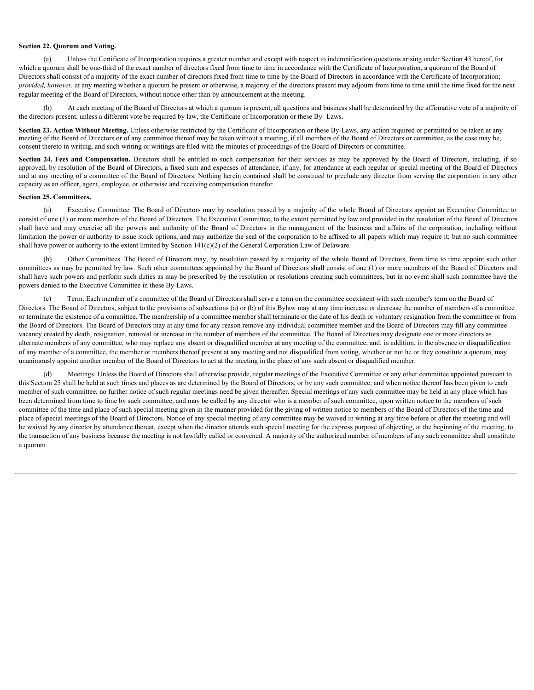### **Section 22. Quorum and Voting.**

(a) Unless the Certificate of Incorporation requires a greater number and except with respect to indemnification questions arising under Section 43 hereof, for which a quorum shall be one-third of the exact number of directors fixed from time to time in accordance with the Certificate of Incorporation, a quorum of the Board of Directors shall consist of a majority of the exact number of directors fixed from time to time by the Board of Directors in accordance with the Certificate of Incorporation; *provided, however,* at any meeting whether a quorum be present or otherwise, a majority of the directors present may adjourn from time to time until the time fixed for the next regular meeting of the Board of Directors, without notice other than by announcement at the meeting. **Section 22. Quorum and Voting.**<br>
(a) Unless the Certificate of Incorporation requires a greater number and except with respect to indemnification (which a quorum shall be one-third of the exact number of directors fixed f **22. Quorum and Voting.**<br>
(a) Unless the Certificate of Incorporation requires a greater number and except with respect to indemnification ques<br>
quorum shall be one-third of the exact number of directors fixed from time to **Quorum and Voting.**<br>
Unless the Certificate of Incorporation requires a greater number and except with respect to indemnification questions<br>
um shall be one-third of the exact number of directors fixed from time to time i **and Voting.**<br> **And Voting**<br> **And Voting**<br> **And Voting**<br> **And Voting**<br> **And Voting**<br> **And Voting Conservation requires a greater number and except with respect to indemnification questions arisin<br>
and hall be one-third of** If Incorporation requires a greater number and except with respect to indemnification questions arising under Section 43 hereof, for exact number of directors fixed from time to time in acordance with the Certificate of In

At each meeting of the Board of Directors at which a quorum is present, all questions and business shall be determined by the affirmative vote of a majority of the directors present, unless a different vote be required by law, the Certificate of Incorporation or these By- Laws.

**Section 23. Action Without Meeting. Unless otherwise restricted by the Certificate of Incorporation or these By-Laws, any action required or permitted to be taken at any** meeting of the Board of Directors or of any committee thereof may be taken without a meeting, if all members of the Board of Directors or committee, as the case may be, consent thereto in writing, and such writing or writings are filed with the minutes of proceedings of the Board of Directors or committee.

Section 24. Fees and Compensation. Directors shall be entitled to such compensation for their services as may be approved by the Board of Directors, including, if so approved, by resolution of the Board of Directors, a fixed sum and expenses of attendance, if any, for attendance at each regular or special meeting of the Board of Directors and at any meeting of a committee of the Board of Directors. Nothing herein contained shall be construed to preclude any director from serving the corporation in any other capacity as an officer, agent, employee, or otherwise and receiving compensation therefor.

### **Section 25. Committees.**

(a) Executive Committee. The Board of Directors may by resolution passed by a majority of the whole Board of Directors appoint an Executive Committee to consist of one (1) or more members of the Board of Directors. The Executive Committee, to the extent permitted by law and provided in the resolution of the Board of Directors Section 22. Quorum and Voring.<br>
(a) Unless the Centificate of Interpretation equites a greater number and except with respect to indenturation questions at aims under Section 45 hereof, for Directors all the usuar shall b limitation the power or authority to issue stock options, and may authorize the seal of the corporation to be affixed to all papers which may require it; but no such committee shall have power or authority to the extent limited by Section 141(c)(2) of the General Corporation Law of Delaware.

(b) Other Committees. The Board of Directors may, by resolution passed by a majority of the whole Board of Directors, from time to time appoint such other committees as may be permitted by law. Such other committees appointed by the Board of Directors shall consist of one (1) or more members of the Board of Directors and shall have such powers and perform such duties as may be prescribed by the resolution or resolutions creating such committees, but in no event shall such committee have the powers denied to the Executive Committee in these By-Laws.

(c) Term. Each member of a committee of the Board of Directors shall serve a term on the committee coexistent with such member's term on the Board of Directors. The Board of Directors, subject to the provisions of subsections (a) or (b) of this Bylaw may at any time increase or decrease the number of members of a committee or terminate the existence of a committee. The membership of a committee member shall terminate or the date of his death or voluntary resignation from the committee or from the Board of Directors. The Board of Directors may at any time for any reason remove any individual committee member and the Board of Directors may fill any committee vacancy created by death, resignation, removal or increase in the number of members of the committee. The Board of Directors may designate one or more directors as alternate members of any committee, who may replace any absent or disqualified member at any meeting of the committee, and, in addition, in the absence or disqualification of any member of a committee, the member or members thereof present at any meeting and not disqualified from voting, whether or not he or they constitute a quorum, may unanimously appoint another member of the Board of Directors to act at the meeting in the place of any such absent or disqualified member.

(d) Meetings. Unless the Board of Directors shall otherwise provide, regular meetings of the Executive Committee or any other committee appointed pursuant to this Section 25 shall be held at such times and places as are determined by the Board of Directors, or by any such committee, and when notice thereof has been given to each member of such committee, no further notice of such regular meetings need be given thereafter. Special meetings of any such committee may be held at any place which has been determined from time to time by such committee, and may be called by any director who is a member of such committee, upon written notice to the members of such committee of the time and place of such special meeting given in the manner provided for the giving of written notice to members of the Board of Directors of the time and place of special meetings of the Board of Directors. Notice of any special meeting of any committee may be waived in writing at any time before or after the meeting and will be waived by any director by attendance thereat, except when the director attends such special meeting for the express purpose of objecting, at the beginning of the meeting, to the transaction of any business because the meeting is not lawfully called or convened. A majority of the authorized number of members of any such committee shall constitute a quorum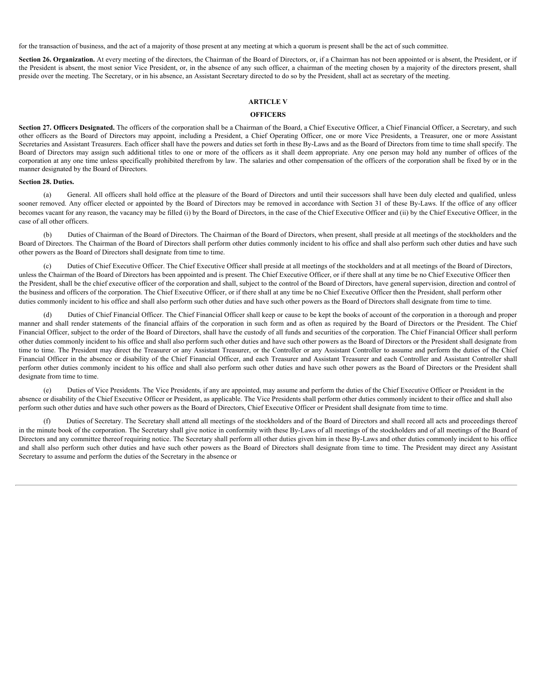for the transaction of business, and the act of a majority of those present at any meeting at which a quorum is present shall be the act of such committee.

**Section 26. Organization.** At every meeting of the directors, the Chairman of the Board of Directors, or, if a Chairman has not been appointed or is absent, the President, or if the President is absent, the most senior Vice President, or, in the absence of any such officer, a chairman of the meeting chosen by a majority of the directors present, shall preside over the meeting. The Secretary, or in his absence, an Assistant Secretary directed to do so by the President, shall act as secretary of the meeting.

### **ARTICLE V**

# **OFFICERS**

**Section 27. Officers Designated.** The officers of the corporation shall be a Chairman of the Board, a Chief Executive Officer, a Chief Financial Officer, a Secretary, and such of the transaction of business, and the act of a majority of those present at any meeting at which a quorum is present shall be the act of such committee.<br>Section 26. Organization. At every meeting of the directors, the Ch Secretaries and Assistant Treasurers. Each officer shall have the powers and duties set forth in these By-Laws and as the Board of Directors from time to time shall specify. The Board of Directors may assign such additiona for the transaction of business, and the act of a majority of those present at any meeting at which a quorum is present shall be the act of such committee.<br>Becition 26, Organization, Are curve meeting of the directors, the corporation at any one time unless specifically prohibited therefrom by law. The salaries and other compensation of the officers of the corporation shall be fixed by or in the manner designated by the Board of Directors.

### **Section 28. Duties.**

(a) General. All officers shall hold office at the pleasure of the Board of Directors and until their successors shall have been duly elected and qualified, unless sooner removed. Any officer elected or appointed by the Board of Directors may be removed in accordance with Section 31 of these By-Laws. If the office of any officer becomes vacant for any reason, the vacancy may be filled (i) by the Board of Directors, in the case of the Chief Executive Officer and (ii) by the Chief Executive Officer, in the case of all other officers.

(b) Duties of Chairman of the Board of Directors. The Chairman of the Board of Directors, when present, shall preside at all meetings of the stockholders and the Board of Directors. The Chairman of the Board of Directors shall perform other duties commonly incident to his office and shall also perform such other duties and have such other powers as the Board of Directors shall designate from time to time.

Duties of Chief Executive Officer. The Chief Executive Officer shall preside at all meetings of the stockholders and at all meetings of the Board of Directors, unless the Chairman of the Board of Directors has been appointed and is present. The Chief Executive Officer, or if there shall at any time be no Chief Executive Officer then the President, shall be the chief executive officer of the corporation and shall, subject to the control of the Board of Directors, have general supervision, direction and control of the business and officers of the corporation. The Chief Executive Officer, or if there shall at any time be no Chief Executive Officer then the President, shall perform other duties commonly incident to his office and shall also perform such other duties and have such other powers as the Board of Directors shall designate from time to time.

(d) Duties of Chief Financial Officer. The Chief Financial Officer shall keep or cause to be kept the books of account of the corporation in a thorough and proper Section 24. Other and shall research and the the corporation in the Board of Direction in the financial core and heart points of the corporation in the corporation in the corporation in the corporation in the corporation i Financial Officer, subject to the order of the Board of Directors, shall have the custody of all funds and securities of the corporation. The Chief Financial Officer shall perform other duties commonly incident to his office and shall also perform such other duties and have such other powers as the Board of Directors or the President shall designate from time to time. The President may direct the Treasurer or any Assistant Treasurer, or the Controller or any Assistant Controller to assume and perform the duties of the Chief Financial Officer in the absence or disability of the Chief Financial Officer, and each Treasurer and Assistant Treasurer and each Controller and Assistant Controller shall perform other duties commonly incident to his office and shall also perform such other duties and have such other powers as the Board of Directors or the President shall designate from time to time. **Section** 26. Distances and had office at the pleasure of the board of Directors and and here the steel also perform such of Directors with 8 offices and 1 of these Board of the Board of the president may different may dir

(e) Duties of Vice Presidents. The Vice Presidents, if any are appointed, may assume and perform the duties of the Chief Executive Officer or President in the absence or disability of the Chief Executive Officer or President, as applicable. The Vice Presidents shall perform other duties commonly incident to their office and shall also perform such other duties and have such other powers as the Board of Directors, Chief Executive Officer or President shall designate from time to time.

(f) Duties of Secretary. The Secretary shall attend all meetings of the stockholders and of the Board of Directors and shall record all acts and proceedings thereof in the minute book of the corporation. The Secretary shall give notice in conformity with these By-Laws of all meetings of the stockholders and of all meetings of the Board of Directors and any committee thereof requiring notice. The Secretary shall perform all other duties given him in these By-Laws and other duties commonly incident to his office Secretary to assume and perform the duties of the Secretary in the absence or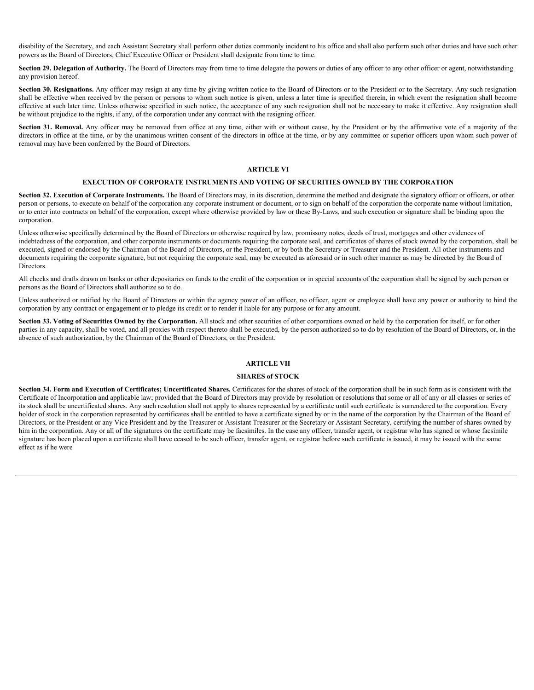disability of the Secretary, and each Assistant Secretary shall perform other duties commonly incident to his office and shall also perform such other duties and have such other powers as the Board of Directors, Chief Executive Officer or President shall designate from time to time.

**Section 29. Delegation of Authority.** The Board of Directors may from time to time delegate the powers or duties of any officer to any other officer or agent, notwithstanding any provision hereof.

**Section 30. Resignations.** Any officer may resign at any time by giving written notice to the Board of Directors or to the President or to the Secretary. Any such resignation shall be effective when received by the person or persons to whom such notice is given, unless a later time is specified therein, in which event the resignation shall become effective at such later time. Unless otherwise specified in such notice, the acceptance of any such resignation shall not be necessary to make it effective. Any resignation shall be without prejudice to the rights, if any, of the corporation under any contract with the resigning officer.

**Section 31. Removal.** Any officer may be removed from office at any time, either with or without cause, by the President or by the affirmative vote of a majority of the directors in office at the time, or by the unanimous written consent of the directors in office at the time, or by any committee or superior officers upon whom such power of removal may have been conferred by the Board of Directors.

### **ARTICLE VI**

### **EXECUTION OF CORPORATE INSTRUMENTS AND VOTING OF SECURITIES OWNED BY THE CORPORATION**

Section 32. Execution of Corporate Instruments. The Board of Directors may, in its discretion, determine the method and designate the signatory officer or officers, or other person or persons, to execute on behalf of the corporation any corporate instrument or document, or to sign on behalf of the corporation the corporate name without limitation, or to enter into contracts on behalf of the corporation, except where otherwise provided by law or these By-Laws, and such execution or signature shall be binding upon the corporation.

Unless otherwise specifically determined by the Board of Directors or otherwise required by law, promissory notes, deeds of trust, mortgages and other evidences of indebtedness of the corporation, and other corporate instruments or documents requiring the corporate seal, and certificates of shares of stock owned by the corporation, shall be executed, signed or endorsed by the Chairman of the Board of Directors, or the President, or by both the Secretary or Treasurer and the President. All other instruments and documents requiring the corporate signature, but not requiring the corporate seal, may be executed as aforesaid or in such other manner as may be directed by the Board of Directors.

All checks and drafts drawn on banks or other depositaries on funds to the credit of the corporation or in special accounts of the corporation shall be signed by such person or persons as the Board of Directors shall authorize so to do.

Unless authorized or ratified by the Board of Directors or within the agency power of an officer, no officer, agent or employee shall have any power or authority to bind the corporation by any contract or engagement or to pledge its credit or to render it liable for any purpose or for any amount.

Section 33. Voting of Securities Owned by the Corporation. All stock and other securities of other corporations owned or held by the corporation for itself, or for other parties in any capacity, shall be voted, and all proxies with respect thereto shall be executed, by the person authorized so to do by resolution of the Board of Directors, or, in the absence of such authorization, by the Chairman of the Board of Directors, or the President.

### **ARTICLE VII**

#### **SHARES of STOCK**

Section 34. Form and Execution of Certificates; Uncertificated Shares. Certificates for the shares of stock of the corporation shall be in such form as is consistent with the Certificate of Incorporation and applicable law; provided that the Board of Directors may provide by resolution or resolutions that some or all of any or all classes or series of its stock shall be uncertificated shares. Any such resolution shall not apply to shares represented by a certificate until such certificate is surrendered to the corporation. Every holder of stock in the corporation represented by certificates shall be entitled to have a certificate signed by or in the name of the corporation by the Chairman of the Board of Directors, or the President or any Vice President and by the Treasurer or Assistant Treasurer or the Secretary or Assistant Secretary, certifying the number of shares owned by him in the corporation. Any or all of the signatures on the certificate may be facsimiles. In the case any officer, transfer agent, or registrar who has signed or whose facsimile signature has been placed upon a certificate shall have ceased to be such officer, transfer agent, or registrar before such certificate is issued, it may be issued with the same effect as if he were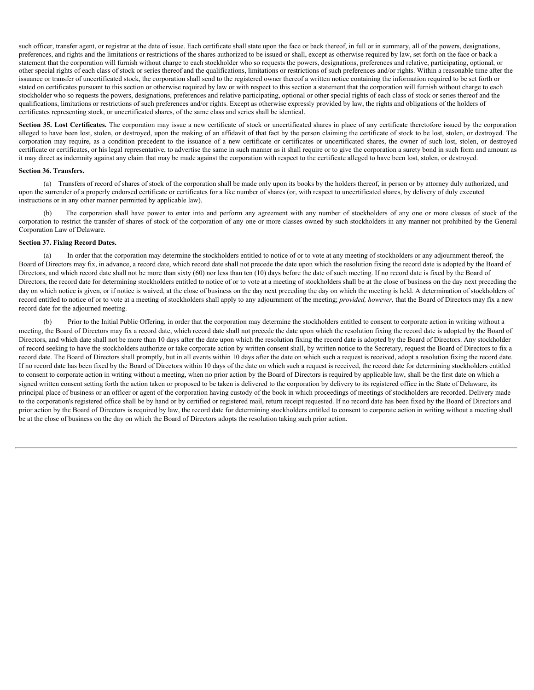such officer, transfer agent, or registrar at the date of issue. Each certificate shall state upon the face or back thereof, in full or in summary, all of the powers, designations, preferences, and rights and the limitations or restrictions of the shares authorized to be issued or shall, except as otherwise required by law, set forth on the face or back a statement that the corporation will furnish without charge to each stockholder who so requests the powers, designations, preferences and relative, participating, optional, or other special rights of each class of stock or series thereof and the qualifications, limitations or restrictions of such preferences and/or rights. Within a reasonable time after the issuance or transfer of uncertificated stock, the corporation shall send to the registered owner thereof a written notice containing the information required to be set forth or stated on certificates pursuant to this section or otherwise required by law or with respect to this section a statement that the corporation will furnish without charge to each stockholder who so requests the powers, designations, preferences and relative participating, optional or other special rights of each class of stock or series thereof and the qualifications, limitations or restrictions of such preferences and/or rights. Except as otherwise expressly provided by law, the rights and obligations of the holders of certificates representing stock, or uncertificated shares, of the same class and series shall be identical. such officer, transfer agent, or registrar at the date of issue. Each certificate shall state upon the face or back thereof, in full or in summary, all of the powers, designations, references, and rights and the limitation ect, transfer agent, or register at the date of issue. Each certificate shall state upon the face or back lereoris required by law, set forth on the face or back a correlation or restrictions of the shares authorized to be

**Section 35. Lost Certificates.** The corporation may issue a new certificate of stock or uncertificated shares in place of any certificate theretofore issued by the corporation alleged to have been lost, stolen, or destroyed, upon the making of an affidavit of that fact by the person claiming the certificate of stock to be lost, stolen, or destroyed. The certificate or certificates, or his legal representative, to advertise the same in such manner as it shall require or to give the corporation a surety bond in such form and amount as it may direct as indemnity against any claim that may be made against the corporation with respect to the certificate alleged to have been lost, stolen, or destroyed.

### **Section 36. Transfers.**

(a) Transfers of record of shares of stock of the corporation shall be made only upon its books by the holders thereof, in person or by attorney duly authorized, and upon the surrender of a properly endorsed certificate or certificates for a like number of shares (or, with respect to uncertificated shares, by delivery of duly executed instructions or in any other manner permitted by applicable law).

corporation to restrict the transfer of shares of stock of the corporation of any one or more classes owned by such stockholders in any manner not prohibited by the General Corporation Law of Delaware.

### **Section 37. Fixing Record Dates.**

In order that the corporation may determine the stockholders entitled to notice of or to vote at any meeting of stockholders or any adjournment thereof, the Board of Directors may fix, in advance, a record date, which record date shall not precede the date upon which the resolution fixing the record date is adopted by the Board of Directors, and which record date shall not be more than sixty (60) nor less than ten (10) days before the date of such meeting. If no record date is fixed by the Board of Directors, the record date for determining stockholders entitled to notice of or to vote at a meeting of stockholders shall be at the close of business on the day next preceding the day on which notice is given, or if notice is waived, at the close of business on the day next preceding the day on which the meeting is held. A determination of stockholders of record entitled to notice of or to vote at a meeting of stockholders shall apply to any adjournment of the meeting; *provided, however,* that the Board of Directors may fix a new record date for the adjourned meeting.

Prior to the Initial Public Offering, in order that the corporation may determine the stockholders entitled to consent to corporate action in writing without a meeting, the Board of Directors may fix a record date, which record date shall not precede the date upon which the resolution fixing the record date is adopted by the Board of Directors, and which date shall not be more than 10 days after the date upon which the resolution fixing the record date is adopted by the Board of Directors. Any stockholder of record seeking to have the stockholders authorize or take corporate action by written consent shall, by written notice to the Secretary, request the Board of Directors to fix a record date. The Board of Directors shall promptly, but in all events within 10 days after the date on which such a request is received, adopt a resolution fixing the record date. If no record date has been fixed by the Board of Directors within 10 days of the date on which such a request is received, the record date for determining stockholders entitled to consent to corporate action in writing without a meeting, when no prior action by the Board of Directors is required by applicable law, shall be the first date on which a signed written consent setting forth the action taken or proposed to be taken is delivered to the corporation by delivery to its registered office in the State of Delaware, its principal place of business or an officer or agent of the corporation having custody of the book in which proceedings of meetings of stockholders are recorded. Delivery made to the corporation's registered office shall be by hand or by certified or registered mail, return receipt requested. If no record date has been fixed by the Board of Directors and prior action by the Board of Directors is required by law, the record date for determining stockholders entitled to consent to corporate action in writing without a meeting shall be at the close of business on the day on which the Board of Directors adopts the resolution taking such prior action.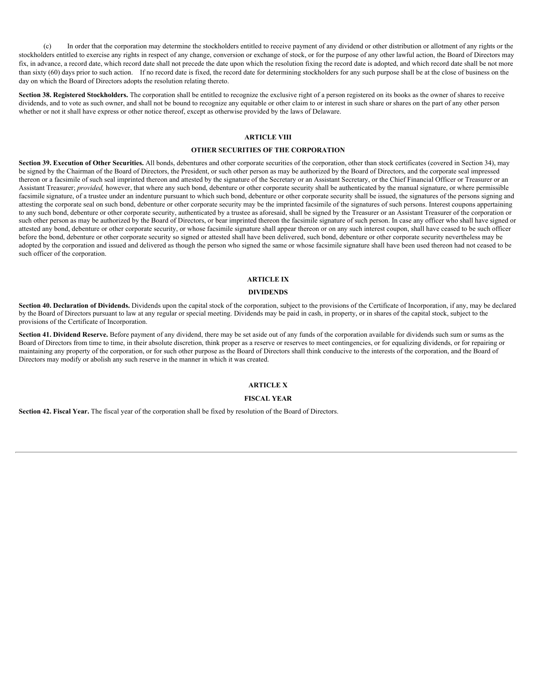(c) In order that the corporation may determine the stockholders entitled to receive payment of any dividend or other distribution or allotment of any rights or the stockholders entitled to exercise any rights in respect of any change, conversion or exchange of stock, or for the purpose of any other lawful action, the Board of Directors may fix, in advance, a record date, which record date shall not precede the date upon which the resolution fixing the record date is adopted, and which record date shall be not more than sixty (60) days prior to such action. If no record date is fixed, the record date for determining stockholders for any such purpose shall be at the close of business on the day on which the Board of Directors adopts the resolution relating thereto.

**Section 38. Registered Stockholders.** The corporation shall be entitled to recognize the exclusive right of a person registered on its books as the owner of shares to receive dividends, and to vote as such owner, and shall not be bound to recognize any equitable or other claim to or interest in such share or shares on the part of any other person whether or not it shall have express or other notice thereof, except as otherwise provided by the laws of Delaware.

### **ARTICLE VIII**

### **OTHER SECURITIES OF THE CORPORATION**

**Section 39. Execution of Other Securities. All bonds, debentures and other corporate securities of the corporation, other than stock certificates (covered in Section 34), may** be signed by the Chairman of the Board of Directors, the President, or such other person as may be authorized by the Board of Directors, and the corporate seal impressed thereon or a facsimile of such seal imprinted thereon and attested by the signature of the Secretary or an Assistant Secretary, or the Chief Financial Officer or Treasurer or an Assistant Treasurer; *provided,* however, that where any such bond, debenture or other corporate security shall be authenticated by the manual signature, or where permissible facsimile signature, of a trustee under an indenture pursuant to which such bond, debenture or other corporate security shall be issued, the signatures of the persons signing and attesting the corporate seal on such bond, debenture or other corporate security may be the imprinted facsimile of the signatures of such persons. Interest coupons appertaining to any such bond, debenture or other corporate security, authenticated by a trustee as aforesaid, shall be signed by the Treasurer or an Assistant Treasurer of the corporation or such other person as may be authorized by the Board of Directors, or bear imprinted thereon the facsimile signature of such person. In case any officer who shall have signed or attested any bond, debenture or other corporate security, or whose facsimile signature shall appear thereon or on any such interest coupon, shall have ceased to be such officer before the bond, debenture or other corporate security so signed or attested shall have been delivered, such bond, debenture or other corporate security nevertheless may be adopted by the corporation and issued and delivered as though the person who signed the same or whose facsimile signature shall have been used thereon had not ceased to be such officer of the corporation.

### **ARTICLE IX**

# **DIVIDENDS**

**Section 40. Declaration of Dividends.** Dividends upon the capital stock of the corporation, subject to the provisions of the Certificate of Incorporation, if any, may be declared by the Board of Directors pursuant to law at any regular or special meeting. Dividends may be paid in cash, in property, or in shares of the capital stock, subject to the provisions of the Certificate of Incorporation.

**Section 41. Dividend Reserve.** Before payment of any dividend, there may be set aside out of any funds of the corporation available for dividends such sum or sums as the Board of Directors from time to time, in their absolute discretion, think proper as a reserve or reserves to meet contingencies, or for equalizing dividends, or for repairing or maintaining any property of the corporation, or for such other purpose as the Board of Directors shall think conducive to the interests of the corporation, and the Board of Directors may modify or abolish any such reserve in the manner in which it was created.

### **ARTICLE X**

### **FISCAL YEAR**

**Section 42. Fiscal Year.** The fiscal year of the corporation shall be fixed by resolution of the Board of Directors.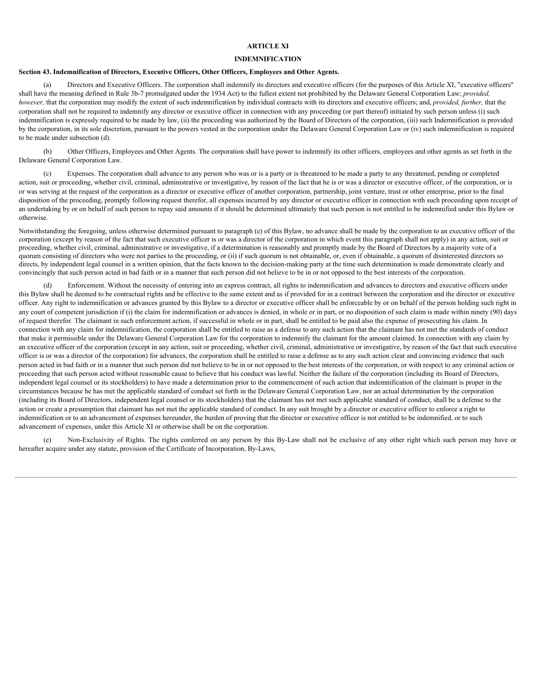### **ARTICLE XI**

# **INDEMNIFICATION**

### **Section 43. Indemnification of Directors, Executive Officers, Other Officers, Employees and Other Agents.**

(a) Directors and Executive Officers. The corporation shall indemnify its directors and executive officers (for the purposes of this Article XI, "executive officers" shall have the meaning defined in Rule 3b-7 promulgated under the 1934 Act) to the fullest extent not prohibited by the Delaware General Corporation Law; *provided, however*, that the corporation may modify the extent of such indemnification by individual contracts with its directors and executive officers; and, *provided, further*, that the corporation shall not be required to indemnify any director or executive officer in connection with any proceeding (or part thereof) initiated by such person unless (i) such indemnification is expressly required to be made by law, (ii) the proceeding was authorized by the Board of Directors of the corporation, (iii) such Indemnification is provided by the corporation, in its sole discretion, pursuant to the powers vested in the corporation under the Delaware General Corporation Law or (iv) such indemnification is required to be made under subsection (d).

(b) Other Officers, Employees and Other Agents. The corporation shall have power to indemnify its other officers, employees and other agents as set forth in the Delaware General Corporation Law.

(c) Expenses. The corporation shall advance to any person who was or is a party or is threatened to be made a party to any threatened, pending or completed action, suit or proceeding, whether civil, criminal, administrative or investigative, by reason of the fact that he is or was a director or executive officer, of the corporation, or is or was serving at the request of the corporation as a director or executive officer of another corporation, partnership, joint venture, trust or other enterprise, prior to the final disposition of the proceeding, promptly following request therefor, all expenses incurred by any director or executive officer in connection with such proceeding upon receipt of an undertaking by or on behalf of such person to repay said amounts if it should be determined ultimately that such person is not entitled to be indemnified under this Bylaw or otherwise.

Notwithstanding the foregoing, unless otherwise determined pursuant to paragraph (e) of this Bylaw, no advance shall be made by the corporation to an executive officer of the corporation (except by reason of the fact that such executive officer is or was a director of the corporation in which event this paragraph shall not apply) in any action, suit or proceeding, whether civil, criminal, administrative or investigative, if a determination is reasonably and promptly made by the Board of Directors by a majority vote of a quorum consisting of directors who were not parties to the proceeding, or (ii) if such quorum is not obtainable, or, even if obtainable, a quorum of disinterested directors so directs, by independent legal counsel in a written opinion, that the facts known to the decision-making party at the time such determination is made demonstrate clearly and convincingly that such person acted in bad faith or in a manner that such person did not believe to be in or not opposed to the best interests of the corporation.

Enforcement. Without the necessity of entering into an express contract, all rights to indemnification and advances to directors and executive officers under this Bylaw shall be deemed to be contractual rights and be effective to the same extent and as if provided for in a contract between the corporation and the director or executive officer. Any right to indemnification or advances granted by this Bylaw to a director or executive officer shall be enforceable by or on behalf of the person holding such right in any court of competent jurisdiction if (i) the claim for indemnification or advances is denied, in whole or in part, or no disposition of such claim is made within ninety (90) days of request therefor. The claimant in such enforcement action, if successful in whole or in part, shall be entitled to be paid also the expense of prosecuting his claim. In connection with any claim for indemnification, the corporation shall be entitled to raise as a defense to any such action that the claimant has not met the standards of conduct that make it permissible under the Delaware General Corporation Law for the corporation to indemnify the claimant for the amount claimed. In connection with any claim by an executive officer of the corporation (except in any action, suit or proceeding, whether civil, criminal, administrative or investigative, by reason of the fact that such executive officer is or was a director of the corporation) for advances, the corporation shall be entitled to raise a defense as to any such action clear and convincing evidence that such person acted in bad faith or in a manner that such person did not believe to be in or not opposed to the best interests of the corporation, or with respect to any criminal action or proceeding that such person acted without reasonable cause to believe that his conduct was lawful. Neither the failure of the corporation (including its Board of Directors, independent legal counsel or its stockholders) to have made a determination prior to the commencement of such action that indemnification of the claimant is proper in the circumstances because he has met the applicable standard of conduct set forth in the Delaware General Corporation Law, nor an actual determination by the corporation (including its Board of Directors, independent legal counsel or its stockholders) that the claimant has not met such applicable standard of conduct, shall be a defense to the action or create a presumption that claimant has not met the applicable standard of conduct. In any suit brought by a director or executive officer to enforce a right to indemnification or to an advancement of expenses hereunder, the burden of proving that the director or executive officer is not entitled to be indemnified, or to such advancement of expenses, under this Article XI or otherwise shall be on the corporation.

Non-Exclusivity of Rights. The rights conferred on any person by this By-Law shall not be exclusive of any other right which such person may have or hereafter acquire under any statute, provision of the Certificate of Incorporation, By-Laws,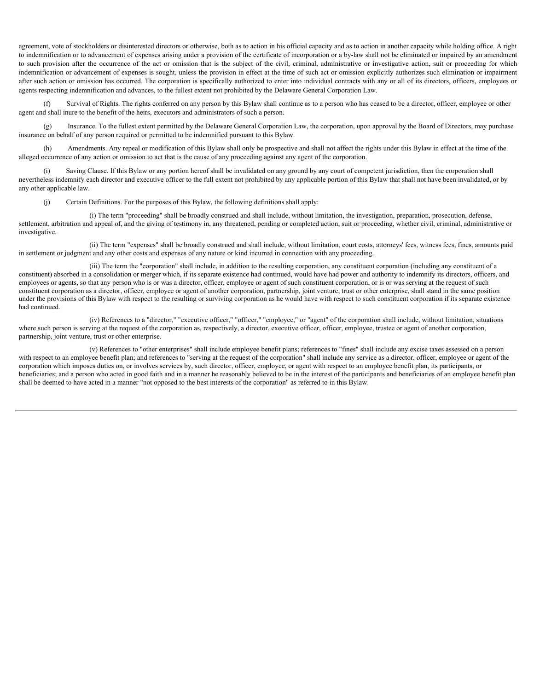agreement, vote of stockholders or disinterested directors or otherwise, both as to action in his official capacity and as to action in another capacity while holding office. A right to indemnification or to advancement of expenses arising under a provision of the certificate of incorporation or a by-law shall not be eliminated or impaired by an amendment agreement, vote of stockholders or disinterested directors or otherwise, both as to action in his official capacity and as to action in another capacity while holding office. A right to indemnification or to advancement of indemnification or advancement of expenses is sought, unless the provision in effect at the time of such act or omission explicitly authorizes such elimination or impairment after such action or omission has occurred. The corporation is specifically authorized to enter into individual contracts with any or all of its directors, officers, employees or agents respecting indemnification and advances, to the fullest extent not prohibited by the Delaware General Corporation Law.

(f) Survival of Rights. The rights conferred on any person by this Bylaw shall continue as to a person who has ceased to be a director, officer, employee or other agent and shall inure to the benefit of the heirs, executors and administrators of such a person.

(g) Insurance. To the fullest extent permitted by the Delaware General Corporation Law, the corporation, upon approval by the Board of Directors, may purchase insurance on behalf of any person required or permitted to be indemnified pursuant to this Bylaw.

(h) Amendments. Any repeal or modification of this Bylaw shall only be prospective and shall not affect the rights under this Bylaw in effect at the time of the alleged occurrence of any action or omission to act that is the cause of any proceeding against any agent of the corporation.

(i) Saving Clause. If this Bylaw or any portion hereof shall be invalidated on any ground by any court of competent jurisdiction, then the corporation shall nevertheless indemnify each director and executive officer to the full extent not prohibited by any applicable portion of this Bylaw that shall not have been invalidated, or by any other applicable law.

(j) Certain Definitions. For the purposes of this Bylaw, the following definitions shall apply:

(i) The term "proceeding" shall be broadly construed and shall include, without limitation, the investigation, preparation, prosecution, defense, settlement, arbitration and appeal of, and the giving of testimony in, any threatened, pending or completed action, suit or proceeding, whether civil, criminal, administrative or investigative.

(ii) The term "expenses" shall be broadly construed and shall include, without limitation, court costs, attorneys' fees, witness fees, fines, amounts paid in settlement or judgment and any other costs and expenses of any nature or kind incurred in connection with any proceeding.

(iii) The term the "corporation" shall include, in addition to the resulting corporation, any constituent corporation (including any constituent of a constituent) absorbed in a consolidation or merger which, if its separate existence had continued, would have had power and authority to indemnify its directors, officers, and employees or agents, so that any person who is or was a director, officer, employee or agent of such constituent corporation, or is or was serving at the request of such constituent corporation as a director, officer, employee or agent of another corporation, partnership, joint venture, trust or other enterprise, shall stand in the same position under the provisions of this Bylaw with respect to the resulting or surviving corporation as he would have with respect to such constituent corporation if its separate existence had continued.

(iv) References to a "director," "executive officer," "officer," "employee," or "agent" of the corporation shall include, without limitation, situations where such person is serving at the request of the corporation as, respectively, a director, executive officer, officer, employee, trustee or agent of another corporation, partnership, joint venture, trust or other enterprise.

(v) References to "other enterprises" shall include employee benefit plans; references to "fines" shall include any excise taxes assessed on a person with respect to an employee benefit plan; and references to "serving at the request of the corporation" shall include any service as a director, officer, employee or agent of the corporation which imposes duties on, or involves services by, such director, officer, employee, or agent with respect to an employee benefit plan, its participants, or beneficiaries; and a person who acted in good faith and in a manner he reasonably believed to be in the interest of the participants and beneficiaries of an employee benefit plan shall be deemed to have acted in a manner "not opposed to the best interests of the corporation" as referred to in this Bylaw.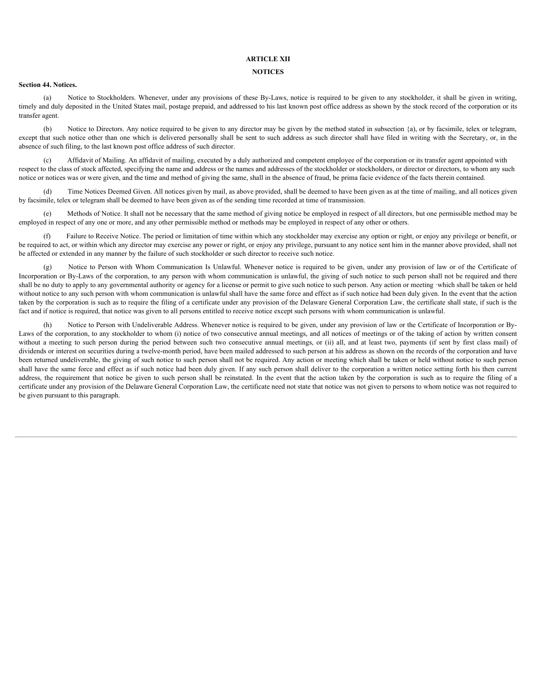### **ARTICLE XII**

# **NOTICES**

### **Section 44. Notices.**

(a) Notice to Stockholders. Whenever, under any provisions of these By-Laws, notice is required to be given to any stockholder, it shall be given in writing, timely and duly deposited in the United States mail, postage prepaid, and addressed to his last known post office address as shown by the stock record of the corporation or its transfer agent.

(b) Notice to Directors. Any notice required to be given to any director may be given by the method stated in subsection {a), or by facsimile, telex or telegram, except that such notice other than one which is delivered personally shall be sent to such address as such director shall have filed in writing with the Secretary, or, in the absence of such filing, to the last known post office address of such director.

Affidavit of Mailing. An affidavit of mailing, executed by a duly authorized and competent employee of the corporation or its transfer agent appointed with respect to the class of stock affected, specifying the name and address or the names and addresses of the stockholder or stockholders, or director or directors, to whom any such notice or notices was or were given, and the time and method of giving the same, shall in the absence of fraud, be prima facie evidence of the facts therein contained.

Time Notices Deemed Given. All notices given by mail, as above provided, shall be deemed to have been given as at the time of mailing, and all notices given by facsimile, telex or telegram shall be deemed to have been given as of the sending time recorded at time of transmission.

(e) Methods of Notice. It shall not be necessary that the same method of giving notice be employed in respect of all directors, but one permissible method may be employed in respect of any one or more, and any other permissible method or methods may be employed in respect of any other or others.

(f) Failure to Receive Notice. The period or limitation of time within which any stockholder may exercise any option or right, or enjoy any privilege or benefit, or be required to act, or within which any director may exercise any power or right, or enjoy any privilege, pursuant to any notice sent him in the manner above provided, shall not be affected or extended in any manner by the failure of such stockholder or such director to receive such notice.

ARTICLE XII<br>Notice to Stockholders. Whenever, under any provision of these By-Laws, astive is expand to be given to any shockholder, it shall be given us with the set of the computer of the set of the computer of the cert Incorporation or By-Laws of the corporation, to any person with whom communication is unlawful, the giving of such notice to such person shall not be required and there shall be no duty to apply to any governmental authority or agency for a license or permit to give such notice to such person. Any action or meeting which shall be taken or held without notice to any such person with whom communication is unlawful shall have the same force and effect as if such notice had been duly given. In the event that the action taken by the corporation is such as to require the filing of a certificate under any provision of the Delaware General Corporation Law, the certificate shall state, if such is the fact and if notice is required, that notice was given to all persons entitled to receive notice except such persons with whom communication is unlawful.

(h) Notice to Person with Undeliverable Address. Whenever notice is required to be given, under any provision of law or the Certificate of Incorporation or By-Laws of the corporation, to any stockholder to whom (i) notice of two consecutive annual meetings, and all notices of meetings or of the taking of action by written consent Section 41. Notices to such a meeting of the such as a method of the such a method in the such person during the person during the person of the such as the such as the such as the such person of the such as the such as th dividends or interest on securities during a twelve-month period, have been mailed addressed to such person at his address as shown on the records of the corporation and have been returned undeliverable, the giving of such notice to such person shall not be required. Any action or meeting which shall be taken or held without notice to such person shall have the same force and effect as if such notice had been duly given. If any such person shall deliver to the corporation a written notice setting forth his then current andie agost<br>the required that not meta-to-such a spheric person to such person that is a second the result of the results of the filing the filing the filing the filing of the filing of the filing order that methods of the certificate under any provision of the Delaware General Corporation Law, the certificate need not state that notice was not given to persons to whom notice was not required to be given pursuant to this paragraph.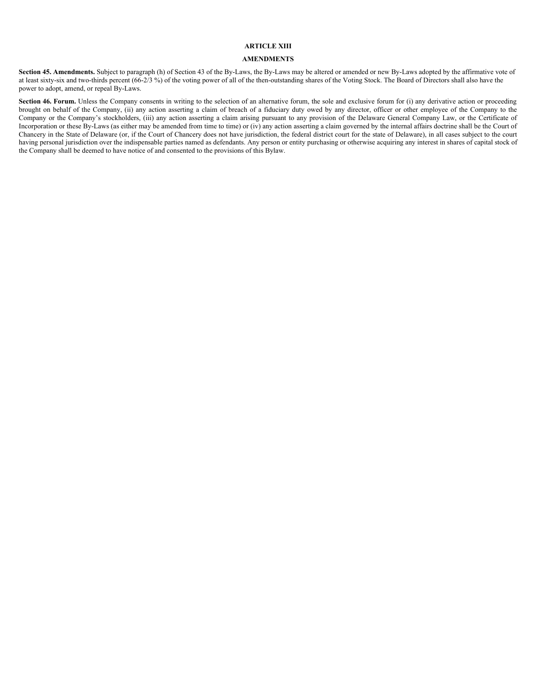### **ARTICLE XIII**

# **AMENDMENTS**

**Section 45. Amendments.** Subject to paragraph (h) of Section 43 of the By-Laws, the By-Laws may be altered or amended or new By-Laws adopted by the affirmative vote of at least sixty-six and two-thirds percent (66-2/3 %) of the voting power of all of the then-outstanding shares of the Voting Stock. The Board of Directors shall also have the power to adopt, amend, or repeal By-Laws.

**Section 46. Forum.** Unless the Company consents in writing to the selection of an alternative forum, the sole and exclusive forum for (i) any derivative action or proceeding brought on behalf of the Company, (ii) any action asserting a claim of breach of a fiduciary duty owed by any director, officer or other employee of the Company to the Company or the Company's stockholders, (iii) any action asserting a claim arising pursuant to any provision of the Delaware General Company Law, or the Certificate of Incorporation or these By-Laws (as either may be amended from time to time) or (iv) any action asserting a claim governed by the internal affairs doctrine shall be the Court of Chancery in the State of Delaware (or, if the Court of Chancery does not have jurisdiction, the federal district court for the state of Delaware), in all cases subject to the court having personal jurisdiction over the indispensable parties named as defendants. Any person or entity purchasing or otherwise acquiring any interest in shares of capital stock of the Company shall be deemed to have notice of and consented to the provisions of this Bylaw.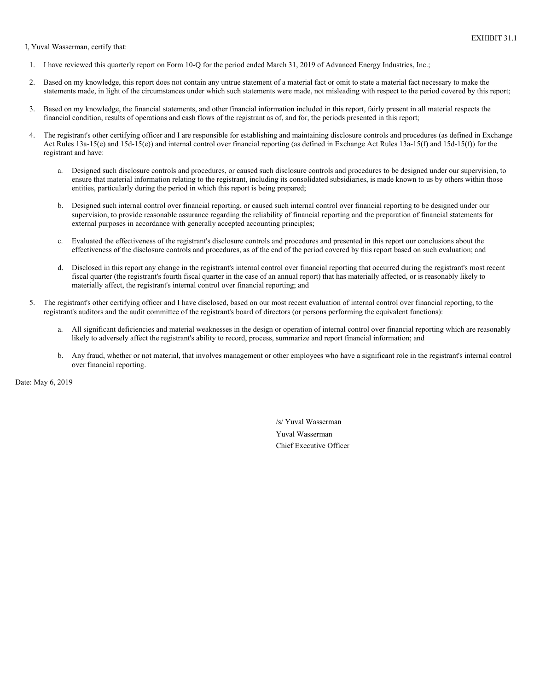EXHIBIT 31.1

<span id="page-62-0"></span>I, Yuval Wasserman, certify that:

- 1. I have reviewed this quarterly report on Form 10-Q for the period ended March 31, 2019 of Advanced Energy Industries, Inc.;
- 2. Based on my knowledge, this report does not contain any untrue statement of a material fact or omit to state a material fact necessary to make the statements made, in light of the circumstances under which such statements were made, not misleading with respect to the period covered by this report;
- 3. Based on my knowledge, the financial statements, and other financial information included in this report, fairly present in all material respects the financial condition, results of operations and cash flows of the registrant as of, and for, the periods presented in this report;
- 4. The registrant's other certifying officer and I are responsible for establishing and maintaining disclosure controls and procedures (as defined in Exchange Act Rules 13a-15(e) and 15d-15(e)) and internal control over financial reporting (as defined in Exchange Act Rules 13a-15(f) and 15d-15(f)) for the registrant and have:
	- a. Designed such disclosure controls and procedures, or caused such disclosure controls and procedures to be designed under our supervision, to ensure that material information relating to the registrant, including its consolidated subsidiaries, is made known to us by others within those entities, particularly during the period in which this report is being prepared;
	- b. Designed such internal control over financial reporting, or caused such internal control over financial reporting to be designed under our supervision, to provide reasonable assurance regarding the reliability of financial reporting and the preparation of financial statements for external purposes in accordance with generally accepted accounting principles;
	- c. Evaluated the effectiveness of the registrant's disclosure controls and procedures and presented in this report our conclusions about the effectiveness of the disclosure controls and procedures, as of the end of the period covered by this report based on such evaluation; and
	- d. Disclosed in this report any change in the registrant's internal control over financial reporting that occurred during the registrant's most recent fiscal quarter (the registrant's fourth fiscal quarter in the case of an annual report) that has materially affected, or is reasonably likely to materially affect, the registrant's internal control over financial reporting; and
- 5. The registrant's other certifying officer and I have disclosed, based on our most recent evaluation of internal control over financial reporting, to the registrant's auditors and the audit committee of the registrant's board of directors (or persons performing the equivalent functions):
	- a. All significant deficiencies and material weaknesses in the design or operation of internal control over financial reporting which are reasonably likely to adversely affect the registrant's ability to record, process, summarize and report financial information; and
	- b. Any fraud, whether or not material, that involves management or other employees who have a significant role in the registrant's internal control over financial reporting.

Date: May 6, 2019

/s/ Yuval Wasserman

Yuval Wasserman Chief Executive Officer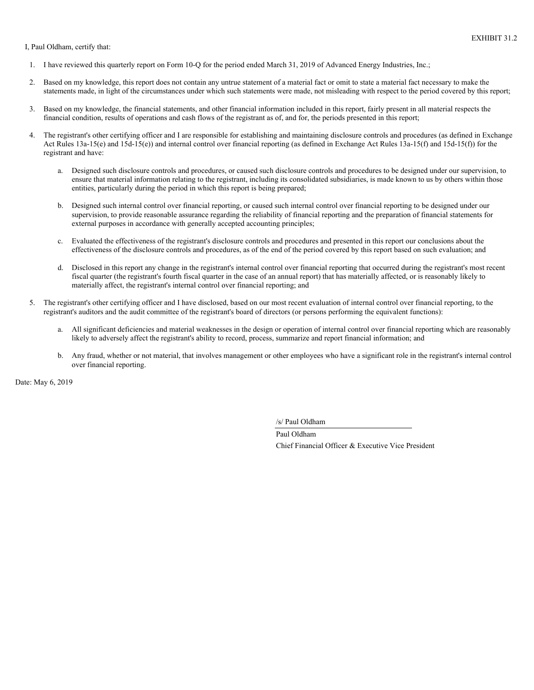<span id="page-63-0"></span>I, Paul Oldham, certify that:

- 1. I have reviewed this quarterly report on Form 10-Q for the period ended March 31, 2019 of Advanced Energy Industries, Inc.;
- 2. Based on my knowledge, this report does not contain any untrue statement of a material fact or omit to state a material fact necessary to make the statements made, in light of the circumstances under which such statements were made, not misleading with respect to the period covered by this report;
- 3. Based on my knowledge, the financial statements, and other financial information included in this report, fairly present in all material respects the financial condition, results of operations and cash flows of the registrant as of, and for, the periods presented in this report;
- 4. The registrant's other certifying officer and I are responsible for establishing and maintaining disclosure controls and procedures (as defined in Exchange Act Rules 13a-15(e) and 15d-15(e)) and internal control over financial reporting (as defined in Exchange Act Rules 13a-15(f) and 15d-15(f)) for the registrant and have:
	- a. Designed such disclosure controls and procedures, or caused such disclosure controls and procedures to be designed under our supervision, to ensure that material information relating to the registrant, including its consolidated subsidiaries, is made known to us by others within those entities, particularly during the period in which this report is being prepared;
	- b. Designed such internal control over financial reporting, or caused such internal control over financial reporting to be designed under our supervision, to provide reasonable assurance regarding the reliability of financial reporting and the preparation of financial statements for external purposes in accordance with generally accepted accounting principles;
	- c. Evaluated the effectiveness of the registrant's disclosure controls and procedures and presented in this report our conclusions about the effectiveness of the disclosure controls and procedures, as of the end of the period covered by this report based on such evaluation; and
	- d. Disclosed in this report any change in the registrant's internal control over financial reporting that occurred during the registrant's most recent fiscal quarter (the registrant's fourth fiscal quarter in the case of an annual report) that has materially affected, or is reasonably likely to materially affect, the registrant's internal control over financial reporting; and
- 5. The registrant's other certifying officer and I have disclosed, based on our most recent evaluation of internal control over financial reporting, to the registrant's auditors and the audit committee of the registrant's board of directors (or persons performing the equivalent functions):
	- a. All significant deficiencies and material weaknesses in the design or operation of internal control over financial reporting which are reasonably likely to adversely affect the registrant's ability to record, process, summarize and report financial information; and
	- b. Any fraud, whether or not material, that involves management or other employees who have a significant role in the registrant's internal control over financial reporting.

Date: May 6, 2019

/s/ Paul Oldham

Paul Oldham Chief Financial Officer & Executive Vice President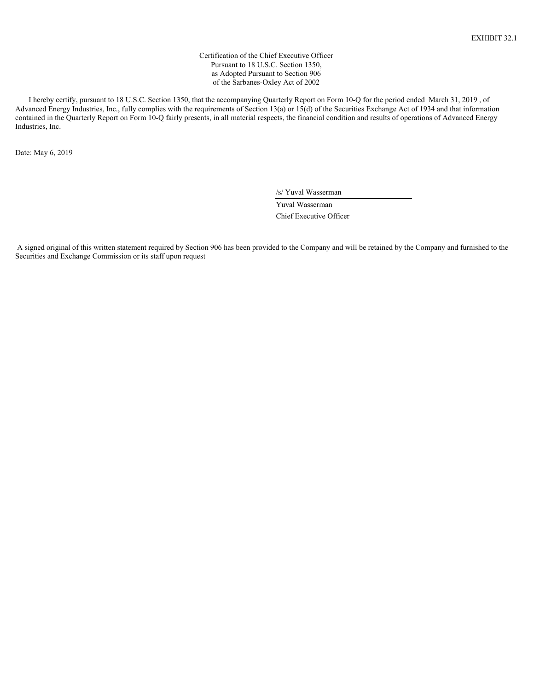Certification of the Chief Executive Officer Pursuant to 18 U.S.C. Section 1350, as Adopted Pursuant to Section 906 of the Sarbanes-Oxley Act of 2002

<span id="page-64-0"></span> I hereby certify, pursuant to 18 U.S.C. Section 1350, that the accompanying Quarterly Report on Form 10-Q for the period ended March 31, 2019 , of Advanced Energy Industries, Inc., fully complies with the requirements of Section 13(a) or 15(d) of the Securities Exchange Act of 1934 and that information contained in the Quarterly Report on Form 10-Q fairly presents, in all material respects, the financial condition and results of operations of Advanced Energy Industries, Inc.

Date: May 6, 2019

/s/ Yuval Wasserman

Yuval Wasserman Chief Executive Officer

 A signed original of this written statement required by Section 906 has been provided to the Company and will be retained by the Company and furnished to the Securities and Exchange Commission or its staff upon request